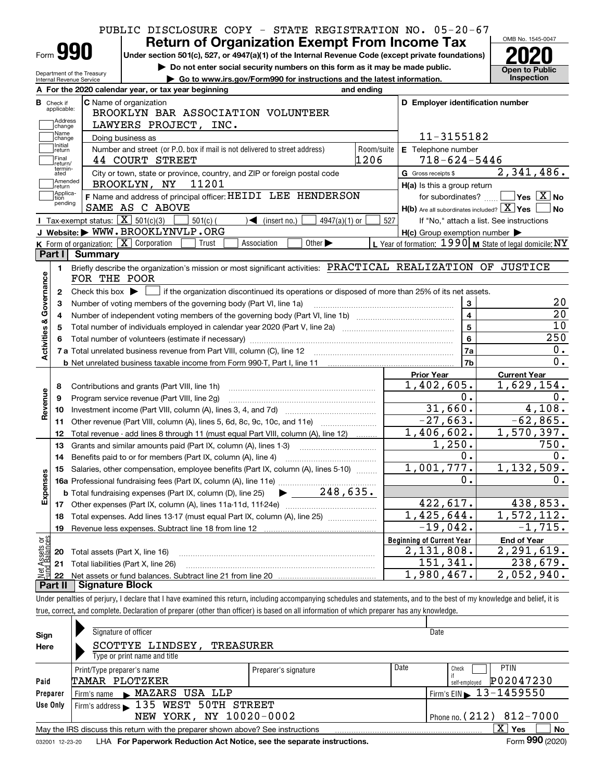|                                                                                              | PUBLIC DISCLOSURE COPY - STATE REGISTRATION NO. 05-20-67 |                                                                                                                                                     |                                                                        |                                   |                             |            |                                                                             |                         |                                                             |
|----------------------------------------------------------------------------------------------|----------------------------------------------------------|-----------------------------------------------------------------------------------------------------------------------------------------------------|------------------------------------------------------------------------|-----------------------------------|-----------------------------|------------|-----------------------------------------------------------------------------|-------------------------|-------------------------------------------------------------|
|                                                                                              |                                                          |                                                                                                                                                     |                                                                        |                                   |                             |            | <b>Return of Organization Exempt From Income Tax</b>                        |                         | OMB No. 1545-0047                                           |
| Form 990                                                                                     |                                                          | Under section 501(c), 527, or 4947(a)(1) of the Internal Revenue Code (except private foundations)                                                  |                                                                        |                                   |                             |            |                                                                             |                         |                                                             |
|                                                                                              | Department of the Treasury                               |                                                                                                                                                     |                                                                        |                                   |                             |            | Do not enter social security numbers on this form as it may be made public. |                         | <b>Open to Public</b>                                       |
|                                                                                              | Internal Revenue Service                                 |                                                                                                                                                     | Go to www.irs.gov/Form990 for instructions and the latest information. |                                   |                             |            |                                                                             |                         | Inspection                                                  |
|                                                                                              |                                                          | A For the 2020 calendar year, or tax year beginning                                                                                                 |                                                                        |                                   |                             | and ending |                                                                             |                         |                                                             |
| <b>B</b> Check if<br>applicable:                                                             |                                                          | C Name of organization                                                                                                                              |                                                                        |                                   |                             |            | D Employer identification number                                            |                         |                                                             |
| Address                                                                                      |                                                          | BROOKLYN BAR ASSOCIATION VOLUNTEER                                                                                                                  |                                                                        |                                   |                             |            |                                                                             |                         |                                                             |
| change<br>Name                                                                               |                                                          | LAWYERS PROJECT, INC.                                                                                                                               |                                                                        |                                   |                             |            |                                                                             |                         |                                                             |
| change<br>Initial                                                                            |                                                          | Doing business as                                                                                                                                   |                                                                        |                                   |                             |            | 11-3155182                                                                  |                         |                                                             |
| return<br>Final                                                                              |                                                          | Number and street (or P.O. box if mail is not delivered to street address)                                                                          |                                                                        |                                   |                             | Room/suite | E Telephone number                                                          |                         |                                                             |
| return/<br>termin-                                                                           |                                                          | <b>44 COURT STREET</b>                                                                                                                              |                                                                        |                                   |                             | 1206       | $718 - 624 - 5446$                                                          |                         |                                                             |
| ated<br>Amended                                                                              |                                                          | City or town, state or province, country, and ZIP or foreign postal code                                                                            |                                                                        |                                   |                             |            | G Gross receipts \$                                                         |                         | 2,341,486.                                                  |
| return<br>Applica-                                                                           |                                                          | BROOKLYN, NY 11201                                                                                                                                  |                                                                        |                                   |                             |            | H(a) Is this a group return                                                 |                         |                                                             |
| tion<br>pending                                                                              |                                                          | F Name and address of principal officer: HEIDI LEE HENDERSON                                                                                        |                                                                        |                                   |                             |            |                                                                             |                         | for subordinates? $\boxed{\text{Yes } \boxed{\text{X}}}$ No |
|                                                                                              |                                                          | SAME AS C ABOVE                                                                                                                                     |                                                                        |                                   |                             |            | $H(b)$ Are all subordinates included? $X$ Yes $[$                           |                         | $\blacksquare$ No                                           |
|                                                                                              | Tax-exempt status: $\boxed{\mathbf{X}}$ 501(c)(3)        |                                                                                                                                                     | $501(c)$ (                                                             | $\blacktriangleleft$ (insert no.) | 4947(a)(1) or               | 527        |                                                                             |                         | If "No," attach a list. See instructions                    |
|                                                                                              |                                                          | J Website: WWW.BROOKLYNVLP.ORG                                                                                                                      |                                                                        |                                   | Other $\blacktriangleright$ |            | $H(c)$ Group exemption number $\blacktriangleright$                         |                         |                                                             |
| Part I                                                                                       | <b>Summary</b>                                           | K Form of organization: X Corporation                                                                                                               | Trust                                                                  | Association                       |                             |            | L Year of formation: 1990   M State of legal domicile: NY                   |                         |                                                             |
|                                                                                              | FOR THE POOR                                             |                                                                                                                                                     |                                                                        |                                   |                             |            |                                                                             |                         |                                                             |
| 2                                                                                            |                                                          | Check this box $\blacktriangleright$ $\blacksquare$ if the organization discontinued its operations or disposed of more than 25% of its net assets. |                                                                        |                                   |                             |            |                                                                             |                         |                                                             |
| з                                                                                            |                                                          | Number of voting members of the governing body (Part VI, line 1a)                                                                                   |                                                                        |                                   |                             |            |                                                                             | 3                       |                                                             |
| 4                                                                                            |                                                          |                                                                                                                                                     |                                                                        |                                   |                             |            |                                                                             | $\overline{\mathbf{4}}$ |                                                             |
| 5                                                                                            |                                                          |                                                                                                                                                     |                                                                        |                                   |                             |            |                                                                             | 5                       |                                                             |
|                                                                                              |                                                          |                                                                                                                                                     |                                                                        |                                   |                             |            |                                                                             | 6                       |                                                             |
|                                                                                              |                                                          |                                                                                                                                                     |                                                                        |                                   |                             |            |                                                                             | 7a                      |                                                             |
|                                                                                              |                                                          |                                                                                                                                                     |                                                                        |                                   |                             |            |                                                                             | 7 <sub>b</sub>          |                                                             |
|                                                                                              |                                                          |                                                                                                                                                     |                                                                        |                                   |                             |            | <b>Prior Year</b>                                                           |                         | <b>Current Year</b>                                         |
| 8                                                                                            |                                                          | Contributions and grants (Part VIII, line 1h)                                                                                                       |                                                                        |                                   |                             |            | 1,402,605.                                                                  |                         | 1,629,154.                                                  |
| 9                                                                                            |                                                          | Program service revenue (Part VIII, line 2g)                                                                                                        |                                                                        |                                   |                             |            |                                                                             | 0.                      |                                                             |
| 10                                                                                           |                                                          |                                                                                                                                                     |                                                                        |                                   |                             |            | 31,660.                                                                     |                         | 4,108.                                                      |
| 11                                                                                           |                                                          | Other revenue (Part VIII, column (A), lines 5, 6d, 8c, 9c, 10c, and 11e)                                                                            |                                                                        |                                   |                             |            | $-27,663.$                                                                  |                         | $-62,865.$                                                  |
| 12                                                                                           |                                                          | Total revenue - add lines 8 through 11 (must equal Part VIII, column (A), line 12)                                                                  |                                                                        |                                   |                             |            | 1,406,602.                                                                  |                         | 1,570,397.                                                  |
| 13                                                                                           |                                                          | Grants and similar amounts paid (Part IX, column (A), lines 1-3)                                                                                    |                                                                        |                                   |                             |            | 1,250.                                                                      |                         | 750.                                                        |
| 14                                                                                           |                                                          | Benefits paid to or for members (Part IX, column (A), line 4)                                                                                       |                                                                        |                                   |                             |            |                                                                             | 0.                      |                                                             |
| 15                                                                                           |                                                          | Salaries, other compensation, employee benefits (Part IX, column (A), lines 5-10)                                                                   |                                                                        |                                   |                             |            | 1,001,777.                                                                  |                         | 1,132,509.                                                  |
|                                                                                              |                                                          | 16a Professional fundraising fees (Part IX, column (A), line 11e)                                                                                   |                                                                        |                                   |                             |            |                                                                             | 0.                      |                                                             |
|                                                                                              |                                                          | <b>b</b> Total fundraising expenses (Part IX, column (D), line 25)                                                                                  |                                                                        |                                   | $\frac{248,635}{}$          |            |                                                                             |                         |                                                             |
|                                                                                              |                                                          |                                                                                                                                                     |                                                                        |                                   |                             |            | 422,617.                                                                    |                         | 438,853.                                                    |
| 18                                                                                           |                                                          | Total expenses. Add lines 13-17 (must equal Part IX, column (A), line 25) [                                                                         |                                                                        |                                   |                             |            | $\overline{1,425,644}$ .                                                    |                         | $\overline{1,572,112.}$                                     |
| 19                                                                                           |                                                          | Revenue less expenses. Subtract line 18 from line 12                                                                                                |                                                                        |                                   |                             |            | $\overline{-19}$ ,042.                                                      |                         | $-1,715.$                                                   |
|                                                                                              |                                                          |                                                                                                                                                     |                                                                        |                                   |                             |            | <b>Beginning of Current Year</b>                                            |                         | <b>End of Year</b>                                          |
| 20                                                                                           |                                                          | Total assets (Part X, line 16)                                                                                                                      |                                                                        |                                   |                             |            | <u>2,131,808.</u>                                                           |                         | 2, 291, 619.                                                |
| Activities & Governance<br>Revenue<br>Expenses<br>Net Assets or<br>Fund Balances<br>21<br>22 |                                                          | Total liabilities (Part X, line 26)                                                                                                                 |                                                                        |                                   |                             |            | 151,341.<br>$\overline{1}$ , 980, 467.                                      |                         | 238,679.<br>2,052,940.                                      |

true, correct, and complete. Declaration of preparer (other than officer) is based on all information of which preparer has any knowledge.

| Sign            | Signature of officer                                                            |                      |      | Date                                        |  |  |  |  |  |  |
|-----------------|---------------------------------------------------------------------------------|----------------------|------|---------------------------------------------|--|--|--|--|--|--|
| Here            | SCOTTYE LINDSEY,<br>TREASURER                                                   |                      |      |                                             |  |  |  |  |  |  |
|                 | Type or print name and title                                                    |                      |      |                                             |  |  |  |  |  |  |
|                 | Print/Type preparer's name                                                      | Preparer's signature | Date | <b>PTIN</b><br>Check                        |  |  |  |  |  |  |
| Paid            | TAMAR PLOTZKER                                                                  |                      |      | P02047230<br>self-emploved                  |  |  |  |  |  |  |
| Preparer        | Firm's name MAZARS USA LLP                                                      |                      |      | Firm's EIN $\blacktriangleright$ 13-1459550 |  |  |  |  |  |  |
| Use Only        | Firm's address 135 WEST 50TH STREET                                             |                      |      |                                             |  |  |  |  |  |  |
|                 | NEW YORK, NY 10020-0002<br>Phone no. $(212)$ 812-7000                           |                      |      |                                             |  |  |  |  |  |  |
|                 | May the IRS discuss this return with the preparer shown above? See instructions |                      |      | x<br><b>No</b><br>Yes                       |  |  |  |  |  |  |
| 032001 12-23-20 | LHA For Paperwork Reduction Act Notice, see the separate instructions.          |                      |      | Form 990 (2020)                             |  |  |  |  |  |  |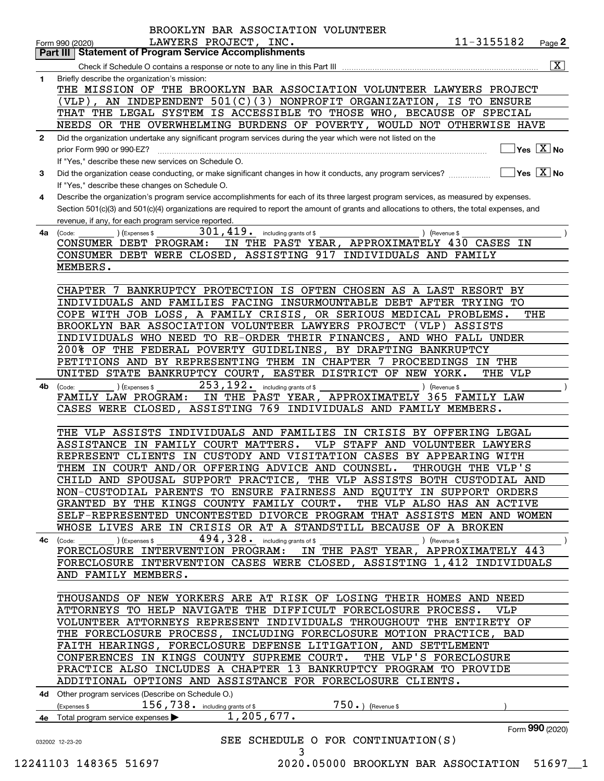|              | BROOKLYN BAR ASSOCIATION VOLUNTEER<br>11-3155182<br>LAWYERS PROJECT, INC.<br>Page 2<br>Form 990 (2020)                                                    |
|--------------|-----------------------------------------------------------------------------------------------------------------------------------------------------------|
|              | <b>Statement of Program Service Accomplishments</b><br>Part III                                                                                           |
|              | $\overline{\mathbf{x}}$                                                                                                                                   |
| 1            | Briefly describe the organization's mission:                                                                                                              |
|              | THE MISSION OF THE BROOKLYN BAR ASSOCIATION VOLUNTEER LAWYERS PROJECT                                                                                     |
|              | (VLP), AN INDEPENDENT $501(C)(3)$ NONPROFIT ORGANIZATION,<br>IS TO ENSURE                                                                                 |
|              |                                                                                                                                                           |
|              | THAT THE LEGAL SYSTEM IS ACCESSIBLE TO THOSE WHO, BECAUSE OF SPECIAL                                                                                      |
|              | NEEDS OR THE OVERWHELMING BURDENS OF POVERTY, WOULD NOT OTHERWISE HAVE                                                                                    |
| $\mathbf{2}$ | Did the organization undertake any significant program services during the year which were not listed on the                                              |
|              | $\sqrt{}$ Yes $\sqrt{}$ X $\sqrt{}$ No                                                                                                                    |
|              | If "Yes," describe these new services on Schedule O.                                                                                                      |
| 3            | $\overline{\ }$ Yes $\overline{\ \ X}$ No<br>Did the organization cease conducting, or make significant changes in how it conducts, any program services? |
|              | If "Yes," describe these changes on Schedule O.                                                                                                           |
| 4            | Describe the organization's program service accomplishments for each of its three largest program services, as measured by expenses.                      |
|              | Section 501(c)(3) and 501(c)(4) organizations are required to report the amount of grants and allocations to others, the total expenses, and              |
|              |                                                                                                                                                           |
|              | revenue, if any, for each program service reported.                                                                                                       |
| 4a           | $\overline{301}$ , $419$ $\cdot$ including grants of \$<br>) (Expenses \$<br>) (Revenue \$<br>(Code:                                                      |
|              | CONSUMER DEBT PROGRAM:<br>IN THE PAST YEAR, APPROXIMATELY 430 CASES IN                                                                                    |
|              | CONSUMER DEBT WERE CLOSED, ASSISTING 917 INDIVIDUALS AND FAMILY                                                                                           |
|              | MEMBERS.                                                                                                                                                  |
|              |                                                                                                                                                           |
|              | CHAPTER 7 BANKRUPTCY PROTECTION IS OFTEN CHOSEN AS A LAST RESORT BY                                                                                       |
|              | INDIVIDUALS AND FAMILIES FACING INSURMOUNTABLE DEBT AFTER TRYING TO                                                                                       |
|              | COPE WITH JOB LOSS, A FAMILY CRISIS, OR SERIOUS MEDICAL PROBLEMS.<br>THE                                                                                  |
|              | BROOKLYN BAR ASSOCIATION VOLUNTEER LAWYERS PROJECT<br>(VLP) ASSISTS                                                                                       |
|              | INDIVIDUALS WHO NEED TO RE-ORDER THEIR FINANCES, AND WHO FALL UNDER                                                                                       |
|              | 200% OF THE FEDERAL POVERTY GUIDELINES, BY DRAFTING BANKRUPTCY                                                                                            |
|              | PETITIONS AND BY REPRESENTING THEM IN CHAPTER 7 PROCEEDINGS IN THE                                                                                        |
|              | UNITED STATE BANKRUPTCY COURT, EASTER DISTRICT OF NEW YORK.<br>THE VLP                                                                                    |
|              | $\overline{253,192}$ including grants of \$                                                                                                               |
| 4b           | ) (Revenue \$<br>(Expenses \$<br>(Code:<br>IN THE PAST YEAR, APPROXIMATELY 365 FAMILY LAW<br>FAMILY LAW PROGRAM:                                          |
|              | CASES WERE CLOSED, ASSISTING 769 INDIVIDUALS AND FAMILY MEMBERS.                                                                                          |
|              |                                                                                                                                                           |
|              |                                                                                                                                                           |
|              | THE VLP ASSISTS INDIVIDUALS AND FAMILIES IN CRISIS BY OFFERING LEGAL                                                                                      |
|              | ASSISTANCE IN FAMILY COURT MATTERS.<br>VLP STAFF AND VOLUNTEER LAWYERS                                                                                    |
|              | REPRESENT CLIENTS IN CUSTODY AND VISITATION CASES BY APPEARING WITH                                                                                       |
|              | THEM IN COURT AND/OR OFFERING ADVICE AND COUNSEL.<br>THROUGH THE VLP'S                                                                                    |
|              | CHILD AND SPOUSAL SUPPORT PRACTICE, THE VLP ASSISTS BOTH CUSTODIAL AND                                                                                    |
|              | NON-CUSTODIAL PARENTS TO ENSURE FAIRNESS AND EOUITY IN SUPPORT ORDERS                                                                                     |
|              | GRANTED BY THE KINGS COUNTY FAMILY COURT.<br>THE VLP ALSO HAS AN ACTIVE                                                                                   |
|              | SELF-REPRESENTED UNCONTESTED DIVORCE PROGRAM THAT ASSISTS MEN AND WOMEN                                                                                   |
|              | WHOSE LIVES ARE IN CRISIS OR AT A STANDSTILL BECAUSE OF A BROKEN                                                                                          |
|              | $494, 328$ . including grants of \$<br>(Expenses \$<br>4c (Code:<br>(Revenue \$                                                                           |
|              | FORECLOSURE INTERVENTION PROGRAM:<br>IN THE PAST YEAR, APPROXIMATELY 443                                                                                  |
|              | FORECLOSURE INTERVENTION CASES WERE CLOSED, ASSISTING 1,412 INDIVIDUALS                                                                                   |
|              | AND FAMILY MEMBERS.                                                                                                                                       |
|              |                                                                                                                                                           |
|              |                                                                                                                                                           |
|              | THOUSANDS OF NEW YORKERS ARE AT RISK OF LOSING THEIR HOMES AND NEED                                                                                       |
|              | ATTORNEYS TO HELP NAVIGATE THE DIFFICULT FORECLOSURE PROCESS.<br><b>VLP</b>                                                                               |
|              | VOLUNTEER ATTORNEYS REPRESENT INDIVIDUALS THROUGHOUT THE ENTIRETY OF                                                                                      |
|              | THE FORECLOSURE PROCESS, INCLUDING FORECLOSURE MOTION PRACTICE, BAD                                                                                       |
|              | FAITH HEARINGS, FORECLOSURE DEFENSE LITIGATION, AND SETTLEMENT                                                                                            |
|              | THE VLP'S FORECLOSURE<br>CONFERENCES IN KINGS COUNTY SUPREME COURT.                                                                                       |
|              | PRACTICE ALSO INCLUDES A CHAPTER 13 BANKRUPTCY PROGRAM TO PROVIDE                                                                                         |
|              | ADDITIONAL OPTIONS AND ASSISTANCE FOR FORECLOSURE CLIENTS.                                                                                                |
|              | 4d Other program services (Describe on Schedule O.)                                                                                                       |
|              | 156,738. including grants of \$<br>$750.$ (Revenue \$<br>(Expenses \$                                                                                     |
| 4е           | 1, 205, 677.<br>Total program service expenses                                                                                                            |
|              | Form 990 (2020)                                                                                                                                           |
|              | SEE SCHEDULE O FOR CONTINUATION(S)<br>032002 12-23-20                                                                                                     |
|              | 3                                                                                                                                                         |
|              | 12241103 148365 51697<br>2020.05000 BROOKLYN BAR ASSOCIATION 51697_1                                                                                      |
|              |                                                                                                                                                           |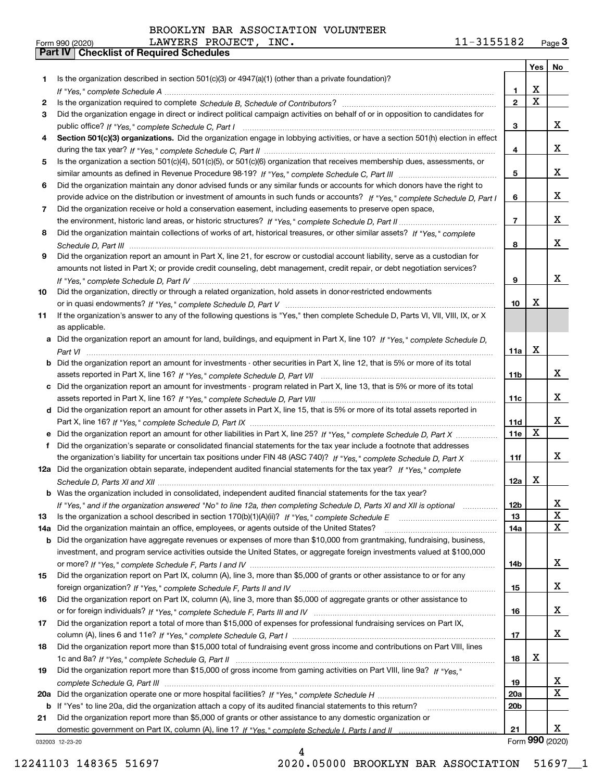| Is the organization described in section $501(c)(3)$ or $4947(a)(1)$ (other than a private foundation)?<br>1<br>2<br>Did the organization engage in direct or indirect political campaign activities on behalf of or in opposition to candidates for<br>3<br>Section 501(c)(3) organizations. Did the organization engage in lobbying activities, or have a section 501(h) election in effect<br>4<br>Is the organization a section 501(c)(4), 501(c)(5), or 501(c)(6) organization that receives membership dues, assessments, or<br>5<br>Did the organization maintain any donor advised funds or any similar funds or accounts for which donors have the right to<br>6<br>provide advice on the distribution or investment of amounts in such funds or accounts? If "Yes," complete Schedule D, Part I<br>Did the organization receive or hold a conservation easement, including easements to preserve open space,<br>7 | 1.<br>$\overline{2}$<br>3<br>4<br>5 | X<br>$\overline{\mathbf{x}}$ |                  |
|-----------------------------------------------------------------------------------------------------------------------------------------------------------------------------------------------------------------------------------------------------------------------------------------------------------------------------------------------------------------------------------------------------------------------------------------------------------------------------------------------------------------------------------------------------------------------------------------------------------------------------------------------------------------------------------------------------------------------------------------------------------------------------------------------------------------------------------------------------------------------------------------------------------------------------|-------------------------------------|------------------------------|------------------|
|                                                                                                                                                                                                                                                                                                                                                                                                                                                                                                                                                                                                                                                                                                                                                                                                                                                                                                                             |                                     |                              |                  |
|                                                                                                                                                                                                                                                                                                                                                                                                                                                                                                                                                                                                                                                                                                                                                                                                                                                                                                                             |                                     |                              |                  |
|                                                                                                                                                                                                                                                                                                                                                                                                                                                                                                                                                                                                                                                                                                                                                                                                                                                                                                                             |                                     |                              |                  |
|                                                                                                                                                                                                                                                                                                                                                                                                                                                                                                                                                                                                                                                                                                                                                                                                                                                                                                                             |                                     |                              |                  |
|                                                                                                                                                                                                                                                                                                                                                                                                                                                                                                                                                                                                                                                                                                                                                                                                                                                                                                                             |                                     |                              | x                |
|                                                                                                                                                                                                                                                                                                                                                                                                                                                                                                                                                                                                                                                                                                                                                                                                                                                                                                                             |                                     |                              | x                |
|                                                                                                                                                                                                                                                                                                                                                                                                                                                                                                                                                                                                                                                                                                                                                                                                                                                                                                                             |                                     |                              |                  |
|                                                                                                                                                                                                                                                                                                                                                                                                                                                                                                                                                                                                                                                                                                                                                                                                                                                                                                                             |                                     |                              | x                |
|                                                                                                                                                                                                                                                                                                                                                                                                                                                                                                                                                                                                                                                                                                                                                                                                                                                                                                                             |                                     |                              |                  |
|                                                                                                                                                                                                                                                                                                                                                                                                                                                                                                                                                                                                                                                                                                                                                                                                                                                                                                                             | 6                                   |                              | x                |
|                                                                                                                                                                                                                                                                                                                                                                                                                                                                                                                                                                                                                                                                                                                                                                                                                                                                                                                             |                                     |                              |                  |
|                                                                                                                                                                                                                                                                                                                                                                                                                                                                                                                                                                                                                                                                                                                                                                                                                                                                                                                             | $\overline{7}$                      |                              | x                |
| Did the organization maintain collections of works of art, historical treasures, or other similar assets? If "Yes," complete<br>8                                                                                                                                                                                                                                                                                                                                                                                                                                                                                                                                                                                                                                                                                                                                                                                           |                                     |                              |                  |
|                                                                                                                                                                                                                                                                                                                                                                                                                                                                                                                                                                                                                                                                                                                                                                                                                                                                                                                             | 8                                   |                              | x                |
| Did the organization report an amount in Part X, line 21, for escrow or custodial account liability, serve as a custodian for<br>9                                                                                                                                                                                                                                                                                                                                                                                                                                                                                                                                                                                                                                                                                                                                                                                          |                                     |                              |                  |
| amounts not listed in Part X; or provide credit counseling, debt management, credit repair, or debt negotiation services?                                                                                                                                                                                                                                                                                                                                                                                                                                                                                                                                                                                                                                                                                                                                                                                                   |                                     |                              |                  |
|                                                                                                                                                                                                                                                                                                                                                                                                                                                                                                                                                                                                                                                                                                                                                                                                                                                                                                                             | 9                                   |                              | x                |
| Did the organization, directly or through a related organization, hold assets in donor-restricted endowments<br>10                                                                                                                                                                                                                                                                                                                                                                                                                                                                                                                                                                                                                                                                                                                                                                                                          |                                     |                              |                  |
|                                                                                                                                                                                                                                                                                                                                                                                                                                                                                                                                                                                                                                                                                                                                                                                                                                                                                                                             | 10                                  | X                            |                  |
| If the organization's answer to any of the following questions is "Yes," then complete Schedule D, Parts VI, VII, VIII, IX, or X<br>11                                                                                                                                                                                                                                                                                                                                                                                                                                                                                                                                                                                                                                                                                                                                                                                      |                                     |                              |                  |
| as applicable.                                                                                                                                                                                                                                                                                                                                                                                                                                                                                                                                                                                                                                                                                                                                                                                                                                                                                                              |                                     |                              |                  |
| a Did the organization report an amount for land, buildings, and equipment in Part X, line 10? If "Yes," complete Schedule D,                                                                                                                                                                                                                                                                                                                                                                                                                                                                                                                                                                                                                                                                                                                                                                                               |                                     |                              |                  |
|                                                                                                                                                                                                                                                                                                                                                                                                                                                                                                                                                                                                                                                                                                                                                                                                                                                                                                                             | 11a                                 | $\mathbf X$                  |                  |
| Did the organization report an amount for investments - other securities in Part X, line 12, that is 5% or more of its total<br>b                                                                                                                                                                                                                                                                                                                                                                                                                                                                                                                                                                                                                                                                                                                                                                                           |                                     |                              |                  |
|                                                                                                                                                                                                                                                                                                                                                                                                                                                                                                                                                                                                                                                                                                                                                                                                                                                                                                                             | 11 <sub>b</sub>                     |                              | x                |
| Did the organization report an amount for investments - program related in Part X, line 13, that is 5% or more of its total<br>c                                                                                                                                                                                                                                                                                                                                                                                                                                                                                                                                                                                                                                                                                                                                                                                            |                                     |                              |                  |
|                                                                                                                                                                                                                                                                                                                                                                                                                                                                                                                                                                                                                                                                                                                                                                                                                                                                                                                             | 11c                                 |                              | x                |
| d Did the organization report an amount for other assets in Part X, line 15, that is 5% or more of its total assets reported in                                                                                                                                                                                                                                                                                                                                                                                                                                                                                                                                                                                                                                                                                                                                                                                             |                                     |                              |                  |
|                                                                                                                                                                                                                                                                                                                                                                                                                                                                                                                                                                                                                                                                                                                                                                                                                                                                                                                             | 11d                                 | X                            | x                |
| Did the organization report an amount for other liabilities in Part X, line 25? If "Yes," complete Schedule D, Part X                                                                                                                                                                                                                                                                                                                                                                                                                                                                                                                                                                                                                                                                                                                                                                                                       | 11e                                 |                              |                  |
| Did the organization's separate or consolidated financial statements for the tax year include a footnote that addresses<br>f                                                                                                                                                                                                                                                                                                                                                                                                                                                                                                                                                                                                                                                                                                                                                                                                |                                     |                              | x                |
| the organization's liability for uncertain tax positions under FIN 48 (ASC 740)? If "Yes," complete Schedule D, Part X<br>12a Did the organization obtain separate, independent audited financial statements for the tax year? If "Yes," complete                                                                                                                                                                                                                                                                                                                                                                                                                                                                                                                                                                                                                                                                           | 11f                                 |                              |                  |
|                                                                                                                                                                                                                                                                                                                                                                                                                                                                                                                                                                                                                                                                                                                                                                                                                                                                                                                             | 12a                                 | X                            |                  |
| <b>b</b> Was the organization included in consolidated, independent audited financial statements for the tax year?                                                                                                                                                                                                                                                                                                                                                                                                                                                                                                                                                                                                                                                                                                                                                                                                          |                                     |                              |                  |
| If "Yes," and if the organization answered "No" to line 12a, then completing Schedule D, Parts XI and XII is optional                                                                                                                                                                                                                                                                                                                                                                                                                                                                                                                                                                                                                                                                                                                                                                                                       | 12D                                 |                              | ᅀ                |
| 13                                                                                                                                                                                                                                                                                                                                                                                                                                                                                                                                                                                                                                                                                                                                                                                                                                                                                                                          | 13                                  |                              | X                |
| Did the organization maintain an office, employees, or agents outside of the United States?<br>14a                                                                                                                                                                                                                                                                                                                                                                                                                                                                                                                                                                                                                                                                                                                                                                                                                          | 14a                                 |                              | X                |
| Did the organization have aggregate revenues or expenses of more than \$10,000 from grantmaking, fundraising, business,<br>b                                                                                                                                                                                                                                                                                                                                                                                                                                                                                                                                                                                                                                                                                                                                                                                                |                                     |                              |                  |
| investment, and program service activities outside the United States, or aggregate foreign investments valued at \$100,000                                                                                                                                                                                                                                                                                                                                                                                                                                                                                                                                                                                                                                                                                                                                                                                                  |                                     |                              |                  |
|                                                                                                                                                                                                                                                                                                                                                                                                                                                                                                                                                                                                                                                                                                                                                                                                                                                                                                                             | 14b                                 |                              | x                |
| Did the organization report on Part IX, column (A), line 3, more than \$5,000 of grants or other assistance to or for any<br>15                                                                                                                                                                                                                                                                                                                                                                                                                                                                                                                                                                                                                                                                                                                                                                                             |                                     |                              |                  |
|                                                                                                                                                                                                                                                                                                                                                                                                                                                                                                                                                                                                                                                                                                                                                                                                                                                                                                                             | 15                                  |                              | x                |
| Did the organization report on Part IX, column (A), line 3, more than \$5,000 of aggregate grants or other assistance to<br>16                                                                                                                                                                                                                                                                                                                                                                                                                                                                                                                                                                                                                                                                                                                                                                                              |                                     |                              |                  |
|                                                                                                                                                                                                                                                                                                                                                                                                                                                                                                                                                                                                                                                                                                                                                                                                                                                                                                                             | 16                                  |                              | x                |
| Did the organization report a total of more than \$15,000 of expenses for professional fundraising services on Part IX,<br>17                                                                                                                                                                                                                                                                                                                                                                                                                                                                                                                                                                                                                                                                                                                                                                                               |                                     |                              |                  |
|                                                                                                                                                                                                                                                                                                                                                                                                                                                                                                                                                                                                                                                                                                                                                                                                                                                                                                                             | 17                                  |                              | X                |
| Did the organization report more than \$15,000 total of fundraising event gross income and contributions on Part VIII, lines<br>18                                                                                                                                                                                                                                                                                                                                                                                                                                                                                                                                                                                                                                                                                                                                                                                          |                                     |                              |                  |
|                                                                                                                                                                                                                                                                                                                                                                                                                                                                                                                                                                                                                                                                                                                                                                                                                                                                                                                             | 18                                  | X                            |                  |
| Did the organization report more than \$15,000 of gross income from gaming activities on Part VIII, line 9a? If "Yes."<br>19                                                                                                                                                                                                                                                                                                                                                                                                                                                                                                                                                                                                                                                                                                                                                                                                |                                     |                              |                  |
|                                                                                                                                                                                                                                                                                                                                                                                                                                                                                                                                                                                                                                                                                                                                                                                                                                                                                                                             | 19                                  |                              | x<br>$\mathbf x$ |
| 20a<br>If "Yes" to line 20a, did the organization attach a copy of its audited financial statements to this return?                                                                                                                                                                                                                                                                                                                                                                                                                                                                                                                                                                                                                                                                                                                                                                                                         | 20a                                 |                              |                  |
| b                                                                                                                                                                                                                                                                                                                                                                                                                                                                                                                                                                                                                                                                                                                                                                                                                                                                                                                           | 20 <sub>b</sub>                     |                              |                  |
|                                                                                                                                                                                                                                                                                                                                                                                                                                                                                                                                                                                                                                                                                                                                                                                                                                                                                                                             |                                     |                              |                  |
| Did the organization report more than \$5,000 of grants or other assistance to any domestic organization or<br>21                                                                                                                                                                                                                                                                                                                                                                                                                                                                                                                                                                                                                                                                                                                                                                                                           | 21                                  |                              | X.               |

032003 12-23-20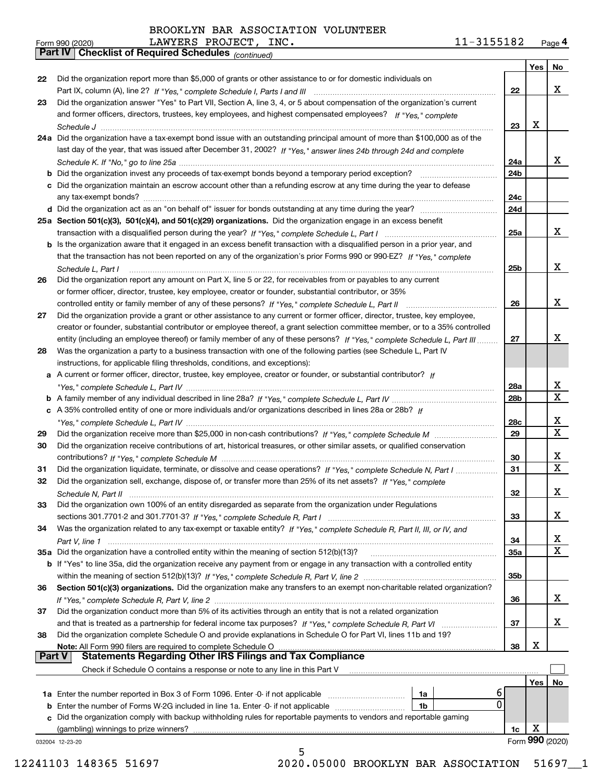| Form 990 (2020) |                                                       | LAWYERS PROJECT | INC. | 1-3155182. | Page 4 |
|-----------------|-------------------------------------------------------|-----------------|------|------------|--------|
|                 | Part IV   Checklist of Required Schedules (continued) |                 |      |            |        |

|          | <b>Part IV</b>   Griecklist of Required Scriedules $_{(continued)}$                                                                                                                                                                                   |                 |     |                 |
|----------|-------------------------------------------------------------------------------------------------------------------------------------------------------------------------------------------------------------------------------------------------------|-----------------|-----|-----------------|
|          |                                                                                                                                                                                                                                                       |                 | Yes | No              |
| 22       | Did the organization report more than \$5,000 of grants or other assistance to or for domestic individuals on                                                                                                                                         |                 |     |                 |
|          |                                                                                                                                                                                                                                                       | 22              |     | X               |
| 23       | Did the organization answer "Yes" to Part VII, Section A, line 3, 4, or 5 about compensation of the organization's current                                                                                                                            |                 |     |                 |
|          | and former officers, directors, trustees, key employees, and highest compensated employees? If "Yes," complete                                                                                                                                        |                 |     |                 |
|          |                                                                                                                                                                                                                                                       | 23              | Χ   |                 |
|          | 24a Did the organization have a tax-exempt bond issue with an outstanding principal amount of more than \$100,000 as of the                                                                                                                           |                 |     |                 |
|          | last day of the year, that was issued after December 31, 2002? If "Yes," answer lines 24b through 24d and complete                                                                                                                                    |                 |     |                 |
|          |                                                                                                                                                                                                                                                       | 24a             |     | x               |
|          | <b>b</b> Did the organization invest any proceeds of tax-exempt bonds beyond a temporary period exception?                                                                                                                                            | 24b             |     |                 |
|          | c Did the organization maintain an escrow account other than a refunding escrow at any time during the year to defease                                                                                                                                |                 |     |                 |
|          |                                                                                                                                                                                                                                                       | 24c             |     |                 |
|          |                                                                                                                                                                                                                                                       | 24d             |     |                 |
|          | 25a Section 501(c)(3), 501(c)(4), and 501(c)(29) organizations. Did the organization engage in an excess benefit                                                                                                                                      | 25a             |     | x               |
|          |                                                                                                                                                                                                                                                       |                 |     |                 |
|          | b Is the organization aware that it engaged in an excess benefit transaction with a disqualified person in a prior year, and<br>that the transaction has not been reported on any of the organization's prior Forms 990 or 990-EZ? If "Yes," complete |                 |     |                 |
|          |                                                                                                                                                                                                                                                       | 25b             |     | x               |
| 26       | Schedule L. Part I<br>Did the organization report any amount on Part X, line 5 or 22, for receivables from or payables to any current                                                                                                                 |                 |     |                 |
|          | or former officer, director, trustee, key employee, creator or founder, substantial contributor, or 35%                                                                                                                                               |                 |     |                 |
|          |                                                                                                                                                                                                                                                       | 26              |     | x               |
| 27       | Did the organization provide a grant or other assistance to any current or former officer, director, trustee, key employee,                                                                                                                           |                 |     |                 |
|          | creator or founder, substantial contributor or employee thereof, a grant selection committee member, or to a 35% controlled                                                                                                                           |                 |     |                 |
|          | entity (including an employee thereof) or family member of any of these persons? If "Yes," complete Schedule L, Part III                                                                                                                              | 27              |     | х               |
| 28       | Was the organization a party to a business transaction with one of the following parties (see Schedule L, Part IV                                                                                                                                     |                 |     |                 |
|          | instructions, for applicable filing thresholds, conditions, and exceptions):                                                                                                                                                                          |                 |     |                 |
|          | a A current or former officer, director, trustee, key employee, creator or founder, or substantial contributor? If                                                                                                                                    |                 |     |                 |
|          |                                                                                                                                                                                                                                                       | 28a             |     | x               |
|          |                                                                                                                                                                                                                                                       | 28 <sub>b</sub> |     | X               |
|          | c A 35% controlled entity of one or more individuals and/or organizations described in lines 28a or 28b? If                                                                                                                                           |                 |     |                 |
|          |                                                                                                                                                                                                                                                       | 28c             |     | x               |
| 29       |                                                                                                                                                                                                                                                       | 29              |     | X               |
| 30       | Did the organization receive contributions of art, historical treasures, or other similar assets, or qualified conservation                                                                                                                           |                 |     |                 |
|          |                                                                                                                                                                                                                                                       | 30              |     | x               |
| 31       | Did the organization liquidate, terminate, or dissolve and cease operations? If "Yes," complete Schedule N, Part I                                                                                                                                    | 31              |     | х               |
| 32       | Did the organization sell, exchange, dispose of, or transfer more than 25% of its net assets? If "Yes," complete                                                                                                                                      |                 |     |                 |
|          | Schedule N. Part II                                                                                                                                                                                                                                   | 32              |     | X               |
| 33       | Did the organization own 100% of an entity disregarded as separate from the organization under Regulations                                                                                                                                            |                 |     |                 |
|          |                                                                                                                                                                                                                                                       | 33              |     | x               |
| 34       | Was the organization related to any tax-exempt or taxable entity? If "Yes," complete Schedule R, Part II, III, or IV, and                                                                                                                             |                 |     |                 |
|          |                                                                                                                                                                                                                                                       | 34              |     | x               |
|          | 35a Did the organization have a controlled entity within the meaning of section 512(b)(13)?                                                                                                                                                           | <b>35a</b>      |     | X               |
|          | <b>b</b> If "Yes" to line 35a, did the organization receive any payment from or engage in any transaction with a controlled entity                                                                                                                    |                 |     |                 |
|          |                                                                                                                                                                                                                                                       | 35b             |     |                 |
| 36       | Section 501(c)(3) organizations. Did the organization make any transfers to an exempt non-charitable related organization?                                                                                                                            |                 |     | x               |
|          |                                                                                                                                                                                                                                                       | 36              |     |                 |
| 37       | Did the organization conduct more than 5% of its activities through an entity that is not a related organization                                                                                                                                      |                 |     | x               |
| 38       | and that is treated as a partnership for federal income tax purposes? If "Yes," complete Schedule R, Part VI<br>Did the organization complete Schedule O and provide explanations in Schedule O for Part VI, lines 11b and 19?                        | 37              |     |                 |
|          | Note: All Form 990 filers are required to complete Schedule O                                                                                                                                                                                         | 38              | X   |                 |
| ∣ Part V | <b>Statements Regarding Other IRS Filings and Tax Compliance</b>                                                                                                                                                                                      |                 |     |                 |
|          | Check if Schedule O contains a response or note to any line in this Part V                                                                                                                                                                            |                 |     |                 |
|          |                                                                                                                                                                                                                                                       |                 | Yes | No              |
|          | 6<br>1a                                                                                                                                                                                                                                               |                 |     |                 |
|          | 0<br><b>b</b> Enter the number of Forms W-2G included in line 1a. Enter -0- if not applicable<br>1b                                                                                                                                                   |                 |     |                 |
| c        | Did the organization comply with backup withholding rules for reportable payments to vendors and reportable gaming                                                                                                                                    |                 |     |                 |
|          | (gambling) winnings to prize winners?                                                                                                                                                                                                                 | 1c              | X   |                 |
|          | 032004 12-23-20                                                                                                                                                                                                                                       |                 |     | Form 990 (2020) |
|          | 5                                                                                                                                                                                                                                                     |                 |     |                 |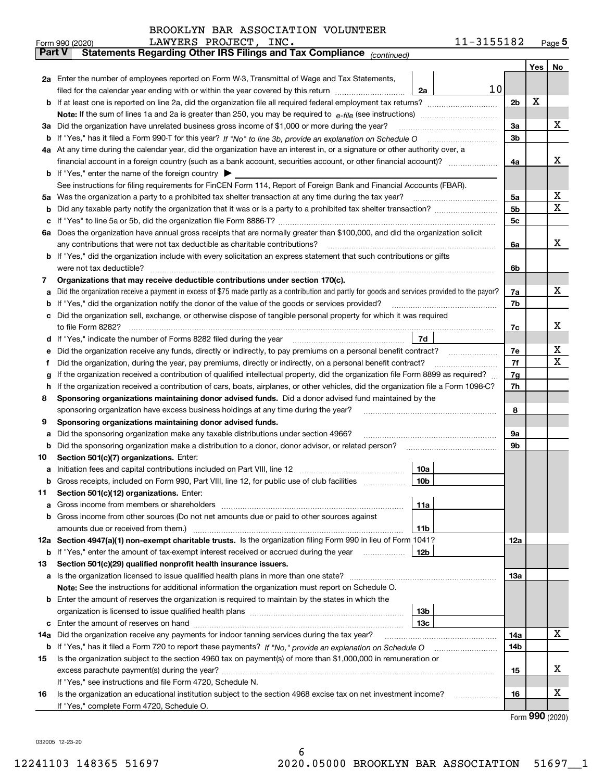|        |  | LAWYERS PROJECT, INC.<br>Form 990 (2020)                                                                                                        |                 | 11-3155182 |     |     | $Page$ <sup>5</sup> |  |  |  |  |
|--------|--|-------------------------------------------------------------------------------------------------------------------------------------------------|-----------------|------------|-----|-----|---------------------|--|--|--|--|
| Part V |  | Statements Regarding Other IRS Filings and Tax Compliance (continued)                                                                           |                 |            |     |     |                     |  |  |  |  |
|        |  |                                                                                                                                                 |                 |            |     | Yes | No                  |  |  |  |  |
|        |  | 2a Enter the number of employees reported on Form W-3, Transmittal of Wage and Tax Statements,                                                  |                 |            |     |     |                     |  |  |  |  |
|        |  | filed for the calendar year ending with or within the year covered by this return                                                               | 2a              | 10         |     | х   |                     |  |  |  |  |
|        |  |                                                                                                                                                 |                 |            |     |     |                     |  |  |  |  |
|        |  |                                                                                                                                                 |                 |            |     |     |                     |  |  |  |  |
| За     |  | Did the organization have unrelated business gross income of \$1,000 or more during the year?                                                   |                 |            | 3a  |     | х                   |  |  |  |  |
| b      |  |                                                                                                                                                 |                 |            | 3b  |     |                     |  |  |  |  |
|        |  | 4a At any time during the calendar year, did the organization have an interest in, or a signature or other authority over, a                    |                 |            |     |     |                     |  |  |  |  |
|        |  |                                                                                                                                                 |                 |            | 4a  |     | х                   |  |  |  |  |
|        |  | <b>b</b> If "Yes," enter the name of the foreign country $\blacktriangleright$                                                                  |                 |            |     |     |                     |  |  |  |  |
|        |  | See instructions for filing requirements for FinCEN Form 114, Report of Foreign Bank and Financial Accounts (FBAR).                             |                 |            |     |     |                     |  |  |  |  |
| 5а     |  | Was the organization a party to a prohibited tax shelter transaction at any time during the tax year?                                           |                 |            | 5a  |     | х                   |  |  |  |  |
| b      |  |                                                                                                                                                 |                 |            | 5b  |     | X                   |  |  |  |  |
| с      |  |                                                                                                                                                 |                 |            | 5c  |     |                     |  |  |  |  |
|        |  | 6a Does the organization have annual gross receipts that are normally greater than \$100,000, and did the organization solicit                  |                 |            |     |     |                     |  |  |  |  |
|        |  | any contributions that were not tax deductible as charitable contributions?                                                                     |                 |            | 6a  |     | x                   |  |  |  |  |
|        |  | <b>b</b> If "Yes," did the organization include with every solicitation an express statement that such contributions or gifts                   |                 |            |     |     |                     |  |  |  |  |
|        |  | were not tax deductible?                                                                                                                        |                 |            | 6b  |     |                     |  |  |  |  |
| 7      |  | Organizations that may receive deductible contributions under section 170(c).                                                                   |                 |            |     |     | х                   |  |  |  |  |
| а      |  | Did the organization receive a payment in excess of \$75 made partly as a contribution and partly for goods and services provided to the payor? |                 |            | 7a  |     |                     |  |  |  |  |
| b      |  | If "Yes," did the organization notify the donor of the value of the goods or services provided?                                                 |                 |            | 7b  |     |                     |  |  |  |  |
|        |  | Did the organization sell, exchange, or otherwise dispose of tangible personal property for which it was required                               |                 |            |     |     | х                   |  |  |  |  |
|        |  |                                                                                                                                                 | 7d              |            | 7c  |     |                     |  |  |  |  |
| d<br>е |  | Did the organization receive any funds, directly or indirectly, to pay premiums on a personal benefit contract?                                 |                 |            | 7e  |     | х                   |  |  |  |  |
| f      |  | Did the organization, during the year, pay premiums, directly or indirectly, on a personal benefit contract?                                    |                 |            | 7f  |     | X                   |  |  |  |  |
| g      |  | If the organization received a contribution of qualified intellectual property, did the organization file Form 8899 as required?                |                 |            | 7g  |     |                     |  |  |  |  |
| h      |  | If the organization received a contribution of cars, boats, airplanes, or other vehicles, did the organization file a Form 1098-C?              |                 |            | 7h  |     |                     |  |  |  |  |
| 8      |  | Sponsoring organizations maintaining donor advised funds. Did a donor advised fund maintained by the                                            |                 |            |     |     |                     |  |  |  |  |
|        |  | sponsoring organization have excess business holdings at any time during the year?                                                              |                 |            | 8   |     |                     |  |  |  |  |
| 9      |  | Sponsoring organizations maintaining donor advised funds.                                                                                       |                 |            |     |     |                     |  |  |  |  |
| а      |  | Did the sponsoring organization make any taxable distributions under section 4966?                                                              |                 |            | 9а  |     |                     |  |  |  |  |
| b      |  | Did the sponsoring organization make a distribution to a donor, donor advisor, or related person?                                               |                 |            | 9b  |     |                     |  |  |  |  |
| 10     |  | Section 501(c)(7) organizations. Enter:                                                                                                         |                 |            |     |     |                     |  |  |  |  |
| а      |  |                                                                                                                                                 | 10a             |            |     |     |                     |  |  |  |  |
|        |  | Gross receipts, included on Form 990, Part VIII, line 12, for public use of club facilities                                                     | 10b             |            |     |     |                     |  |  |  |  |
| 11     |  | Section 501(c)(12) organizations. Enter:                                                                                                        |                 |            |     |     |                     |  |  |  |  |
| а      |  | Gross income from members or shareholders                                                                                                       | 11a             |            |     |     |                     |  |  |  |  |
| b      |  | Gross income from other sources (Do not net amounts due or paid to other sources against                                                        |                 |            |     |     |                     |  |  |  |  |
|        |  |                                                                                                                                                 | 11b             |            |     |     |                     |  |  |  |  |
|        |  | 12a Section 4947(a)(1) non-exempt charitable trusts. Is the organization filing Form 990 in lieu of Form 1041?                                  |                 |            | 12a |     |                     |  |  |  |  |
|        |  | <b>b</b> If "Yes," enter the amount of tax-exempt interest received or accrued during the year                                                  | 12b             |            |     |     |                     |  |  |  |  |
| 13     |  | Section 501(c)(29) qualified nonprofit health insurance issuers.                                                                                |                 |            |     |     |                     |  |  |  |  |
| a      |  | Is the organization licensed to issue qualified health plans in more than one state?                                                            |                 |            | 13a |     |                     |  |  |  |  |
|        |  | Note: See the instructions for additional information the organization must report on Schedule O.                                               |                 |            |     |     |                     |  |  |  |  |
| b      |  | Enter the amount of reserves the organization is required to maintain by the states in which the                                                |                 |            |     |     |                     |  |  |  |  |
|        |  |                                                                                                                                                 | 13 <sub>b</sub> |            |     |     |                     |  |  |  |  |
| с      |  |                                                                                                                                                 | 13с             |            |     |     |                     |  |  |  |  |
| 14a    |  | Did the organization receive any payments for indoor tanning services during the tax year?                                                      |                 |            | 14a |     | x                   |  |  |  |  |
|        |  | <b>b</b> If "Yes," has it filed a Form 720 to report these payments? If "No," provide an explanation on Schedule O                              |                 |            | 14b |     |                     |  |  |  |  |
| 15     |  | Is the organization subject to the section 4960 tax on payment(s) of more than \$1,000,000 in remuneration or                                   |                 |            |     |     |                     |  |  |  |  |
|        |  |                                                                                                                                                 |                 |            | 15  |     | х                   |  |  |  |  |
|        |  | If "Yes," see instructions and file Form 4720, Schedule N.                                                                                      |                 |            |     |     |                     |  |  |  |  |
| 16     |  | Is the organization an educational institution subject to the section 4968 excise tax on net investment income?                                 |                 |            | 16  |     | х                   |  |  |  |  |
|        |  | If "Yes," complete Form 4720, Schedule O.                                                                                                       |                 |            |     |     |                     |  |  |  |  |

Form (2020) **990**

032005 12-23-20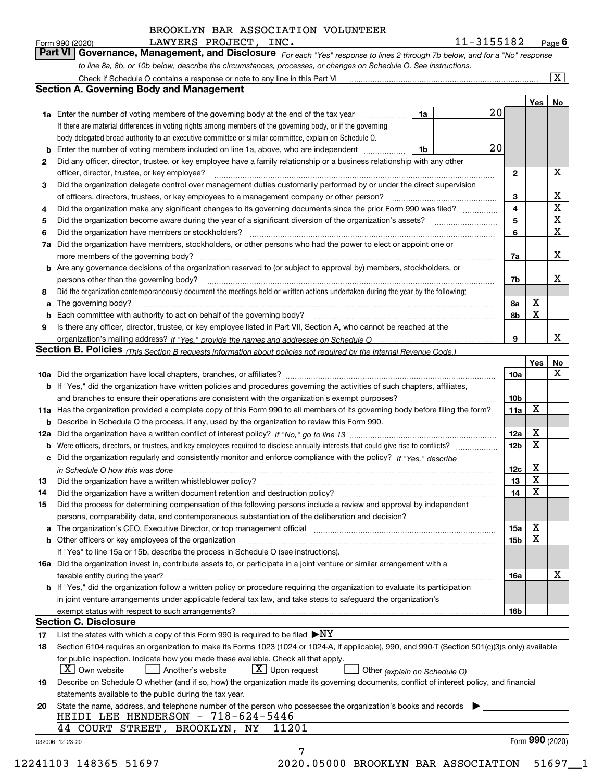*For each "Yes" response to lines 2 through 7b below, and for a "No" response to line 8a, 8b, or 10b below, describe the circumstances, processes, or changes on Schedule O. See instructions.* Form 990 (2020) **CONVICTS BROJECT, INC.** The same of the same of the same of the set of the set of the set of the set of the set of the set of the set of the set of the set of the set of the set of the set of the set of th

|     |                                                                                                                                                                                                                                |    |    |                         | Yes <sub>1</sub> | No          |
|-----|--------------------------------------------------------------------------------------------------------------------------------------------------------------------------------------------------------------------------------|----|----|-------------------------|------------------|-------------|
|     | <b>1a</b> Enter the number of voting members of the governing body at the end of the tax year <i>manumum</i>                                                                                                                   | 1a | 20 |                         |                  |             |
|     | If there are material differences in voting rights among members of the governing body, or if the governing                                                                                                                    |    |    |                         |                  |             |
|     | body delegated broad authority to an executive committee or similar committee, explain on Schedule O.                                                                                                                          |    |    |                         |                  |             |
|     | Enter the number of voting members included on line 1a, above, who are independent                                                                                                                                             | 1b | 20 |                         |                  |             |
| 2   | Did any officer, director, trustee, or key employee have a family relationship or a business relationship with any other                                                                                                       |    |    |                         |                  |             |
|     | officer, director, trustee, or key employee?                                                                                                                                                                                   |    |    | $\mathbf{2}$            |                  | х           |
| 3   | Did the organization delegate control over management duties customarily performed by or under the direct supervision                                                                                                          |    |    |                         |                  |             |
|     |                                                                                                                                                                                                                                |    |    | 3                       |                  | х           |
| 4   | Did the organization make any significant changes to its governing documents since the prior Form 990 was filed?                                                                                                               |    |    | $\overline{\mathbf{4}}$ |                  | $\mathbf X$ |
| 5   |                                                                                                                                                                                                                                |    |    | 5                       |                  | $\mathbf X$ |
| 6   | Did the organization have members or stockholders?                                                                                                                                                                             |    |    | 6                       |                  | $\mathbf x$ |
| 7a  | Did the organization have members, stockholders, or other persons who had the power to elect or appoint one or                                                                                                                 |    |    |                         |                  |             |
|     |                                                                                                                                                                                                                                |    |    | 7a                      |                  | х           |
|     | <b>b</b> Are any governance decisions of the organization reserved to (or subject to approval by) members, stockholders, or                                                                                                    |    |    |                         |                  |             |
|     | persons other than the governing body?                                                                                                                                                                                         |    |    | 7b                      |                  | х           |
| 8   | Did the organization contemporaneously document the meetings held or written actions undertaken during the year by the following:                                                                                              |    |    |                         |                  |             |
| a   |                                                                                                                                                                                                                                |    |    | 8a                      | х                |             |
|     |                                                                                                                                                                                                                                |    |    | 8b                      | X                |             |
| 9   | Is there any officer, director, trustee, or key employee listed in Part VII, Section A, who cannot be reached at the                                                                                                           |    |    |                         |                  |             |
|     |                                                                                                                                                                                                                                |    |    | 9                       |                  | х           |
|     |                                                                                                                                                                                                                                |    |    |                         |                  |             |
|     | Section B. Policies (This Section B requests information about policies not required by the Internal Revenue Code.)                                                                                                            |    |    |                         | Yes              |             |
|     |                                                                                                                                                                                                                                |    |    |                         |                  | No<br>X     |
|     |                                                                                                                                                                                                                                |    |    | 10a                     |                  |             |
|     | <b>b</b> If "Yes," did the organization have written policies and procedures governing the activities of such chapters, affiliates,                                                                                            |    |    |                         |                  |             |
|     |                                                                                                                                                                                                                                |    |    | 10 <sub>b</sub>         |                  |             |
|     | 11a Has the organization provided a complete copy of this Form 990 to all members of its governing body before filing the form?                                                                                                |    |    | 11a                     | X                |             |
|     | <b>b</b> Describe in Schedule O the process, if any, used by the organization to review this Form 990.                                                                                                                         |    |    |                         |                  |             |
| 12a |                                                                                                                                                                                                                                |    |    | <b>12a</b>              | х                |             |
| b   |                                                                                                                                                                                                                                |    |    | 12b                     | X                |             |
|     | c Did the organization regularly and consistently monitor and enforce compliance with the policy? If "Yes," describe                                                                                                           |    |    |                         |                  |             |
|     | in Schedule O how this was done measured and contained a strategie of the state of the state of the strategie o                                                                                                                |    |    | 12c                     | х                |             |
| 13  | Did the organization have a written whistleblower policy?<br>The content of the content of the content of the content of the content of the content of the content of the c                                                    |    |    | 13                      | X                |             |
| 14  | Did the organization have a written document retention and destruction policy? manufactured and the organization have a written document retention and destruction policy?                                                     |    |    | 14                      | X                |             |
| 15  | Did the process for determining compensation of the following persons include a review and approval by independent                                                                                                             |    |    |                         |                  |             |
|     | persons, comparability data, and contemporaneous substantiation of the deliberation and decision?                                                                                                                              |    |    |                         |                  |             |
|     | a The organization's CEO, Executive Director, or top management official [11] [12] The organization's CEO, Executive Director, or top management official [12] [12] [12] [12] The organization's CEO, Executive Director, or t |    |    | 15a                     | х                |             |
|     | <b>b</b> Other officers or key employees of the organization entering contained and the organization of the organization                                                                                                       |    |    | 15b                     | $\mathbf X$      |             |
|     | If "Yes" to line 15a or 15b, describe the process in Schedule O (see instructions).                                                                                                                                            |    |    |                         |                  |             |
|     | 16a Did the organization invest in, contribute assets to, or participate in a joint venture or similar arrangement with a                                                                                                      |    |    |                         |                  |             |
|     | taxable entity during the year?                                                                                                                                                                                                |    |    | 16a                     |                  | х           |
|     | b If "Yes," did the organization follow a written policy or procedure requiring the organization to evaluate its participation                                                                                                 |    |    |                         |                  |             |
|     | in joint venture arrangements under applicable federal tax law, and take steps to safeguard the organization's                                                                                                                 |    |    |                         |                  |             |
|     |                                                                                                                                                                                                                                |    |    | 16b                     |                  |             |
|     | <b>Section C. Disclosure</b>                                                                                                                                                                                                   |    |    |                         |                  |             |
| 17  | List the states with which a copy of this Form 990 is required to be filed $\blacktriangleright$ NY                                                                                                                            |    |    |                         |                  |             |
| 18  | Section 6104 requires an organization to make its Forms 1023 (1024 or 1024-A, if applicable), 990, and 990-T (Section 501(c)(3)s only) available                                                                               |    |    |                         |                  |             |
|     | for public inspection. Indicate how you made these available. Check all that apply.                                                                                                                                            |    |    |                         |                  |             |
|     | $ X $ Own website<br>$X$ Upon request<br>Another's website<br>Other (explain on Schedule O)                                                                                                                                    |    |    |                         |                  |             |
| 19  | Describe on Schedule O whether (and if so, how) the organization made its governing documents, conflict of interest policy, and financial                                                                                      |    |    |                         |                  |             |
|     | statements available to the public during the tax year.                                                                                                                                                                        |    |    |                         |                  |             |
| 20  | State the name, address, and telephone number of the person who possesses the organization's books and records                                                                                                                 |    |    |                         |                  |             |
|     | HEIDI LEE HENDERSON - 718-624-5446                                                                                                                                                                                             |    |    |                         |                  |             |
|     | 44 COURT STREET, BROOKLYN, NY<br>11201                                                                                                                                                                                         |    |    |                         |                  |             |
|     |                                                                                                                                                                                                                                |    |    |                         |                  |             |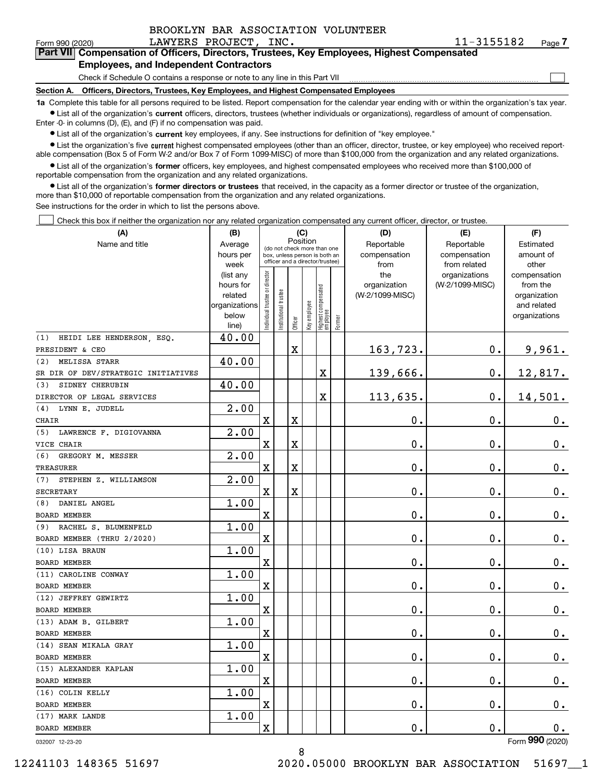|  | BROOKLYN BAR ASSOCIATION VOLUNTEER |  |
|--|------------------------------------|--|
|  |                                    |  |

 $\mathcal{L}^{\text{max}}$ 

#### Form 990 (2020) LAWYERS PROJECT, INC. 1 $1$ - $3155182$  Page **7Part VII Compensation of Officers, Directors, Trustees, Key Employees, Highest Compensated Employees, and Independent Contractors**

Check if Schedule O contains a response or note to any line in this Part VII

**Section A. Officers, Directors, Trustees, Key Employees, and Highest Compensated Employees**

**1a**  Complete this table for all persons required to be listed. Report compensation for the calendar year ending with or within the organization's tax year. **•** List all of the organization's current officers, directors, trustees (whether individuals or organizations), regardless of amount of compensation.

Enter -0- in columns (D), (E), and (F) if no compensation was paid.

 $\bullet$  List all of the organization's  $\,$ current key employees, if any. See instructions for definition of "key employee."

**•** List the organization's five current highest compensated employees (other than an officer, director, trustee, or key employee) who received reportable compensation (Box 5 of Form W-2 and/or Box 7 of Form 1099-MISC) of more than \$100,000 from the organization and any related organizations.

**•** List all of the organization's former officers, key employees, and highest compensated employees who received more than \$100,000 of reportable compensation from the organization and any related organizations.

**former directors or trustees**  ¥ List all of the organization's that received, in the capacity as a former director or trustee of the organization, more than \$10,000 of reportable compensation from the organization and any related organizations.

See instructions for the order in which to list the persons above.

Check this box if neither the organization nor any related organization compensated any current officer, director, or trustee.  $\mathcal{L}^{\text{max}}$ 

| (A)                                 | (B)                    |                                         |                                                                  | (C)         |              |                                  |        | (D)                 | (E)                              | (F)                      |
|-------------------------------------|------------------------|-----------------------------------------|------------------------------------------------------------------|-------------|--------------|----------------------------------|--------|---------------------|----------------------------------|--------------------------|
| Name and title                      | Average                | Position<br>(do not check more than one |                                                                  |             |              |                                  |        | Reportable          | Reportable                       | Estimated                |
|                                     | hours per              |                                         | box, unless person is both an<br>officer and a director/trustee) |             |              |                                  |        | compensation        | compensation                     | amount of                |
|                                     | week                   |                                         |                                                                  |             |              |                                  |        | from                | from related                     | other                    |
|                                     | (list any<br>hours for |                                         |                                                                  |             |              |                                  |        | the<br>organization | organizations<br>(W-2/1099-MISC) | compensation<br>from the |
|                                     | related                |                                         |                                                                  |             |              |                                  |        | (W-2/1099-MISC)     |                                  | organization             |
|                                     | organizations          |                                         |                                                                  |             |              |                                  |        |                     |                                  | and related              |
|                                     | below                  | ndividual trustee or director           | Institutional trustee                                            |             | Key employee |                                  |        |                     |                                  | organizations            |
|                                     | line)                  |                                         |                                                                  | Officer     |              | Highest compensated<br> employee | Former |                     |                                  |                          |
| HEIDI LEE HENDERSON, ESQ.<br>(1)    | 40.00                  |                                         |                                                                  |             |              |                                  |        |                     |                                  |                          |
| PRESIDENT & CEO                     |                        |                                         |                                                                  | $\mathbf X$ |              |                                  |        | 163,723.            | 0.                               | 9,961.                   |
| (2)<br>MELISSA STARR                | 40.00                  |                                         |                                                                  |             |              |                                  |        |                     |                                  |                          |
| SR DIR OF DEV/STRATEGIC INITIATIVES |                        |                                         |                                                                  |             |              | Χ                                |        | 139,666.            | $\mathbf 0$ .                    | 12,817.                  |
| SIDNEY CHERUBIN<br>(3)              | 40.00                  |                                         |                                                                  |             |              |                                  |        |                     |                                  |                          |
| DIRECTOR OF LEGAL SERVICES          |                        |                                         |                                                                  |             |              | X                                |        | 113,635.            | $\mathbf 0$ .                    | 14,501.                  |
| (4)<br>LYNN E. JUDELL               | 2.00                   |                                         |                                                                  |             |              |                                  |        |                     |                                  |                          |
| CHAIR                               |                        | X                                       |                                                                  | X           |              |                                  |        | 0.                  | 0.                               | $0_{.}$                  |
| LAWRENCE F. DIGIOVANNA<br>(5)       | 2.00                   |                                         |                                                                  |             |              |                                  |        |                     |                                  |                          |
| VICE CHAIR                          |                        | $\mathbf X$                             |                                                                  | X           |              |                                  |        | 0.                  | $\mathbf 0$ .                    | $0_{.}$                  |
| (6)<br>GREGORY M. MESSER            | 2.00                   |                                         |                                                                  |             |              |                                  |        |                     |                                  |                          |
| TREASURER                           |                        | X                                       |                                                                  | X           |              |                                  |        | 0.                  | 0.                               | $\mathbf 0$ .            |
| STEPHEN Z. WILLIAMSON<br>(7)        | 2.00                   |                                         |                                                                  |             |              |                                  |        |                     |                                  |                          |
| <b>SECRETARY</b>                    |                        | X                                       |                                                                  | X           |              |                                  |        | $\mathbf 0$ .       | $\mathbf 0$ .                    | $0_{.}$                  |
| DANIEL ANGEL<br>(8)                 | 1.00                   |                                         |                                                                  |             |              |                                  |        |                     |                                  |                          |
| <b>BOARD MEMBER</b>                 |                        | X                                       |                                                                  |             |              |                                  |        | 0.                  | $\mathbf 0$ .                    | $0_{.}$                  |
| RACHEL S. BLUMENFELD<br>(9)         | 1.00                   |                                         |                                                                  |             |              |                                  |        |                     |                                  |                          |
| BOARD MEMBER (THRU 2/2020)          |                        | $\overline{\textbf{X}}$                 |                                                                  |             |              |                                  |        | 0.                  | $\mathbf 0$ .                    | $0_{.}$                  |
| (10) LISA BRAUN                     | 1.00                   |                                         |                                                                  |             |              |                                  |        |                     |                                  |                          |
| BOARD MEMBER                        |                        | X                                       |                                                                  |             |              |                                  |        | $\mathbf 0$ .       | $\mathbf 0$ .                    | 0.                       |
| (11) CAROLINE CONWAY                | 1.00                   |                                         |                                                                  |             |              |                                  |        |                     |                                  |                          |
| <b>BOARD MEMBER</b>                 |                        | X                                       |                                                                  |             |              |                                  |        | 0.                  | 0.                               | $0_{.}$                  |
| (12) JEFFREY GEWIRTZ                | 1.00                   |                                         |                                                                  |             |              |                                  |        |                     |                                  |                          |
| <b>BOARD MEMBER</b>                 |                        | X                                       |                                                                  |             |              |                                  |        | 0.                  | $\mathbf 0$ .                    | $0_{.}$                  |
| (13) ADAM B. GILBERT                | 1.00                   |                                         |                                                                  |             |              |                                  |        |                     |                                  |                          |
| BOARD MEMBER                        |                        | X                                       |                                                                  |             |              |                                  |        | $\mathbf 0$ .       | 0.                               | $0_{.}$                  |
| (14) SEAN MIKALA GRAY               | 1.00                   |                                         |                                                                  |             |              |                                  |        |                     |                                  |                          |
| <b>BOARD MEMBER</b>                 |                        | $\mathbf x$                             |                                                                  |             |              |                                  |        | $\mathbf 0$ .       | $\mathbf 0$ .                    | $\mathbf 0$ .            |
| (15) ALEXANDER KAPLAN               | 1.00                   |                                         |                                                                  |             |              |                                  |        |                     |                                  |                          |
| <b>BOARD MEMBER</b>                 |                        | X                                       |                                                                  |             |              |                                  |        | $\mathbf 0$ .       | 0.                               | $\mathbf 0$ .            |
| (16) COLIN KELLY                    | 1.00                   |                                         |                                                                  |             |              |                                  |        |                     |                                  |                          |
| <b>BOARD MEMBER</b>                 |                        | X                                       |                                                                  |             |              |                                  |        | $\mathbf 0$ .       | $\mathbf 0$ .                    | 0.                       |
| (17) MARK LANDE                     | 1.00                   |                                         |                                                                  |             |              |                                  |        |                     |                                  |                          |
| <b>BOARD MEMBER</b>                 |                        | $\mathbf X$                             |                                                                  |             |              |                                  |        | 0.                  | $\mathbf 0$ .                    | 0.<br>$\overline{2}$     |

8

032007 12-23-20

Form (2020) **990**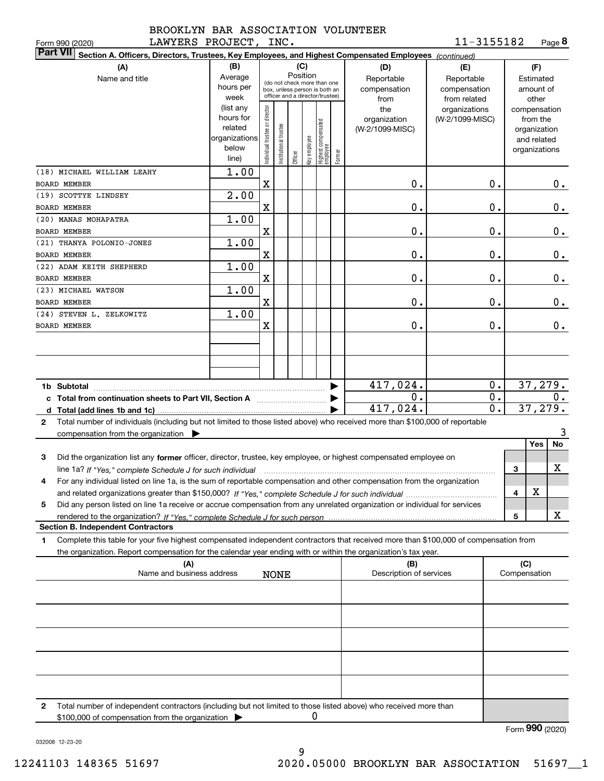| LAWYERS PROJECT, INC.<br>Form 990 (2020)                                                                                                                                                                                                                                         |                                                                                                                            |                                                                                                                                                                |                       |         |              |                                  |        |                                                | 11-3155182                                       |          |                     |                                                                                   | Page 8 |
|----------------------------------------------------------------------------------------------------------------------------------------------------------------------------------------------------------------------------------------------------------------------------------|----------------------------------------------------------------------------------------------------------------------------|----------------------------------------------------------------------------------------------------------------------------------------------------------------|-----------------------|---------|--------------|----------------------------------|--------|------------------------------------------------|--------------------------------------------------|----------|---------------------|-----------------------------------------------------------------------------------|--------|
| <b>Part VII</b><br>Section A. Officers, Directors, Trustees, Key Employees, and Highest Compensated Employees (continued)                                                                                                                                                        |                                                                                                                            |                                                                                                                                                                |                       |         |              |                                  |        |                                                |                                                  |          |                     |                                                                                   |        |
| (A)<br>Name and title                                                                                                                                                                                                                                                            | (B)<br>Average<br>hours per<br>week                                                                                        | (C)<br>(E)<br>(D)<br>Position<br>Reportable<br>(do not check more than one<br>compensation<br>box, unless person is both an<br>officer and a director/trustee) |                       |         |              |                                  |        |                                                | Reportable<br>compensation                       |          |                     | (F)<br>Estimated<br>amount of                                                     |        |
|                                                                                                                                                                                                                                                                                  | (list any<br>hours for<br>related<br>organizations<br>below<br>line)                                                       | Individual trustee or director                                                                                                                                 | Institutional trustee | Officer | Key employee | Highest compensated<br> employee | Former | from<br>the<br>organization<br>(W-2/1099-MISC) | from related<br>organizations<br>(W-2/1099-MISC) |          |                     | other<br>compensation<br>from the<br>organization<br>and related<br>organizations |        |
| (18) MICHAEL WILLIAM LEAHY<br><b>BOARD MEMBER</b>                                                                                                                                                                                                                                | 1.00                                                                                                                       | X                                                                                                                                                              |                       |         |              |                                  |        | 0.                                             |                                                  | 0.       |                     |                                                                                   | 0.     |
| (19) SCOTTYE LINDSEY<br><b>BOARD MEMBER</b>                                                                                                                                                                                                                                      | $\overline{2.00}$                                                                                                          | X                                                                                                                                                              |                       |         |              |                                  |        | 0.                                             |                                                  | 0.       |                     |                                                                                   | 0.     |
| (20) MANAS MOHAPATRA<br><b>BOARD MEMBER</b>                                                                                                                                                                                                                                      | 1.00                                                                                                                       | $\mathbf X$                                                                                                                                                    |                       |         |              |                                  |        | 0.                                             |                                                  | 0.       |                     |                                                                                   | 0.     |
| (21) THANYA POLONIO-JONES<br><b>BOARD MEMBER</b>                                                                                                                                                                                                                                 | 1.00                                                                                                                       | $\mathbf X$                                                                                                                                                    |                       |         |              |                                  |        | 0.                                             |                                                  | 0.       |                     |                                                                                   | 0.     |
| (22) ADAM KEITH SHEPHERD<br><b>BOARD MEMBER</b>                                                                                                                                                                                                                                  | 1.00                                                                                                                       | $\mathbf X$                                                                                                                                                    |                       |         |              |                                  |        | 0.                                             |                                                  | 0.       |                     |                                                                                   | 0.     |
| (23) MICHAEL WATSON<br><b>BOARD MEMBER</b>                                                                                                                                                                                                                                       | 1.00                                                                                                                       | $\mathbf X$                                                                                                                                                    |                       |         |              |                                  |        | 0.                                             |                                                  | 0.       |                     |                                                                                   | $0$ .  |
| (24) STEVEN L. ZELKOWITZ<br><b>BOARD MEMBER</b>                                                                                                                                                                                                                                  | 1.00                                                                                                                       | X                                                                                                                                                              |                       |         |              |                                  |        | 0.                                             |                                                  | 0.       |                     |                                                                                   | $0$ .  |
|                                                                                                                                                                                                                                                                                  |                                                                                                                            |                                                                                                                                                                |                       |         |              |                                  |        |                                                |                                                  |          |                     |                                                                                   |        |
| 1b Subtotal                                                                                                                                                                                                                                                                      |                                                                                                                            |                                                                                                                                                                |                       |         |              |                                  | ▶      | 417,024.                                       |                                                  | 0.       |                     | 37,279.                                                                           |        |
|                                                                                                                                                                                                                                                                                  |                                                                                                                            |                                                                                                                                                                |                       |         |              |                                  | ▶      | 0.<br>417,024.                                 |                                                  | 0.<br>0. |                     | 37,279.                                                                           | $0$ .  |
| Total number of individuals (including but not limited to those listed above) who received more than \$100,000 of reportable<br>2<br>compensation from the organization $\blacktriangleright$                                                                                    |                                                                                                                            |                                                                                                                                                                |                       |         |              |                                  |        |                                                |                                                  |          |                     |                                                                                   | 3      |
| 3<br>Did the organization list any former officer, director, trustee, key employee, or highest compensated employee on                                                                                                                                                           |                                                                                                                            |                                                                                                                                                                |                       |         |              |                                  |        |                                                |                                                  |          |                     | Yes                                                                               | No     |
| line 1a? If "Yes," complete Schedule J for such individual manufactured contained and the 1a? If "Yes," complete Schedule J for such individual<br>For any individual listed on line 1a, is the sum of reportable compensation and other compensation from the organization<br>4 |                                                                                                                            |                                                                                                                                                                |                       |         |              |                                  |        |                                                |                                                  |          | 3                   |                                                                                   | X      |
| 5                                                                                                                                                                                                                                                                                | Did any person listed on line 1a receive or accrue compensation from any unrelated organization or individual for services |                                                                                                                                                                |                       |         |              |                                  |        |                                                |                                                  |          | 4                   | X                                                                                 |        |
| rendered to the organization? If "Yes." complete Schedule J for such person<br><b>Section B. Independent Contractors</b>                                                                                                                                                         |                                                                                                                            |                                                                                                                                                                |                       |         |              |                                  |        |                                                |                                                  |          | 5                   |                                                                                   | x      |
| Complete this table for your five highest compensated independent contractors that received more than \$100,000 of compensation from<br>1<br>the organization. Report compensation for the calendar year ending with or within the organization's tax year.                      |                                                                                                                            |                                                                                                                                                                |                       |         |              |                                  |        |                                                |                                                  |          |                     |                                                                                   |        |
| (A)<br>Name and business address                                                                                                                                                                                                                                                 |                                                                                                                            |                                                                                                                                                                | <b>NONE</b>           |         |              |                                  |        | (B)<br>Description of services                 |                                                  |          | (C)<br>Compensation |                                                                                   |        |
|                                                                                                                                                                                                                                                                                  |                                                                                                                            |                                                                                                                                                                |                       |         |              |                                  |        |                                                |                                                  |          |                     |                                                                                   |        |

| Name and business address<br><b>NONE</b>                                                                                         | Description of services | Compensation    |
|----------------------------------------------------------------------------------------------------------------------------------|-------------------------|-----------------|
|                                                                                                                                  |                         |                 |
|                                                                                                                                  |                         |                 |
|                                                                                                                                  |                         |                 |
|                                                                                                                                  |                         |                 |
|                                                                                                                                  |                         |                 |
|                                                                                                                                  |                         |                 |
|                                                                                                                                  |                         |                 |
|                                                                                                                                  |                         |                 |
|                                                                                                                                  |                         |                 |
|                                                                                                                                  |                         |                 |
| Total number of independent contractors (including but not limited to those listed above) who received more than<br>$\mathbf{2}$ |                         |                 |
| \$100,000 of compensation from the organization >                                                                                |                         |                 |
|                                                                                                                                  |                         | Form 990 (2020) |

032008 12-23-20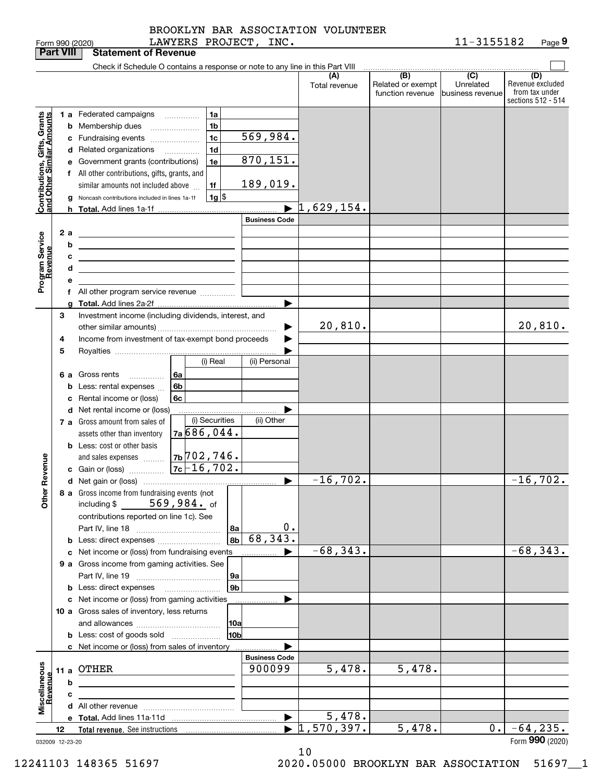|                                                           | <b>Part VIII</b> |   | <b>Statement of Revenue</b>                                                                                           |                                            |                       |                                    |                                              |                                                  |                                                                 |
|-----------------------------------------------------------|------------------|---|-----------------------------------------------------------------------------------------------------------------------|--------------------------------------------|-----------------------|------------------------------------|----------------------------------------------|--------------------------------------------------|-----------------------------------------------------------------|
|                                                           |                  |   | Check if Schedule O contains a response or note to any line in this Part VIII                                         |                                            |                       |                                    |                                              |                                                  |                                                                 |
|                                                           |                  |   |                                                                                                                       |                                            |                       | (A)<br>Total revenue               | (B)<br>Related or exempt<br>function revenue | $\overline{C}$<br>Unrelated<br> business revenue | (D)<br>Revenue excluded<br>from tax under<br>sections 512 - 514 |
|                                                           |                  |   | <b>1 a</b> Federated campaigns<br><b>b</b> Membership dues<br>$\ldots \ldots \ldots \ldots \ldots$                    | 1a<br>.<br>1 <sub>b</sub>                  |                       |                                    |                                              |                                                  |                                                                 |
|                                                           |                  |   | c Fundraising events                                                                                                  | 1 <sub>c</sub>                             | 569,984.              |                                    |                                              |                                                  |                                                                 |
|                                                           |                  |   | d Related organizations                                                                                               | 1 <sub>d</sub><br>$\overline{\phantom{a}}$ |                       |                                    |                                              |                                                  |                                                                 |
|                                                           |                  |   | e Government grants (contributions)                                                                                   | 1e                                         | 870, 151.             |                                    |                                              |                                                  |                                                                 |
| Contributions, Gifts, Grants<br>and Other Similar Amounts |                  |   | f All other contributions, gifts, grants, and<br>similar amounts not included above                                   | 1f                                         | 189,019.              |                                    |                                              |                                                  |                                                                 |
|                                                           |                  |   | Noncash contributions included in lines 1a-1f                                                                         | $1g$ \$                                    |                       |                                    |                                              |                                                  |                                                                 |
|                                                           |                  |   |                                                                                                                       |                                            |                       | $\blacktriangleright$ $1,629,154.$ |                                              |                                                  |                                                                 |
|                                                           |                  |   |                                                                                                                       |                                            | <b>Business Code</b>  |                                    |                                              |                                                  |                                                                 |
|                                                           | 2a               |   | <u> 1989 - Johann Barn, mars ann an t-Amhain Aonaich an t-Aonaich an t-Aonaich ann an t-Aonaich ann an t-Aonaich</u>  |                                            |                       |                                    |                                              |                                                  |                                                                 |
|                                                           |                  | b | the control of the control of the control of the control of the control of                                            |                                            |                       |                                    |                                              |                                                  |                                                                 |
|                                                           |                  | с | the contract of the contract of the contract of the contract of the contract of                                       |                                            |                       |                                    |                                              |                                                  |                                                                 |
|                                                           |                  | d | <u> 1989 - Johann Barn, mars ann an t-Amhain ann an t-Amhain an t-Amhain an t-Amhain an t-Amhain ann an t-Amhain </u> |                                            |                       |                                    |                                              |                                                  |                                                                 |
| Program Service<br>Revenue                                |                  | е |                                                                                                                       |                                            |                       |                                    |                                              |                                                  |                                                                 |
|                                                           |                  |   | f All other program service revenue                                                                                   |                                            |                       |                                    |                                              |                                                  |                                                                 |
|                                                           | 3                |   | Investment income (including dividends, interest, and                                                                 |                                            |                       |                                    |                                              |                                                  |                                                                 |
|                                                           |                  |   |                                                                                                                       |                                            |                       | 20, 810.                           |                                              |                                                  | 20,810.                                                         |
|                                                           | 4                |   | Income from investment of tax-exempt bond proceeds                                                                    |                                            |                       |                                    |                                              |                                                  |                                                                 |
|                                                           | 5                |   |                                                                                                                       |                                            |                       |                                    |                                              |                                                  |                                                                 |
|                                                           |                  |   |                                                                                                                       | (i) Real                                   | (ii) Personal         |                                    |                                              |                                                  |                                                                 |
|                                                           |                  |   | 6 a Gross rents<br>l 6a                                                                                               |                                            |                       |                                    |                                              |                                                  |                                                                 |
|                                                           |                  | b | 6b<br>Less: rental expenses                                                                                           |                                            |                       |                                    |                                              |                                                  |                                                                 |
|                                                           |                  | c | Rental income or (loss)<br>6c                                                                                         |                                            |                       |                                    |                                              |                                                  |                                                                 |
|                                                           |                  |   | d Net rental income or (loss)                                                                                         |                                            |                       |                                    |                                              |                                                  |                                                                 |
|                                                           |                  |   | 7 a Gross amount from sales of                                                                                        | (i) Securities                             | (ii) Other            |                                    |                                              |                                                  |                                                                 |
|                                                           |                  |   | assets other than inventory                                                                                           | 7a 686, 044.                               |                       |                                    |                                              |                                                  |                                                                 |
|                                                           |                  |   | <b>b</b> Less: cost or other basis                                                                                    |                                            |                       |                                    |                                              |                                                  |                                                                 |
|                                                           |                  |   |                                                                                                                       |                                            |                       |                                    |                                              |                                                  |                                                                 |
| Revenue                                                   |                  |   |                                                                                                                       |                                            |                       |                                    |                                              |                                                  |                                                                 |
| 늦                                                         |                  |   |                                                                                                                       |                                            | ▶                     | $-16, 702.$                        |                                              |                                                  | $-16,702.$                                                      |
| <b>Other</b>                                              |                  |   | 8 a Gross income from fundraising events (not<br>including \$<br>contributions reported on line 1c). See              | $569,984.$ of                              |                       |                                    |                                              |                                                  |                                                                 |
|                                                           |                  |   |                                                                                                                       | 8a                                         | 0.                    |                                    |                                              |                                                  |                                                                 |
|                                                           |                  |   | <b>b</b> Less: direct expenses                                                                                        | 8b                                         | 68,343.               |                                    |                                              |                                                  |                                                                 |
|                                                           |                  |   | c Net income or (loss) from fundraising events                                                                        |                                            | ▶                     | $-68, 343.$                        |                                              |                                                  | $-68, 343.$                                                     |
|                                                           |                  |   | 9 a Gross income from gaming activities. See                                                                          |                                            |                       |                                    |                                              |                                                  |                                                                 |
|                                                           |                  |   |                                                                                                                       | 9a                                         |                       |                                    |                                              |                                                  |                                                                 |
|                                                           |                  |   | <b>b</b> Less: direct expenses                                                                                        | 9 <sub>b</sub>                             |                       |                                    |                                              |                                                  |                                                                 |
|                                                           |                  |   | c Net income or (loss) from gaming activities                                                                         |                                            |                       |                                    |                                              |                                                  |                                                                 |
|                                                           |                  |   | 10 a Gross sales of inventory, less returns                                                                           |                                            |                       |                                    |                                              |                                                  |                                                                 |
|                                                           |                  |   |                                                                                                                       | 10a                                        |                       |                                    |                                              |                                                  |                                                                 |
|                                                           |                  |   | <b>b</b> Less: cost of goods sold                                                                                     | 10bl                                       |                       |                                    |                                              |                                                  |                                                                 |
|                                                           |                  |   | c Net income or (loss) from sales of inventory                                                                        |                                            | <b>Business Code</b>  |                                    |                                              |                                                  |                                                                 |
|                                                           |                  |   | 11 a OTHER                                                                                                            |                                            | 900099                | 5,478.                             | 5,478.                                       |                                                  |                                                                 |
|                                                           |                  | b |                                                                                                                       |                                            |                       |                                    |                                              |                                                  |                                                                 |
|                                                           |                  | c |                                                                                                                       |                                            |                       |                                    |                                              |                                                  |                                                                 |
| Miscellaneous<br>Revenue                                  |                  |   |                                                                                                                       |                                            |                       |                                    |                                              |                                                  |                                                                 |
|                                                           |                  |   |                                                                                                                       |                                            | $\blacktriangleright$ | 5,478.                             |                                              |                                                  |                                                                 |
|                                                           | 12               |   |                                                                                                                       |                                            |                       | 1,570,397.                         | 5,478.                                       | 0.                                               | $-64, 235.$                                                     |
| 032009 12-23-20                                           |                  |   |                                                                                                                       |                                            |                       |                                    |                                              |                                                  | Form 990 (2020)                                                 |

032009 12-23-20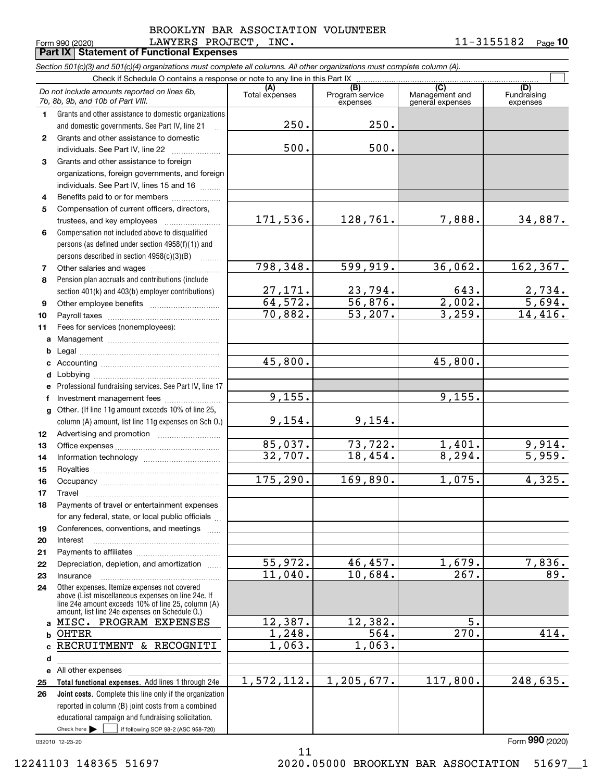#### Form 990 (2020) Page **Part IX Statement of Functional Expenses** LAWYERS PROJECT, INC. 11-3155182 BROOKLYN BAR ASSOCIATION VOLUNTEER

**10**

|              | Section 501(c)(3) and 501(c)(4) organizations must complete all columns. All other organizations must complete column (A).                                                                                 |                        |                             |                                    |                         |
|--------------|------------------------------------------------------------------------------------------------------------------------------------------------------------------------------------------------------------|------------------------|-----------------------------|------------------------------------|-------------------------|
|              | Check if Schedule O contains a response or note to any line in this Part IX                                                                                                                                |                        | (B)                         | (C)                                | (D)                     |
|              | Do not include amounts reported on lines 6b,<br>7b, 8b, 9b, and 10b of Part VIII.                                                                                                                          | (A)<br>Total expenses  | Program service<br>expenses | Management and<br>general expenses | Fundraising<br>expenses |
| 1.           | Grants and other assistance to domestic organizations                                                                                                                                                      |                        |                             |                                    |                         |
|              | and domestic governments. See Part IV, line 21<br>$\cdots$                                                                                                                                                 | 250.                   | 250.                        |                                    |                         |
| $\mathbf{2}$ | Grants and other assistance to domestic                                                                                                                                                                    |                        |                             |                                    |                         |
|              | individuals. See Part IV, line 22<br>$\overline{\phantom{a}}$                                                                                                                                              | 500.                   | 500.                        |                                    |                         |
| 3            | Grants and other assistance to foreign                                                                                                                                                                     |                        |                             |                                    |                         |
|              | organizations, foreign governments, and foreign                                                                                                                                                            |                        |                             |                                    |                         |
|              | individuals. See Part IV, lines 15 and 16                                                                                                                                                                  |                        |                             |                                    |                         |
| 4            | Benefits paid to or for members                                                                                                                                                                            |                        |                             |                                    |                         |
| 5            | Compensation of current officers, directors,                                                                                                                                                               |                        |                             |                                    |                         |
|              |                                                                                                                                                                                                            | 171,536.               | 128,761.                    | 7,888.                             | 34,887.                 |
| 6            | Compensation not included above to disqualified                                                                                                                                                            |                        |                             |                                    |                         |
|              | persons (as defined under section 4958(f)(1)) and                                                                                                                                                          |                        |                             |                                    |                         |
|              | persons described in section 4958(c)(3)(B)                                                                                                                                                                 | 798,348.               | 599,919.                    | 36,062.                            | 162, 367.               |
| 7            |                                                                                                                                                                                                            |                        |                             |                                    |                         |
| 8            | Pension plan accruals and contributions (include                                                                                                                                                           |                        | 23,794.                     | 643.                               |                         |
|              | section 401(k) and 403(b) employer contributions)                                                                                                                                                          | 27,171.<br>64,572.     | 56,876.                     | 2,002.                             | $\frac{2,734}{5,694}$   |
| 9            |                                                                                                                                                                                                            | 70,882.                | 53,207.                     | 3,259.                             | 14,416.                 |
| 10           |                                                                                                                                                                                                            |                        |                             |                                    |                         |
| 11           | Fees for services (nonemployees):                                                                                                                                                                          |                        |                             |                                    |                         |
| a            |                                                                                                                                                                                                            |                        |                             |                                    |                         |
| b            |                                                                                                                                                                                                            | 45,800.                |                             | 45,800.                            |                         |
| c            |                                                                                                                                                                                                            |                        |                             |                                    |                         |
| d<br>e       | Professional fundraising services. See Part IV, line 17                                                                                                                                                    |                        |                             |                                    |                         |
| f            | Investment management fees                                                                                                                                                                                 | 9,155.                 |                             | 9,155.                             |                         |
| $\mathbf{q}$ | Other. (If line 11g amount exceeds 10% of line 25,                                                                                                                                                         |                        |                             |                                    |                         |
|              | column (A) amount, list line 11g expenses on Sch 0.)                                                                                                                                                       | 9,154.                 | 9,154.                      |                                    |                         |
| 12           |                                                                                                                                                                                                            |                        |                             |                                    |                         |
| 13           |                                                                                                                                                                                                            | 85,037.                | 73,722.                     | 1,401.                             | 9,914.                  |
| 14           |                                                                                                                                                                                                            | 32,707.                | 18,454.                     | 8, 294.                            | $\overline{5,959.}$     |
| 15           |                                                                                                                                                                                                            |                        |                             |                                    |                         |
| 16           |                                                                                                                                                                                                            | 175,290.               | 169,890.                    | 1,075.                             | 4,325.                  |
| 17           |                                                                                                                                                                                                            |                        |                             |                                    |                         |
| 18           | Payments of travel or entertainment expenses                                                                                                                                                               |                        |                             |                                    |                         |
|              | for any federal, state, or local public officials                                                                                                                                                          |                        |                             |                                    |                         |
| 19           | Conferences, conventions, and meetings                                                                                                                                                                     |                        |                             |                                    |                         |
| 20           | Interest                                                                                                                                                                                                   |                        |                             |                                    |                         |
| 21           |                                                                                                                                                                                                            |                        |                             |                                    |                         |
| 22           | Depreciation, depletion, and amortization                                                                                                                                                                  | $\overline{55}$ , 972. | 46,457.                     | 1,679.                             | 7,836.                  |
| 23           | Insurance                                                                                                                                                                                                  | 11,040.                | 10,684.                     | 267.                               | 89.                     |
| 24           | Other expenses. Itemize expenses not covered<br>above (List miscellaneous expenses on line 24e. If<br>line 24e amount exceeds 10% of line 25, column (A)<br>amount, list line 24e expenses on Schedule 0.) |                        |                             |                                    |                         |
| a            | MISC. PROGRAM EXPENSES                                                                                                                                                                                     | 12,387.                | 12,382.                     | 5.                                 |                         |
| b            | <b>OHTER</b>                                                                                                                                                                                               | 1,248.                 | 564.                        | 270.                               | 414.                    |
| C            | RECRUITMENT & RECOGNITI                                                                                                                                                                                    | 1,063.                 | 1,063.                      |                                    |                         |
| d            |                                                                                                                                                                                                            |                        |                             |                                    |                         |
| е            | All other expenses                                                                                                                                                                                         |                        |                             |                                    |                         |
| 25           | Total functional expenses. Add lines 1 through 24e                                                                                                                                                         | 1,572,112.             | $\overline{1,205},677.$     | 117,800.                           | 248,635.                |
| 26           | Joint costs. Complete this line only if the organization                                                                                                                                                   |                        |                             |                                    |                         |
|              | reported in column (B) joint costs from a combined                                                                                                                                                         |                        |                             |                                    |                         |
|              | educational campaign and fundraising solicitation.                                                                                                                                                         |                        |                             |                                    |                         |
|              | Check here $\blacktriangleright$<br>if following SOP 98-2 (ASC 958-720)                                                                                                                                    |                        |                             |                                    |                         |

11

032010 12-23-20

Form (2020) **990**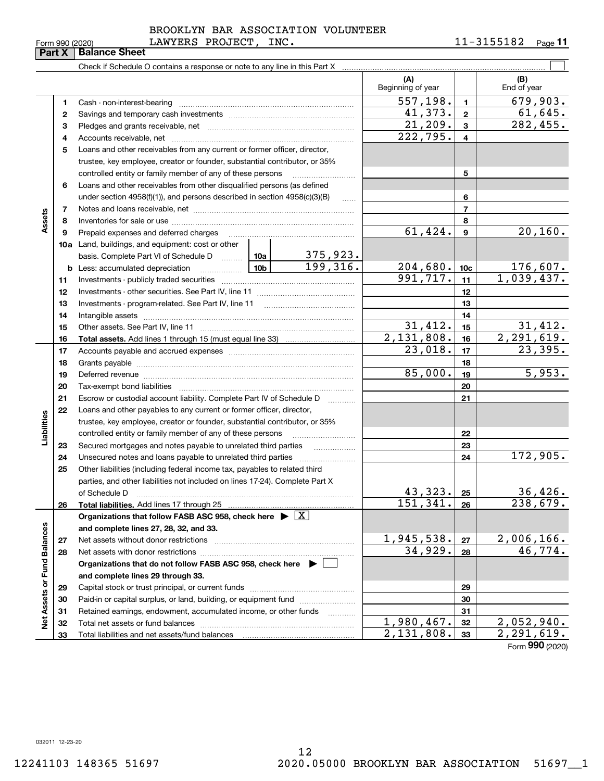|  | Form 990 (2020) |
|--|-----------------|
|  |                 |

#### Form 990 (2020) LAWYERS PROJECT, INC. 1 $1\text{--}3155182$  Page BROOKLYN BAR ASSOCIATION VOLUNTEER

|                             | Form 990 (2020)<br>Part X | UAWILKS PROULCI, INC.<br><b>Balance Sheet</b>                                                                                                                                                                                  |                         |                             |                            |                 | TT-PISSIOT<br>Page II           |
|-----------------------------|---------------------------|--------------------------------------------------------------------------------------------------------------------------------------------------------------------------------------------------------------------------------|-------------------------|-----------------------------|----------------------------|-----------------|---------------------------------|
|                             |                           |                                                                                                                                                                                                                                |                         |                             |                            |                 |                                 |
|                             |                           |                                                                                                                                                                                                                                |                         |                             |                            |                 |                                 |
|                             |                           |                                                                                                                                                                                                                                |                         |                             | (A)<br>Beginning of year   |                 | (B)<br>End of year              |
|                             | 1                         | Cash - non-interest-bearing                                                                                                                                                                                                    |                         |                             | <u>557,198.</u>            | $\mathbf{1}$    | $\overline{679}$ , 903.         |
|                             | 2                         |                                                                                                                                                                                                                                |                         |                             | 41,373.                    | $\mathbf{2}$    | 61,645.                         |
|                             | з                         |                                                                                                                                                                                                                                |                         |                             | 21, 209.                   | 3               | $\overline{282}$ , 455.         |
|                             | 4                         |                                                                                                                                                                                                                                | $\overline{222,795}$ .  | 4                           |                            |                 |                                 |
|                             | 5                         | Loans and other receivables from any current or former officer, director,                                                                                                                                                      |                         |                             |                            |                 |                                 |
|                             |                           | trustee, key employee, creator or founder, substantial contributor, or 35%                                                                                                                                                     |                         |                             |                            |                 |                                 |
|                             |                           | controlled entity or family member of any of these persons                                                                                                                                                                     |                         | 5                           |                            |                 |                                 |
|                             | 6                         | Loans and other receivables from other disqualified persons (as defined                                                                                                                                                        |                         |                             |                            |                 |                                 |
|                             |                           | under section 4958(f)(1)), and persons described in section 4958(c)(3)(B)                                                                                                                                                      |                         | $\ldots$                    |                            | 6               |                                 |
|                             | 7                         |                                                                                                                                                                                                                                |                         |                             |                            | $\overline{7}$  |                                 |
| Assets                      | 8                         |                                                                                                                                                                                                                                |                         |                             |                            | 8               |                                 |
|                             | 9                         | Prepaid expenses and deferred charges                                                                                                                                                                                          |                         |                             | 61,424.                    | 9               | 20, 160.                        |
|                             |                           | 10a Land, buildings, and equipment: cost or other                                                                                                                                                                              |                         |                             |                            |                 |                                 |
|                             |                           | basis. Complete Part VI of Schedule D  10a                                                                                                                                                                                     |                         |                             |                            |                 |                                 |
|                             |                           | <u>  10b</u>  <br><b>b</b> Less: accumulated depreciation                                                                                                                                                                      |                         | $\frac{375,923.}{199,316.}$ | 204,680.                   | 10 <sub>c</sub> | <u>176,607.</u>                 |
|                             | 11                        |                                                                                                                                                                                                                                |                         |                             | 991, 717.                  | 11              | 1,039,437.                      |
|                             | 12                        |                                                                                                                                                                                                                                |                         | 12                          |                            |                 |                                 |
|                             | 13                        |                                                                                                                                                                                                                                |                         | 13                          |                            |                 |                                 |
|                             | 14                        | Intangible assets                                                                                                                                                                                                              |                         | 14                          |                            |                 |                                 |
|                             | 15                        |                                                                                                                                                                                                                                | 31,412.                 | 15                          | 31,412.                    |                 |                                 |
|                             | 16                        |                                                                                                                                                                                                                                | $\overline{2,131},808.$ | 16                          | 2, 291, 619.               |                 |                                 |
|                             | 17                        |                                                                                                                                                                                                                                | $\overline{23,018}$ .   | 17                          | 23,395.                    |                 |                                 |
|                             | 18                        |                                                                                                                                                                                                                                |                         |                             | 18                         |                 |                                 |
|                             | 19                        | Deferred revenue material contracts and a contract of the contract of the contract of the contract of the contract of the contract of the contract of the contract of the contract of the contract of the contract of the cont |                         |                             | 85,000.                    | 19              | 5,953.                          |
|                             | 20                        |                                                                                                                                                                                                                                |                         |                             |                            | 20              |                                 |
|                             | 21                        | Escrow or custodial account liability. Complete Part IV of Schedule D                                                                                                                                                          |                         |                             |                            | 21              |                                 |
|                             | 22                        | Loans and other payables to any current or former officer, director,                                                                                                                                                           |                         |                             |                            |                 |                                 |
|                             |                           | trustee, key employee, creator or founder, substantial contributor, or 35%                                                                                                                                                     |                         |                             |                            |                 |                                 |
| Liabilities                 |                           | controlled entity or family member of any of these persons                                                                                                                                                                     |                         |                             |                            | 22              |                                 |
|                             | 23                        |                                                                                                                                                                                                                                |                         |                             |                            | 23              |                                 |
|                             | 24                        |                                                                                                                                                                                                                                |                         |                             |                            | 24              | 172,905.                        |
|                             | 25                        | Other liabilities (including federal income tax, payables to related third                                                                                                                                                     |                         |                             |                            |                 |                                 |
|                             |                           | parties, and other liabilities not included on lines 17-24). Complete Part X                                                                                                                                                   |                         |                             |                            |                 |                                 |
|                             |                           | of Schedule D                                                                                                                                                                                                                  |                         |                             | $\frac{43,323}{151,341}$ . | 25              | <u>36,426.</u>                  |
|                             | 26                        | Total liabilities. Add lines 17 through 25                                                                                                                                                                                     |                         |                             |                            | 26              | 238,679.                        |
|                             |                           | Organizations that follow FASB ASC 958, check here $\blacktriangleright \boxed{X}$                                                                                                                                             |                         |                             |                            |                 |                                 |
|                             |                           | and complete lines 27, 28, 32, and 33.                                                                                                                                                                                         |                         |                             |                            |                 |                                 |
|                             | 27                        | Net assets without donor restrictions                                                                                                                                                                                          |                         |                             | <u>1,945,538.</u>          | 27              | $\frac{2,006,166.}{46,774.}$    |
|                             | 28                        | Net assets with donor restrictions                                                                                                                                                                                             |                         |                             | 34,929.                    | 28              |                                 |
|                             |                           | Organizations that do not follow FASB ASC 958, check here ▶ □                                                                                                                                                                  |                         |                             |                            |                 |                                 |
|                             |                           | and complete lines 29 through 33.                                                                                                                                                                                              |                         |                             |                            |                 |                                 |
|                             | 29                        |                                                                                                                                                                                                                                |                         |                             |                            | 29              |                                 |
|                             | 30                        | Paid-in or capital surplus, or land, building, or equipment fund                                                                                                                                                               |                         |                             |                            | 30              |                                 |
| Net Assets or Fund Balances | 31                        | Retained earnings, endowment, accumulated income, or other funds                                                                                                                                                               |                         |                             |                            | 31              |                                 |
|                             | 32                        |                                                                                                                                                                                                                                |                         |                             | <u>1,980,467.</u>          | 32              | $\frac{2,052,940.}{2,291,619.}$ |
|                             | 33                        |                                                                                                                                                                                                                                |                         |                             | $\overline{2,131,808}$ .   | 33              |                                 |

Form (2020) **990**

032011 12-23-20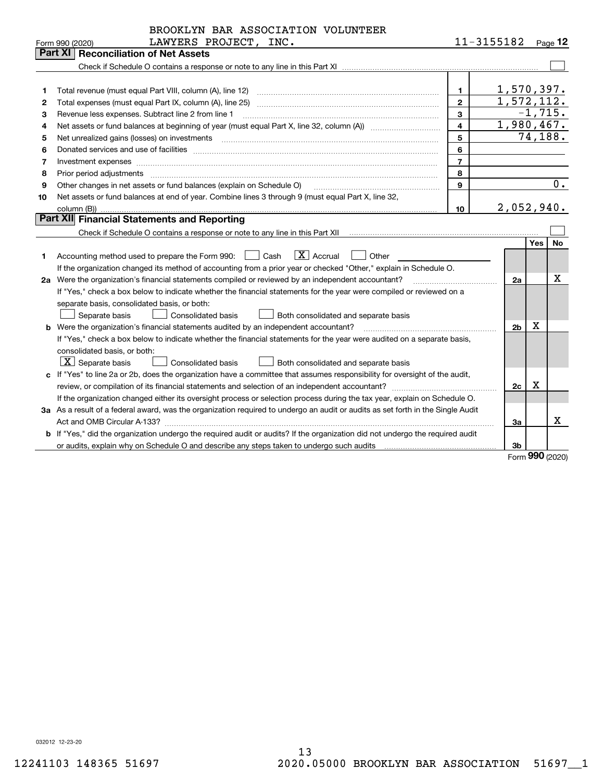|    | BROOKLYN BAR ASSOCIATION VOLUNTEER                                                                                                                                                                                                                                                                                                                                                                                                                                      |                |                |            |                     |
|----|-------------------------------------------------------------------------------------------------------------------------------------------------------------------------------------------------------------------------------------------------------------------------------------------------------------------------------------------------------------------------------------------------------------------------------------------------------------------------|----------------|----------------|------------|---------------------|
|    | LAWYERS PROJECT, INC.<br>Form 990 (2020)                                                                                                                                                                                                                                                                                                                                                                                                                                |                | 11-3155182     |            | $_{\text{Page}}$ 12 |
|    | Part XI I<br><b>Reconciliation of Net Assets</b>                                                                                                                                                                                                                                                                                                                                                                                                                        |                |                |            |                     |
|    |                                                                                                                                                                                                                                                                                                                                                                                                                                                                         |                |                |            |                     |
|    |                                                                                                                                                                                                                                                                                                                                                                                                                                                                         |                |                |            |                     |
| 1  |                                                                                                                                                                                                                                                                                                                                                                                                                                                                         | $\mathbf 1$    | 1,570,397.     |            |                     |
| 2  |                                                                                                                                                                                                                                                                                                                                                                                                                                                                         | $\mathbf{2}$   | 1,572,112.     |            |                     |
| 3  | Revenue less expenses. Subtract line 2 from line 1                                                                                                                                                                                                                                                                                                                                                                                                                      | 3              |                |            | $-1, 715.$          |
| 4  |                                                                                                                                                                                                                                                                                                                                                                                                                                                                         | $\overline{4}$ | 1,980,467.     |            |                     |
| 5  |                                                                                                                                                                                                                                                                                                                                                                                                                                                                         | 5              |                |            | 74,188.             |
| 6  | Donated services and use of facilities [111] Donated and the service of facilities [11] Donated services and use of facilities [11] Donated and the service of the service of the service of the service of the service of the                                                                                                                                                                                                                                          | 6              |                |            |                     |
| 7  |                                                                                                                                                                                                                                                                                                                                                                                                                                                                         | $\overline{7}$ |                |            |                     |
| 8  | Prior period adjustments<br>$\begin{minipage}{0.5\textwidth} \begin{tabular}{ l l l } \hline \multicolumn{1}{ l l l } \hline \multicolumn{1}{ l l } \multicolumn{1}{ l } \multicolumn{1}{ l } \multicolumn{1}{ l } \multicolumn{1}{ l } \multicolumn{1}{ l } \multicolumn{1}{ l } \multicolumn{1}{ l } \multicolumn{1}{ l } \multicolumn{1}{ l } \multicolumn{1}{ l } \multicolumn{1}{ l } \multicolumn{1}{ l } \multicolumn{1}{ l } \multicolumn{1}{ l } \multicolumn$ | 8              |                |            |                     |
| 9  | Other changes in net assets or fund balances (explain on Schedule O)                                                                                                                                                                                                                                                                                                                                                                                                    | 9              |                |            | 0.                  |
| 10 | Net assets or fund balances at end of year. Combine lines 3 through 9 (must equal Part X, line 32,                                                                                                                                                                                                                                                                                                                                                                      |                |                |            |                     |
|    | column (B))                                                                                                                                                                                                                                                                                                                                                                                                                                                             | 10             | 2,052,940.     |            |                     |
|    | Part XII Financial Statements and Reporting                                                                                                                                                                                                                                                                                                                                                                                                                             |                |                |            |                     |
|    |                                                                                                                                                                                                                                                                                                                                                                                                                                                                         |                |                |            |                     |
|    |                                                                                                                                                                                                                                                                                                                                                                                                                                                                         |                |                | Yes        | <b>No</b>           |
| 1  | $\boxed{\mathbf{X}}$ Accrual<br>Accounting method used to prepare the Form 990: <u>II</u> Cash<br>Other                                                                                                                                                                                                                                                                                                                                                                 |                |                |            |                     |
|    | If the organization changed its method of accounting from a prior year or checked "Other," explain in Schedule O.                                                                                                                                                                                                                                                                                                                                                       |                |                |            |                     |
|    | 2a Were the organization's financial statements compiled or reviewed by an independent accountant?                                                                                                                                                                                                                                                                                                                                                                      |                | 2a             |            | X                   |
|    | If "Yes," check a box below to indicate whether the financial statements for the year were compiled or reviewed on a                                                                                                                                                                                                                                                                                                                                                    |                |                |            |                     |
|    | separate basis, consolidated basis, or both:                                                                                                                                                                                                                                                                                                                                                                                                                            |                |                |            |                     |
|    | Separate basis<br>Consolidated basis<br>Both consolidated and separate basis                                                                                                                                                                                                                                                                                                                                                                                            |                |                |            |                     |
| b  | Were the organization's financial statements audited by an independent accountant?                                                                                                                                                                                                                                                                                                                                                                                      |                | 2 <sub>b</sub> | х          |                     |
|    | If "Yes," check a box below to indicate whether the financial statements for the year were audited on a separate basis,                                                                                                                                                                                                                                                                                                                                                 |                |                |            |                     |
|    | consolidated basis, or both:                                                                                                                                                                                                                                                                                                                                                                                                                                            |                |                |            |                     |
|    | $\boxed{\textbf{X}}$ Separate basis<br>Consolidated basis<br><b>Both consolidated and separate basis</b>                                                                                                                                                                                                                                                                                                                                                                |                |                |            |                     |
|    | c If "Yes" to line 2a or 2b, does the organization have a committee that assumes responsibility for oversight of the audit,                                                                                                                                                                                                                                                                                                                                             |                |                |            |                     |
|    |                                                                                                                                                                                                                                                                                                                                                                                                                                                                         |                | 2c             | X          |                     |
|    | If the organization changed either its oversight process or selection process during the tax year, explain on Schedule O.                                                                                                                                                                                                                                                                                                                                               |                |                |            |                     |
|    | 3a As a result of a federal award, was the organization required to undergo an audit or audits as set forth in the Single Audit                                                                                                                                                                                                                                                                                                                                         |                |                |            |                     |
|    |                                                                                                                                                                                                                                                                                                                                                                                                                                                                         |                | За             |            | x                   |
|    | b If "Yes," did the organization undergo the required audit or audits? If the organization did not undergo the required audit                                                                                                                                                                                                                                                                                                                                           |                |                |            |                     |
|    |                                                                                                                                                                                                                                                                                                                                                                                                                                                                         |                | 3b             | <u>nnn</u> |                     |

Form (2020) **990**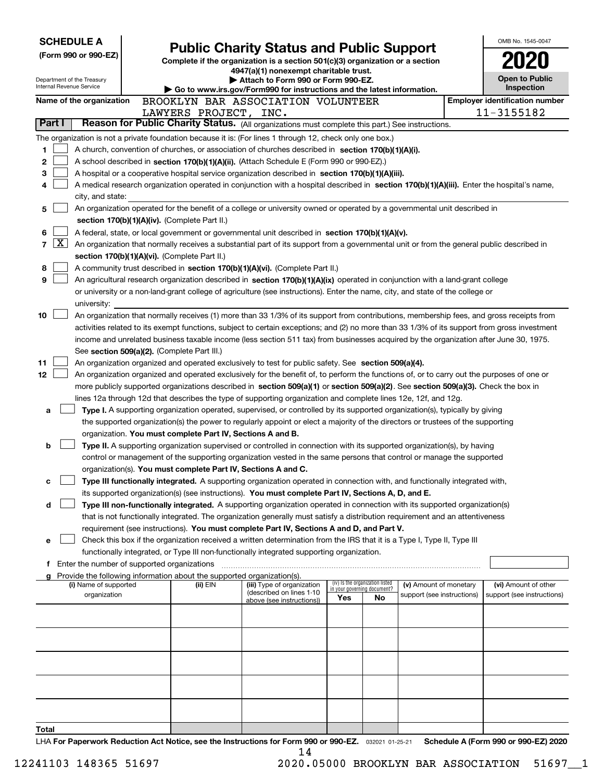| <b>SCHEDULE A</b>    |                            |  |                                                                        |                                                                                                                                                                                                                                                                                  |     |                                                                |                            | OMB No. 1545-0047                     |
|----------------------|----------------------------|--|------------------------------------------------------------------------|----------------------------------------------------------------------------------------------------------------------------------------------------------------------------------------------------------------------------------------------------------------------------------|-----|----------------------------------------------------------------|----------------------------|---------------------------------------|
| (Form 990 or 990-EZ) |                            |  | <b>Public Charity Status and Public Support</b>                        |                                                                                                                                                                                                                                                                                  |     |                                                                |                            |                                       |
|                      |                            |  |                                                                        | Complete if the organization is a section 501(c)(3) organization or a section<br>4947(a)(1) nonexempt charitable trust.                                                                                                                                                          |     |                                                                |                            |                                       |
|                      | Department of the Treasury |  |                                                                        | Attach to Form 990 or Form 990-EZ.                                                                                                                                                                                                                                               |     |                                                                |                            | <b>Open to Public</b>                 |
|                      | Internal Revenue Service   |  |                                                                        | Go to www.irs.gov/Form990 for instructions and the latest information.                                                                                                                                                                                                           |     |                                                                |                            | Inspection                            |
|                      | Name of the organization   |  |                                                                        | BROOKLYN BAR ASSOCIATION VOLUNTEER                                                                                                                                                                                                                                               |     |                                                                |                            | <b>Employer identification number</b> |
|                      |                            |  | LAWYERS PROJECT, INC.                                                  |                                                                                                                                                                                                                                                                                  |     |                                                                |                            | 11-3155182                            |
| Part I               |                            |  |                                                                        | Reason for Public Charity Status. (All organizations must complete this part.) See instructions.                                                                                                                                                                                 |     |                                                                |                            |                                       |
|                      |                            |  |                                                                        | The organization is not a private foundation because it is: (For lines 1 through 12, check only one box.)                                                                                                                                                                        |     |                                                                |                            |                                       |
| 1                    |                            |  |                                                                        | A church, convention of churches, or association of churches described in section 170(b)(1)(A)(i).                                                                                                                                                                               |     |                                                                |                            |                                       |
| 2                    |                            |  |                                                                        | A school described in section 170(b)(1)(A)(ii). (Attach Schedule E (Form 990 or 990-EZ).)                                                                                                                                                                                        |     |                                                                |                            |                                       |
| 3<br>4               |                            |  |                                                                        | A hospital or a cooperative hospital service organization described in section 170(b)(1)(A)(iii).<br>A medical research organization operated in conjunction with a hospital described in section 170(b)(1)(A)(iii). Enter the hospital's name,                                  |     |                                                                |                            |                                       |
|                      | city, and state:           |  |                                                                        |                                                                                                                                                                                                                                                                                  |     |                                                                |                            |                                       |
| 5                    |                            |  |                                                                        | An organization operated for the benefit of a college or university owned or operated by a governmental unit described in                                                                                                                                                        |     |                                                                |                            |                                       |
|                      |                            |  | section 170(b)(1)(A)(iv). (Complete Part II.)                          |                                                                                                                                                                                                                                                                                  |     |                                                                |                            |                                       |
| 6                    |                            |  |                                                                        | A federal, state, or local government or governmental unit described in section 170(b)(1)(A)(v).                                                                                                                                                                                 |     |                                                                |                            |                                       |
| $\overline{7}$       | X                          |  |                                                                        | An organization that normally receives a substantial part of its support from a governmental unit or from the general public described in                                                                                                                                        |     |                                                                |                            |                                       |
|                      |                            |  | section 170(b)(1)(A)(vi). (Complete Part II.)                          |                                                                                                                                                                                                                                                                                  |     |                                                                |                            |                                       |
| 8                    |                            |  |                                                                        | A community trust described in section 170(b)(1)(A)(vi). (Complete Part II.)                                                                                                                                                                                                     |     |                                                                |                            |                                       |
| 9                    |                            |  |                                                                        | An agricultural research organization described in section 170(b)(1)(A)(ix) operated in conjunction with a land-grant college                                                                                                                                                    |     |                                                                |                            |                                       |
|                      |                            |  |                                                                        | or university or a non-land-grant college of agriculture (see instructions). Enter the name, city, and state of the college or                                                                                                                                                   |     |                                                                |                            |                                       |
|                      | university:                |  |                                                                        |                                                                                                                                                                                                                                                                                  |     |                                                                |                            |                                       |
| 10                   |                            |  |                                                                        | An organization that normally receives (1) more than 33 1/3% of its support from contributions, membership fees, and gross receipts from                                                                                                                                         |     |                                                                |                            |                                       |
|                      |                            |  |                                                                        | activities related to its exempt functions, subject to certain exceptions; and (2) no more than 33 1/3% of its support from gross investment                                                                                                                                     |     |                                                                |                            |                                       |
|                      |                            |  |                                                                        | income and unrelated business taxable income (less section 511 tax) from businesses acquired by the organization after June 30, 1975.                                                                                                                                            |     |                                                                |                            |                                       |
|                      |                            |  | See section 509(a)(2). (Complete Part III.)                            |                                                                                                                                                                                                                                                                                  |     |                                                                |                            |                                       |
| 11                   |                            |  |                                                                        | An organization organized and operated exclusively to test for public safety. See section 509(a)(4).                                                                                                                                                                             |     |                                                                |                            |                                       |
| 12                   |                            |  |                                                                        | An organization organized and operated exclusively for the benefit of, to perform the functions of, or to carry out the purposes of one or<br>more publicly supported organizations described in section 509(a)(1) or section 509(a)(2). See section 509(a)(3). Check the box in |     |                                                                |                            |                                       |
|                      |                            |  |                                                                        | lines 12a through 12d that describes the type of supporting organization and complete lines 12e, 12f, and 12g.                                                                                                                                                                   |     |                                                                |                            |                                       |
| a                    |                            |  |                                                                        | Type I. A supporting organization operated, supervised, or controlled by its supported organization(s), typically by giving                                                                                                                                                      |     |                                                                |                            |                                       |
|                      |                            |  |                                                                        | the supported organization(s) the power to regularly appoint or elect a majority of the directors or trustees of the supporting                                                                                                                                                  |     |                                                                |                            |                                       |
|                      |                            |  | organization. You must complete Part IV, Sections A and B.             |                                                                                                                                                                                                                                                                                  |     |                                                                |                            |                                       |
| b                    |                            |  |                                                                        | Type II. A supporting organization supervised or controlled in connection with its supported organization(s), by having                                                                                                                                                          |     |                                                                |                            |                                       |
|                      |                            |  |                                                                        | control or management of the supporting organization vested in the same persons that control or manage the supported                                                                                                                                                             |     |                                                                |                            |                                       |
|                      |                            |  | organization(s). You must complete Part IV, Sections A and C.          |                                                                                                                                                                                                                                                                                  |     |                                                                |                            |                                       |
| с                    |                            |  |                                                                        | Type III functionally integrated. A supporting organization operated in connection with, and functionally integrated with,                                                                                                                                                       |     |                                                                |                            |                                       |
|                      |                            |  |                                                                        | its supported organization(s) (see instructions). You must complete Part IV, Sections A, D, and E.                                                                                                                                                                               |     |                                                                |                            |                                       |
| d                    |                            |  |                                                                        | Type III non-functionally integrated. A supporting organization operated in connection with its supported organization(s)                                                                                                                                                        |     |                                                                |                            |                                       |
|                      |                            |  |                                                                        | that is not functionally integrated. The organization generally must satisfy a distribution requirement and an attentiveness                                                                                                                                                     |     |                                                                |                            |                                       |
|                      |                            |  |                                                                        | requirement (see instructions). You must complete Part IV, Sections A and D, and Part V.                                                                                                                                                                                         |     |                                                                |                            |                                       |
| е                    |                            |  |                                                                        | Check this box if the organization received a written determination from the IRS that it is a Type I, Type II, Type III                                                                                                                                                          |     |                                                                |                            |                                       |
|                      |                            |  |                                                                        | functionally integrated, or Type III non-functionally integrated supporting organization.                                                                                                                                                                                        |     |                                                                |                            |                                       |
|                      |                            |  | Provide the following information about the supported organization(s). |                                                                                                                                                                                                                                                                                  |     |                                                                |                            |                                       |
|                      | (i) Name of supported      |  | (ii) EIN                                                               | (iii) Type of organization                                                                                                                                                                                                                                                       |     | (iv) Is the organization listed<br>in your governing document? | (v) Amount of monetary     | (vi) Amount of other                  |
|                      | organization               |  |                                                                        | (described on lines 1-10<br>above (see instructions))                                                                                                                                                                                                                            | Yes | No                                                             | support (see instructions) | support (see instructions)            |
|                      |                            |  |                                                                        |                                                                                                                                                                                                                                                                                  |     |                                                                |                            |                                       |
|                      |                            |  |                                                                        |                                                                                                                                                                                                                                                                                  |     |                                                                |                            |                                       |
|                      |                            |  |                                                                        |                                                                                                                                                                                                                                                                                  |     |                                                                |                            |                                       |
|                      |                            |  |                                                                        |                                                                                                                                                                                                                                                                                  |     |                                                                |                            |                                       |
|                      |                            |  |                                                                        |                                                                                                                                                                                                                                                                                  |     |                                                                |                            |                                       |
|                      |                            |  |                                                                        |                                                                                                                                                                                                                                                                                  |     |                                                                |                            |                                       |
|                      |                            |  |                                                                        |                                                                                                                                                                                                                                                                                  |     |                                                                |                            |                                       |
|                      |                            |  |                                                                        |                                                                                                                                                                                                                                                                                  |     |                                                                |                            |                                       |
|                      |                            |  |                                                                        |                                                                                                                                                                                                                                                                                  |     |                                                                |                            |                                       |
|                      |                            |  |                                                                        |                                                                                                                                                                                                                                                                                  |     |                                                                |                            |                                       |
| Total                |                            |  |                                                                        | UA For Departually Poduction Act Notice, and the Instructions for Form 000 or 000 F7 - 200004 of 05 of                                                                                                                                                                           |     |                                                                |                            | Schodule A (Form 000 or 000 FZ) 2020  |

LHA For Paperwork Reduction Act Notice, see the Instructions for Form 990 or 990-EZ. <sub>032021</sub> o1-25-21 Schedule A (Form 990 or 990-EZ) 2020 14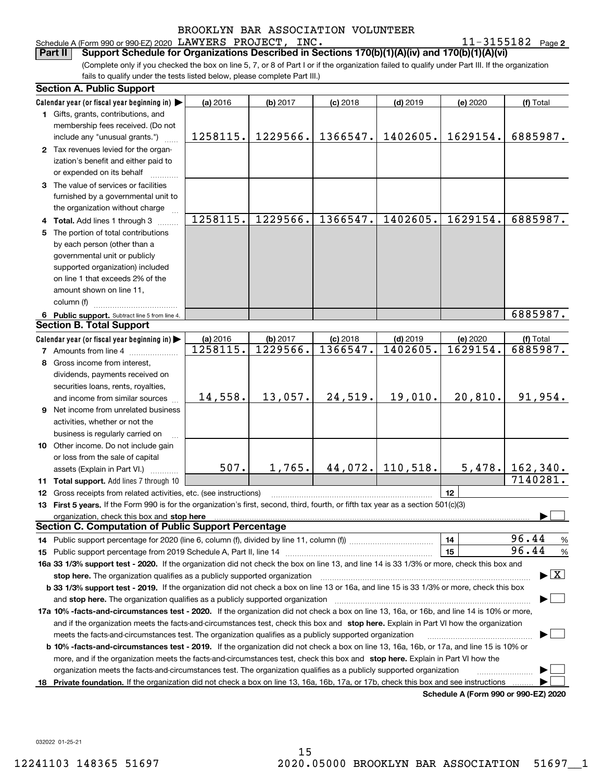Schedule A (Form 990 or 990-EZ) 2020 Page LAWYERS PROJECT, INC. 11-3155182

11-3155182 Page 2

(Complete only if you checked the box on line 5, 7, or 8 of Part I or if the organization failed to qualify under Part III. If the organization fails to qualify under the tests listed below, please complete Part III.) **Part II Support Schedule for Organizations Described in Sections 170(b)(1)(A)(iv) and 170(b)(1)(A)(vi)**

|    | <b>Section A. Public Support</b>                                                                                                               |          |          |            |                    |                                      |                                          |
|----|------------------------------------------------------------------------------------------------------------------------------------------------|----------|----------|------------|--------------------|--------------------------------------|------------------------------------------|
|    | Calendar year (or fiscal year beginning in)                                                                                                    | (a) 2016 | (b) 2017 | $(c)$ 2018 | $(d)$ 2019         | (e) 2020                             | (f) Total                                |
|    | 1 Gifts, grants, contributions, and                                                                                                            |          |          |            |                    |                                      |                                          |
|    | membership fees received. (Do not                                                                                                              |          |          |            |                    |                                      |                                          |
|    | include any "unusual grants.")                                                                                                                 | 1258115. | 1229566. | 1366547.   | 1402605.           | 1629154.                             | 6885987.                                 |
|    | 2 Tax revenues levied for the organ-                                                                                                           |          |          |            |                    |                                      |                                          |
|    | ization's benefit and either paid to                                                                                                           |          |          |            |                    |                                      |                                          |
|    | or expended on its behalf                                                                                                                      |          |          |            |                    |                                      |                                          |
|    | 3 The value of services or facilities                                                                                                          |          |          |            |                    |                                      |                                          |
|    | furnished by a governmental unit to                                                                                                            |          |          |            |                    |                                      |                                          |
|    | the organization without charge                                                                                                                |          |          |            |                    |                                      |                                          |
|    | 4 Total. Add lines 1 through 3                                                                                                                 | 1258115. | 1229566. | 1366547.   | 1402605.           | 1629154.                             | 6885987.                                 |
| 5. | The portion of total contributions                                                                                                             |          |          |            |                    |                                      |                                          |
|    | by each person (other than a                                                                                                                   |          |          |            |                    |                                      |                                          |
|    | governmental unit or publicly                                                                                                                  |          |          |            |                    |                                      |                                          |
|    | supported organization) included                                                                                                               |          |          |            |                    |                                      |                                          |
|    | on line 1 that exceeds 2% of the                                                                                                               |          |          |            |                    |                                      |                                          |
|    | amount shown on line 11,                                                                                                                       |          |          |            |                    |                                      |                                          |
|    | column (f)                                                                                                                                     |          |          |            |                    |                                      |                                          |
|    | 6 Public support. Subtract line 5 from line 4.                                                                                                 |          |          |            |                    |                                      | 6885987.                                 |
|    | <b>Section B. Total Support</b>                                                                                                                |          |          |            |                    |                                      |                                          |
|    | Calendar year (or fiscal year beginning in)                                                                                                    | (a) 2016 | (b) 2017 | $(c)$ 2018 | $(d)$ 2019         | (e) 2020                             | (f) Total                                |
|    | <b>7</b> Amounts from line 4                                                                                                                   | 1258115. | 1229566. | 1366547.   | 1402605.           | 1629154.                             | 6885987.                                 |
|    | 8 Gross income from interest,                                                                                                                  |          |          |            |                    |                                      |                                          |
|    | dividends, payments received on                                                                                                                |          |          |            |                    |                                      |                                          |
|    |                                                                                                                                                |          |          |            |                    |                                      |                                          |
|    | securities loans, rents, royalties,<br>and income from similar sources                                                                         | 14,558.  | 13,057.  | 24,519.    | 19,010.            | 20,810.                              | 91,954.                                  |
|    | <b>9</b> Net income from unrelated business                                                                                                    |          |          |            |                    |                                      |                                          |
|    |                                                                                                                                                |          |          |            |                    |                                      |                                          |
|    | activities, whether or not the                                                                                                                 |          |          |            |                    |                                      |                                          |
|    | business is regularly carried on                                                                                                               |          |          |            |                    |                                      |                                          |
|    | 10 Other income. Do not include gain                                                                                                           |          |          |            |                    |                                      |                                          |
|    | or loss from the sale of capital                                                                                                               | 507.     | 1,765.   |            | $44,072.$ 110,518. | 5,478.                               |                                          |
|    | assets (Explain in Part VI.)                                                                                                                   |          |          |            |                    |                                      | 162, 340.<br>7140281.                    |
|    | 11 Total support. Add lines 7 through 10                                                                                                       |          |          |            |                    |                                      |                                          |
|    | 12 Gross receipts from related activities, etc. (see instructions)                                                                             |          |          |            |                    | 12                                   |                                          |
|    | 13 First 5 years. If the Form 990 is for the organization's first, second, third, fourth, or fifth tax year as a section 501(c)(3)             |          |          |            |                    |                                      |                                          |
|    | organization, check this box and stop here                                                                                                     |          |          |            |                    |                                      |                                          |
|    | <b>Section C. Computation of Public Support Percentage</b>                                                                                     |          |          |            |                    |                                      |                                          |
|    | 14 Public support percentage for 2020 (line 6, column (f), divided by line 11, column (f) <i>mummumumum</i>                                    |          |          |            |                    | 14                                   | 96.44<br>%                               |
|    |                                                                                                                                                |          |          |            |                    | 15                                   | 96.44<br>%                               |
|    | 16a 33 1/3% support test - 2020. If the organization did not check the box on line 13, and line 14 is 33 1/3% or more, check this box and      |          |          |            |                    |                                      |                                          |
|    | stop here. The organization qualifies as a publicly supported organization                                                                     |          |          |            |                    |                                      | $\blacktriangleright$ $\boxed{\text{X}}$ |
|    | b 33 1/3% support test - 2019. If the organization did not check a box on line 13 or 16a, and line 15 is 33 1/3% or more, check this box       |          |          |            |                    |                                      |                                          |
|    | and stop here. The organization qualifies as a publicly supported organization                                                                 |          |          |            |                    |                                      |                                          |
|    | 17a 10% -facts-and-circumstances test - 2020. If the organization did not check a box on line 13, 16a, or 16b, and line 14 is 10% or more,     |          |          |            |                    |                                      |                                          |
|    | and if the organization meets the facts-and-circumstances test, check this box and stop here. Explain in Part VI how the organization          |          |          |            |                    |                                      |                                          |
|    | meets the facts-and-circumstances test. The organization qualifies as a publicly supported organization                                        |          |          |            |                    |                                      |                                          |
|    | <b>b 10% -facts-and-circumstances test - 2019.</b> If the organization did not check a box on line 13, 16a, 16b, or 17a, and line 15 is 10% or |          |          |            |                    |                                      |                                          |
|    | more, and if the organization meets the facts-and-circumstances test, check this box and stop here. Explain in Part VI how the                 |          |          |            |                    |                                      |                                          |
|    | organization meets the facts-and-circumstances test. The organization qualifies as a publicly supported organization                           |          |          |            |                    |                                      |                                          |
|    | 18 Private foundation. If the organization did not check a box on line 13, 16a, 16b, 17a, or 17b, check this box and see instructions          |          |          |            |                    |                                      |                                          |
|    |                                                                                                                                                |          |          |            |                    | Schedule A (Form 990 or 990-F7) 2020 |                                          |

**Schedule A (Form 990 or 990-EZ) 2020**

032022 01-25-21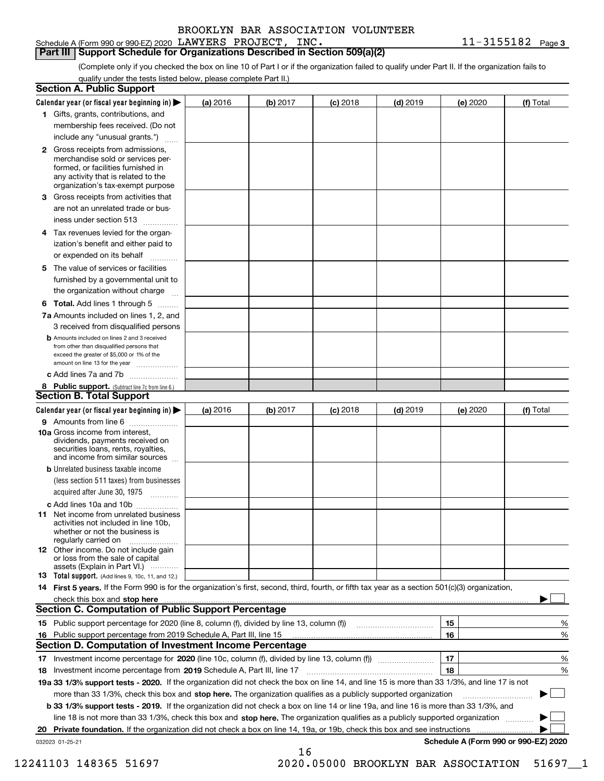Schedule A (Form 990 or 990-EZ) 2020 Page LAWYERS PROJECT, INC. 11-3155182

(Complete only if you checked the box on line 10 of Part I or if the organization failed to qualify under Part II. If the organization fails to **Part III Support Schedule for Organizations Described in Section 509(a)(2)** 

qualify under the tests listed below, please complete Part II.)

|    | <b>Section A. Public Support</b>                                                                                                                                                                |          |          |            |            |          |                                      |
|----|-------------------------------------------------------------------------------------------------------------------------------------------------------------------------------------------------|----------|----------|------------|------------|----------|--------------------------------------|
|    | Calendar year (or fiscal year beginning in) $\blacktriangleright$                                                                                                                               | (a) 2016 | (b) 2017 | $(c)$ 2018 | $(d)$ 2019 | (e) 2020 | (f) Total                            |
|    | 1 Gifts, grants, contributions, and                                                                                                                                                             |          |          |            |            |          |                                      |
|    | membership fees received. (Do not                                                                                                                                                               |          |          |            |            |          |                                      |
|    | include any "unusual grants.")                                                                                                                                                                  |          |          |            |            |          |                                      |
|    | <b>2</b> Gross receipts from admissions,<br>merchandise sold or services per-<br>formed, or facilities furnished in<br>any activity that is related to the<br>organization's tax-exempt purpose |          |          |            |            |          |                                      |
|    | 3 Gross receipts from activities that                                                                                                                                                           |          |          |            |            |          |                                      |
|    | are not an unrelated trade or bus-                                                                                                                                                              |          |          |            |            |          |                                      |
|    | iness under section 513                                                                                                                                                                         |          |          |            |            |          |                                      |
|    | 4 Tax revenues levied for the organ-                                                                                                                                                            |          |          |            |            |          |                                      |
|    | ization's benefit and either paid to                                                                                                                                                            |          |          |            |            |          |                                      |
|    | or expended on its behalf<br>.                                                                                                                                                                  |          |          |            |            |          |                                      |
|    | 5 The value of services or facilities<br>furnished by a governmental unit to                                                                                                                    |          |          |            |            |          |                                      |
|    | the organization without charge                                                                                                                                                                 |          |          |            |            |          |                                      |
|    | <b>6 Total.</b> Add lines 1 through 5                                                                                                                                                           |          |          |            |            |          |                                      |
|    | 7a Amounts included on lines 1, 2, and<br>3 received from disqualified persons                                                                                                                  |          |          |            |            |          |                                      |
|    | <b>b</b> Amounts included on lines 2 and 3 received<br>from other than disqualified persons that<br>exceed the greater of \$5,000 or 1% of the<br>amount on line 13 for the year                |          |          |            |            |          |                                      |
|    | c Add lines 7a and 7b                                                                                                                                                                           |          |          |            |            |          |                                      |
|    | 8 Public support. (Subtract line 7c from line 6.)<br>Section B. Total Support                                                                                                                   |          |          |            |            |          |                                      |
|    | Calendar year (or fiscal year beginning in)                                                                                                                                                     | (a) 2016 | (b) 2017 | $(c)$ 2018 | $(d)$ 2019 | (e) 2020 | (f) Total                            |
|    | 9 Amounts from line 6                                                                                                                                                                           |          |          |            |            |          |                                      |
|    | <b>10a</b> Gross income from interest,<br>dividends, payments received on<br>securities loans, rents, royalties,<br>and income from similar sources                                             |          |          |            |            |          |                                      |
|    | <b>b</b> Unrelated business taxable income                                                                                                                                                      |          |          |            |            |          |                                      |
|    | (less section 511 taxes) from businesses                                                                                                                                                        |          |          |            |            |          |                                      |
|    | acquired after June 30, 1975                                                                                                                                                                    |          |          |            |            |          |                                      |
|    | c Add lines 10a and 10b                                                                                                                                                                         |          |          |            |            |          |                                      |
|    | 11 Net income from unrelated business<br>activities not included in line 10b,<br>whether or not the business is<br>regularly carried on                                                         |          |          |            |            |          |                                      |
|    | 12 Other income. Do not include gain<br>or loss from the sale of capital<br>assets (Explain in Part VI.)                                                                                        |          |          |            |            |          |                                      |
|    | <b>13</b> Total support. (Add lines 9, 10c, 11, and 12.)                                                                                                                                        |          |          |            |            |          |                                      |
|    | 14 First 5 years. If the Form 990 is for the organization's first, second, third, fourth, or fifth tax year as a section 501(c)(3) organization,                                                |          |          |            |            |          |                                      |
|    | check this box and stop here www.altamana.com/management/community/community/community/community/community/comm                                                                                 |          |          |            |            |          |                                      |
|    | <b>Section C. Computation of Public Support Percentage</b>                                                                                                                                      |          |          |            |            |          |                                      |
|    | 15 Public support percentage for 2020 (line 8, column (f), divided by line 13, column (f))                                                                                                      |          |          |            |            | 15       | %                                    |
|    | 16 Public support percentage from 2019 Schedule A, Part III, line 15                                                                                                                            |          |          |            |            | 16       | %                                    |
|    | <b>Section D. Computation of Investment Income Percentage</b>                                                                                                                                   |          |          |            |            |          |                                      |
|    | 17 Investment income percentage for 2020 (line 10c, column (f), divided by line 13, column (f))                                                                                                 |          |          |            |            | 17       | %                                    |
|    | 18 Investment income percentage from 2019 Schedule A, Part III, line 17                                                                                                                         |          |          |            |            | 18       | %                                    |
|    | 19a 33 1/3% support tests - 2020. If the organization did not check the box on line 14, and line 15 is more than 33 1/3%, and line 17 is not                                                    |          |          |            |            |          |                                      |
|    | more than 33 1/3%, check this box and stop here. The organization qualifies as a publicly supported organization                                                                                |          |          |            |            |          | $\sim$ 1                             |
|    | b 33 1/3% support tests - 2019. If the organization did not check a box on line 14 or line 19a, and line 16 is more than 33 1/3%, and                                                           |          |          |            |            |          |                                      |
|    | line 18 is not more than 33 1/3%, check this box and stop here. The organization qualifies as a publicly supported organization                                                                 |          |          |            |            |          |                                      |
| 20 | Private foundation. If the organization did not check a box on line 14, 19a, or 19b, check this box and see instructions                                                                        |          |          |            |            |          |                                      |
|    | 032023 01-25-21                                                                                                                                                                                 |          |          |            |            |          | Schedule A (Form 990 or 990-EZ) 2020 |
|    |                                                                                                                                                                                                 |          | 16       |            |            |          |                                      |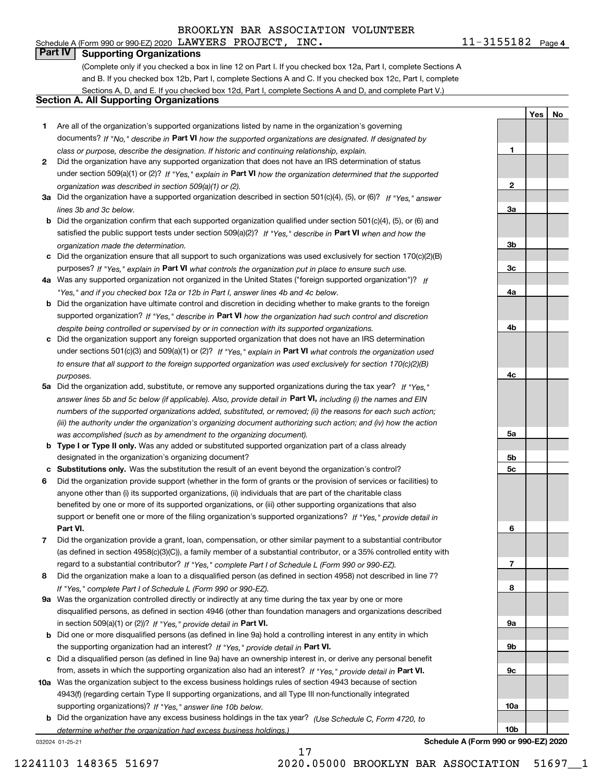#### Schedule A (Form 990 or 990-EZ) 2020 Page LAWYERS PROJECT, INC. 11-3155182 **Part IV Supporting Organizations**

(Complete only if you checked a box in line 12 on Part I. If you checked box 12a, Part I, complete Sections A and B. If you checked box 12b, Part I, complete Sections A and C. If you checked box 12c, Part I, complete Sections A, D, and E. If you checked box 12d, Part I, complete Sections A and D, and complete Part V.)

#### **Section A. All Supporting Organizations**

- **1** Are all of the organization's supported organizations listed by name in the organization's governing documents? If "No," describe in **Part VI** how the supported organizations are designated. If designated by *class or purpose, describe the designation. If historic and continuing relationship, explain.*
- **2**under section 509(a)(1) or (2)? If "Yes," explain in Part VI how the organization determined that the supported *organization was described in section 509(a)(1) or (2).* Did the organization have any supported organization that does not have an IRS determination of status
- **3a** Did the organization have a supported organization described in section 501(c)(4), (5), or (6)? If "Yes," answer *lines 3b and 3c below.*
- **b** Did the organization confirm that each supported organization qualified under section 501(c)(4), (5), or (6) and satisfied the public support tests under section 509(a)(2)? If "Yes," describe in **Part VI** when and how the *organization made the determination.*
- **c**Did the organization ensure that all support to such organizations was used exclusively for section 170(c)(2)(B) purposes? If "Yes," explain in **Part VI** what controls the organization put in place to ensure such use.
- **4a** *If* Was any supported organization not organized in the United States ("foreign supported organization")? *"Yes," and if you checked box 12a or 12b in Part I, answer lines 4b and 4c below.*
- **b** Did the organization have ultimate control and discretion in deciding whether to make grants to the foreign supported organization? If "Yes," describe in **Part VI** how the organization had such control and discretion *despite being controlled or supervised by or in connection with its supported organizations.*
- **c** Did the organization support any foreign supported organization that does not have an IRS determination under sections 501(c)(3) and 509(a)(1) or (2)? If "Yes," explain in **Part VI** what controls the organization used *to ensure that all support to the foreign supported organization was used exclusively for section 170(c)(2)(B) purposes.*
- **5a***If "Yes,"* Did the organization add, substitute, or remove any supported organizations during the tax year? answer lines 5b and 5c below (if applicable). Also, provide detail in **Part VI,** including (i) the names and EIN *numbers of the supported organizations added, substituted, or removed; (ii) the reasons for each such action; (iii) the authority under the organization's organizing document authorizing such action; and (iv) how the action was accomplished (such as by amendment to the organizing document).*
- **b** Type I or Type II only. Was any added or substituted supported organization part of a class already designated in the organization's organizing document?
- **cSubstitutions only.**  Was the substitution the result of an event beyond the organization's control?
- **6** Did the organization provide support (whether in the form of grants or the provision of services or facilities) to **Part VI.** *If "Yes," provide detail in* support or benefit one or more of the filing organization's supported organizations? anyone other than (i) its supported organizations, (ii) individuals that are part of the charitable class benefited by one or more of its supported organizations, or (iii) other supporting organizations that also
- **7**Did the organization provide a grant, loan, compensation, or other similar payment to a substantial contributor *If "Yes," complete Part I of Schedule L (Form 990 or 990-EZ).* regard to a substantial contributor? (as defined in section 4958(c)(3)(C)), a family member of a substantial contributor, or a 35% controlled entity with
- **8***If "Yes," complete Part I of Schedule L (Form 990 or 990-EZ).* Did the organization make a loan to a disqualified person (as defined in section 4958) not described in line 7?
- **9a** Was the organization controlled directly or indirectly at any time during the tax year by one or more in section 509(a)(1) or (2))? If "Yes," *provide detail in* <code>Part VI.</code> disqualified persons, as defined in section 4946 (other than foundation managers and organizations described
- **b**the supporting organization had an interest? If "Yes," provide detail in P**art VI**. Did one or more disqualified persons (as defined in line 9a) hold a controlling interest in any entity in which
- **c**Did a disqualified person (as defined in line 9a) have an ownership interest in, or derive any personal benefit from, assets in which the supporting organization also had an interest? If "Yes," provide detail in P**art VI.**
- **10a** Was the organization subject to the excess business holdings rules of section 4943 because of section supporting organizations)? If "Yes," answer line 10b below. 4943(f) (regarding certain Type II supporting organizations, and all Type III non-functionally integrated
- **b** Did the organization have any excess business holdings in the tax year? (Use Schedule C, Form 4720, to *determine whether the organization had excess business holdings.)*

032024 01-25-21

| $\mathbf{1}$    |  |  |
|-----------------|--|--|
|                 |  |  |
|                 |  |  |
| $\overline{2}$  |  |  |
|                 |  |  |
| $\frac{3a}{2}$  |  |  |
|                 |  |  |
|                 |  |  |
|                 |  |  |
| 3 <sub>b</sub>  |  |  |
|                 |  |  |
| $\frac{3c}{2}$  |  |  |
|                 |  |  |
| <u>4a</u>       |  |  |
|                 |  |  |
|                 |  |  |
| 4 <sub>b</sub>  |  |  |
|                 |  |  |
|                 |  |  |
|                 |  |  |
| 4 <sub>c</sub>  |  |  |
|                 |  |  |
|                 |  |  |
|                 |  |  |
|                 |  |  |
| <u>5a</u>       |  |  |
|                 |  |  |
| <u>5b</u>       |  |  |
| <u>5c</u>       |  |  |
|                 |  |  |
|                 |  |  |
|                 |  |  |
|                 |  |  |
|                 |  |  |
| $6 \overline{}$ |  |  |
|                 |  |  |
|                 |  |  |
| $\overline{1}$  |  |  |
|                 |  |  |
| 8               |  |  |
|                 |  |  |
|                 |  |  |
| <u>9a</u>       |  |  |
|                 |  |  |
| <u>9b</u>       |  |  |
|                 |  |  |
| <u>9c</u>       |  |  |
|                 |  |  |
|                 |  |  |
| 10a             |  |  |

11-3155182 Page 4

**YesNo**

**Schedule A (Form 990 or 990-EZ) 2020**

**10b**

17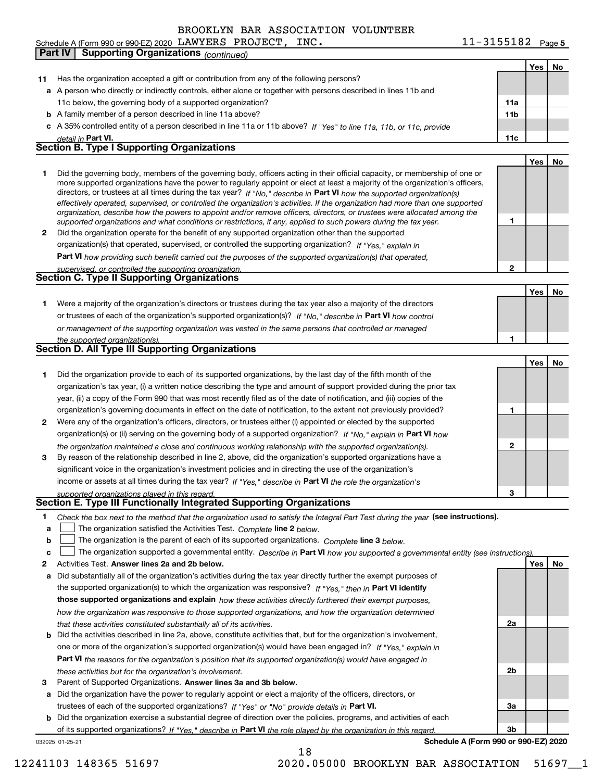**Yes No 11** Has the organization accepted a gift or contribution from any of the following persons? **a**A person who directly or indirectly controls, either alone or together with persons described in lines 11b and **b** A family member of a person described in line 11a above? **c** A 35% controlled entity of a person described in line 11a or 11b above? If "Yes" to line 11a, 11b, or 11c, provide **11a11bPart VI. 11c Yes No 12** Did the organization operate for the benefit of any supported organization other than the supported directors, or trustees at all times during the tax year? If "No," describe in **Part VI** how the supported organization(s) **12Part VI**  *how providing such benefit carried out the purposes of the supported organization(s) that operated,* **Yes No 1** Were a majority of the organization's directors or trustees during the tax year also a majority of the directors or trustees of each of the organization's supported organization(s)? If "No," describe in **Part VI** how control **1Yes No 1** Did the organization provide to each of its supported organizations, by the last day of the fifth month of the **2** Were any of the organization's officers, directors, or trustees either (i) appointed or elected by the supported **3123**organization(s) or (ii) serving on the governing body of a supported organization? If "No," explain in **Part VI** how income or assets at all times during the tax year? If "Yes," describe in **Part VI** the role the organization's **12Answer lines 2a and 2b below. Yes No** Activities Test. **3**Check the box next to the method that the organization used to satisfy the Integral Part Test during the year (see instructions). **abclinupy** The organization satisfied the Activities Test. Complete line 2 below. The organization is the parent of each of its supported organizations. *Complete* line 3 *below.* The organization supported a governmental entity. *Describe in* Part **VI** *how you supported a governmental entity (see instruction<u>s).</u>* **a** Did substantially all of the organization's activities during the tax year directly further the exempt purposes of **b** Did the activities described in line 2a, above, constitute activities that, but for the organization's involvement, **a** Did the organization have the power to regularly appoint or elect a majority of the officers, directors, or the supported organization(s) to which the organization was responsive? If "Yes," then in **Part VI identify those supported organizations and explain**  *how these activities directly furthered their exempt purposes,* **2a 2b3aPart VI**  *the reasons for the organization's position that its supported organization(s) would have engaged in* Parent of Supported Organizations. Answer lines 3a and 3b below. trustees of each of the supported organizations? If "Yes" or "No" provide details in **Part VI.** *detail in effectively operated, supervised, or controlled the organization's activities. If the organization had more than one supported organization, describe how the powers to appoint and/or remove officers, directors, or trustees were allocated among the supported organizations and what conditions or restrictions, if any, applied to such powers during the tax year. If "Yes," explain in* organization(s) that operated, supervised, or controlled the supporting organization? *supervised, or controlled the supporting organization. or management of the supporting organization was vested in the same persons that controlled or managed the supported organization(s). the organization maintained a close and continuous working relationship with the supported organization(s). supported organizations played in this regard. how the organization was responsive to those supported organizations, and how the organization determined that these activities constituted substantially all of its activities.* one or more of the organization's supported organization(s) would have been engaged in? If "Yes," e*xplain in these activities but for the organization's involvement.* 11c below, the governing body of a supported organization? Did the governing body, members of the governing body, officers acting in their official capacity, or membership of one or more supported organizations have the power to regularly appoint or elect at least a majority of the organization's officers, organization's tax year, (i) a written notice describing the type and amount of support provided during the prior tax year, (ii) a copy of the Form 990 that was most recently filed as of the date of notification, and (iii) copies of the organization's governing documents in effect on the date of notification, to the extent not previously provided? By reason of the relationship described in line 2, above, did the organization's supported organizations have a significant voice in the organization's investment policies and in directing the use of the organization's **Part IV Supporting Organizations** *(continued)* **Section B. Type I Supporting Organizations Section C. Type II Supporting Organizations Section D. All Type III Supporting Organizations Section E. Type III Functionally Integrated Supporting Organizations**  $\mathcal{L}^{\text{max}}$  $\mathcal{L}^{\text{max}}$ 

**b** Did the organization exercise a substantial degree of direction over the policies, programs, and activities of each of its supported organizations? If "Yes," describe in Part VI the role played by the organization in this regard.

18

032025 01-25-21

**Schedule A (Form 990 or 990-EZ) 2020**

**3b**

12241103 148365 51697 2020.05000 BROOKLYN BAR ASSOCIATION 51697\_\_1

# Schedule A (Form 990 or 990-EZ) 2020 Page LAWYERS PROJECT, INC. 11-3155182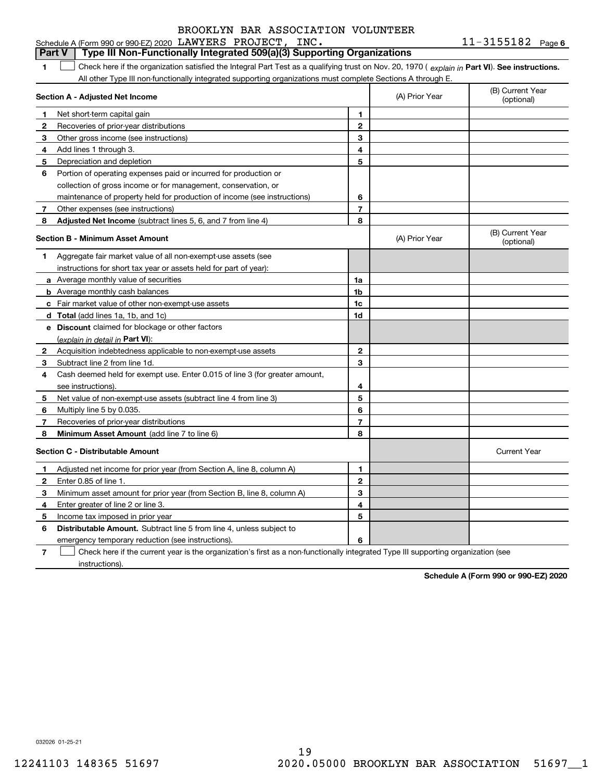#### **1Part VI** Check here if the organization satisfied the Integral Part Test as a qualifying trust on Nov. 20, 1970 ( explain in Part **VI**). See instructions. **Section A - Adjusted Net Income 123** Other gross income (see instructions) **4**Add lines 1 through 3. **56** Portion of operating expenses paid or incurred for production or **7** Other expenses (see instructions) **8** Adjusted Net Income (subtract lines 5, 6, and 7 from line 4) **8 8 1234567Section B - Minimum Asset Amount 1**Aggregate fair market value of all non-exempt-use assets (see **2**Acquisition indebtedness applicable to non-exempt-use assets **3** Subtract line 2 from line 1d. **4**Cash deemed held for exempt use. Enter 0.015 of line 3 (for greater amount, **5** Net value of non-exempt-use assets (subtract line 4 from line 3) **678a** Average monthly value of securities **b** Average monthly cash balances **c**Fair market value of other non-exempt-use assets **dTotal**  (add lines 1a, 1b, and 1c) **eDiscount** claimed for blockage or other factors **1a1b1c1d2345678**(explain in detail in Part VI): **Minimum Asset Amount**  (add line 7 to line 6) **Section C - Distributable Amount 12**Enter 0.85 of line 1. **3456123456Distributable Amount.** Subtract line 5 from line 4, unless subject to All other Type III non-functionally integrated supporting organizations must complete Sections A through E. (B) Current Year (optional)(A) Prior Year Net short-term capital gain Recoveries of prior-year distributions Depreciation and depletion collection of gross income or for management, conservation, or maintenance of property held for production of income (see instructions) (B) Current Year (optional)(A) Prior Year instructions for short tax year or assets held for part of year): see instructions). Multiply line 5 by 0.035. Recoveries of prior-year distributions Current Year Adjusted net income for prior year (from Section A, line 8, column A) Minimum asset amount for prior year (from Section B, line 8, column A) Enter greater of line 2 or line 3. Income tax imposed in prior year emergency temporary reduction (see instructions). **Part V Type III Non-Functionally Integrated 509(a)(3) Supporting Organizations**   $\mathcal{L}^{\text{max}}$

**7**Check here if the current year is the organization's first as a non-functionally integrated Type III supporting organization (see instructions). $\mathcal{L}^{\text{max}}$ 

**Schedule A (Form 990 or 990-EZ) 2020**

032026 01-25-21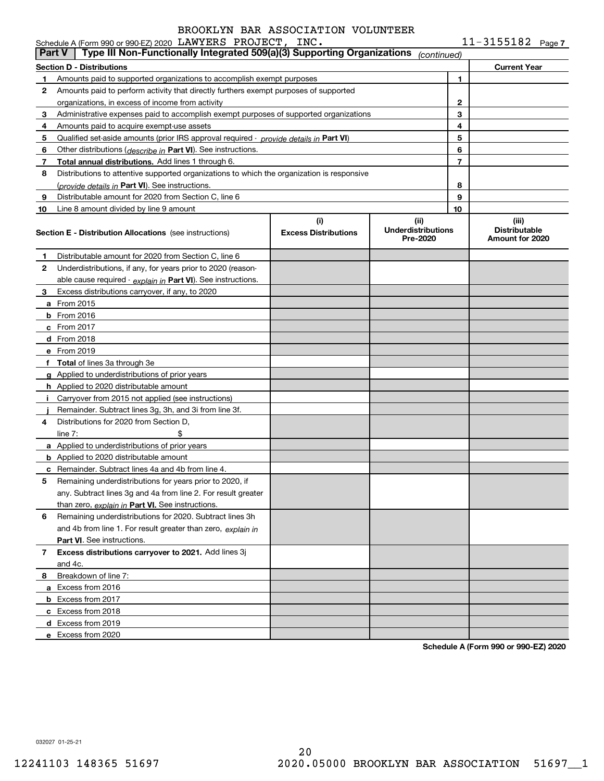|  | ⊥-3155182 <sub>Page 7</sub> |
|--|-----------------------------|
|--|-----------------------------|

|               | Schedule A (Form 990 or 990-EZ) 2020 LAWYERS PROJECT, INC.                                    |                                    |                                               |    | $11 - 3155182$ Page 7                            |
|---------------|-----------------------------------------------------------------------------------------------|------------------------------------|-----------------------------------------------|----|--------------------------------------------------|
| <b>Part V</b> | Type III Non-Functionally Integrated 509(a)(3) Supporting Organizations                       |                                    | (continued)                                   |    |                                                  |
|               | Section D - Distributions                                                                     |                                    |                                               |    | <b>Current Year</b>                              |
| 1.            | Amounts paid to supported organizations to accomplish exempt purposes                         |                                    |                                               | 1  |                                                  |
| 2             | Amounts paid to perform activity that directly furthers exempt purposes of supported          |                                    |                                               |    |                                                  |
|               | organizations, in excess of income from activity                                              |                                    | 2                                             |    |                                                  |
| 3             | Administrative expenses paid to accomplish exempt purposes of supported organizations         |                                    |                                               | 3  |                                                  |
| 4             | Amounts paid to acquire exempt-use assets                                                     |                                    |                                               | 4  |                                                  |
| 5             | Qualified set-aside amounts (prior IRS approval required - <i>provide details in</i> Part VI) |                                    |                                               | 5  |                                                  |
| 6             | Other distributions (describe in Part VI). See instructions.                                  |                                    |                                               | 6  |                                                  |
| 7             | Total annual distributions. Add lines 1 through 6.                                            |                                    |                                               | 7  |                                                  |
| 8             | Distributions to attentive supported organizations to which the organization is responsive    |                                    |                                               |    |                                                  |
|               | ( <i>provide details in</i> Part VI). See instructions.                                       |                                    |                                               | 8  |                                                  |
| 9             | Distributable amount for 2020 from Section C, line 6                                          |                                    |                                               | 9  |                                                  |
| 10            | Line 8 amount divided by line 9 amount                                                        |                                    |                                               | 10 |                                                  |
|               | <b>Section E - Distribution Allocations</b> (see instructions)                                | (i)<br><b>Excess Distributions</b> | (ii)<br><b>Underdistributions</b><br>Pre-2020 |    | (iii)<br><b>Distributable</b><br>Amount for 2020 |
| 1             | Distributable amount for 2020 from Section C, line 6                                          |                                    |                                               |    |                                                  |
| 2             | Underdistributions, if any, for years prior to 2020 (reason-                                  |                                    |                                               |    |                                                  |
|               | able cause required $\cdot$ explain in Part VI). See instructions.                            |                                    |                                               |    |                                                  |
| 3             | Excess distributions carryover, if any, to 2020                                               |                                    |                                               |    |                                                  |
|               | <b>a</b> From 2015                                                                            |                                    |                                               |    |                                                  |
|               | <b>b</b> From 2016                                                                            |                                    |                                               |    |                                                  |
|               | <b>c</b> From 2017                                                                            |                                    |                                               |    |                                                  |
|               | d From 2018                                                                                   |                                    |                                               |    |                                                  |
|               | e From 2019                                                                                   |                                    |                                               |    |                                                  |
|               | f Total of lines 3a through 3e                                                                |                                    |                                               |    |                                                  |
|               | g Applied to underdistributions of prior years                                                |                                    |                                               |    |                                                  |
|               | <b>h</b> Applied to 2020 distributable amount                                                 |                                    |                                               |    |                                                  |
| Ť.            | Carryover from 2015 not applied (see instructions)                                            |                                    |                                               |    |                                                  |
|               | Remainder. Subtract lines 3g, 3h, and 3i from line 3f.                                        |                                    |                                               |    |                                                  |
| 4             | Distributions for 2020 from Section D.                                                        |                                    |                                               |    |                                                  |
|               | \$<br>line $7:$                                                                               |                                    |                                               |    |                                                  |
|               | a Applied to underdistributions of prior years                                                |                                    |                                               |    |                                                  |
|               | <b>b</b> Applied to 2020 distributable amount                                                 |                                    |                                               |    |                                                  |
|               | <b>c</b> Remainder. Subtract lines 4a and 4b from line 4.                                     |                                    |                                               |    |                                                  |
|               | Remaining underdistributions for years prior to 2020, if                                      |                                    |                                               |    |                                                  |
|               | any. Subtract lines 3g and 4a from line 2. For result greater                                 |                                    |                                               |    |                                                  |
|               | than zero, explain in Part VI. See instructions.                                              |                                    |                                               |    |                                                  |
| 6             | Remaining underdistributions for 2020. Subtract lines 3h                                      |                                    |                                               |    |                                                  |
|               | and 4b from line 1. For result greater than zero, explain in                                  |                                    |                                               |    |                                                  |
|               | <b>Part VI.</b> See instructions.                                                             |                                    |                                               |    |                                                  |
| 7             | Excess distributions carryover to 2021. Add lines 3j                                          |                                    |                                               |    |                                                  |
|               | and 4c.                                                                                       |                                    |                                               |    |                                                  |
| 8             | Breakdown of line 7:                                                                          |                                    |                                               |    |                                                  |
|               | a Excess from 2016                                                                            |                                    |                                               |    |                                                  |
|               | <b>b</b> Excess from 2017                                                                     |                                    |                                               |    |                                                  |
|               | c Excess from 2018                                                                            |                                    |                                               |    |                                                  |
|               | d Excess from 2019                                                                            |                                    |                                               |    |                                                  |
|               | e Excess from 2020                                                                            |                                    |                                               |    |                                                  |
|               |                                                                                               |                                    |                                               |    |                                                  |

**Schedule A (Form 990 or 990-EZ) 2020**

032027 01-25-21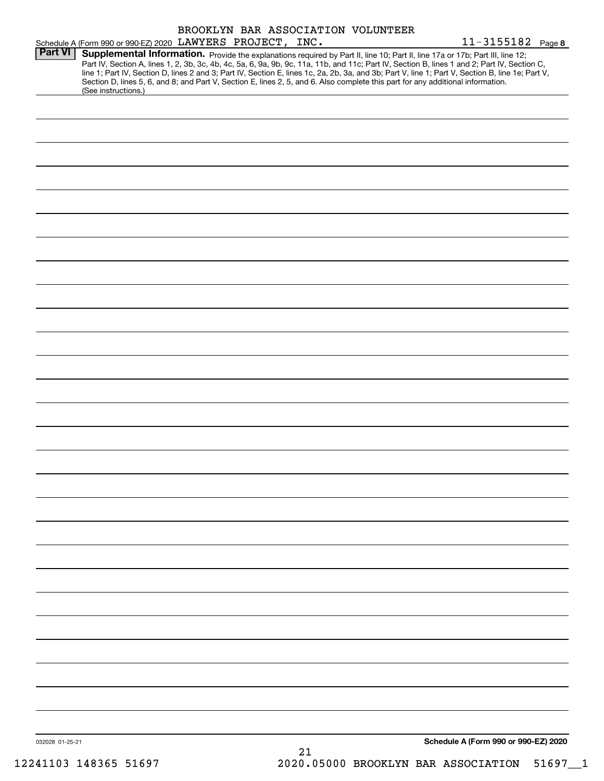|                 |                     |                                                            | BROOKLYN BAR ASSOCIATION VOLUNTEER                                                                                              |                                                                                                                                                                                                                                                                                                                                                                                                                                   |
|-----------------|---------------------|------------------------------------------------------------|---------------------------------------------------------------------------------------------------------------------------------|-----------------------------------------------------------------------------------------------------------------------------------------------------------------------------------------------------------------------------------------------------------------------------------------------------------------------------------------------------------------------------------------------------------------------------------|
|                 |                     | Schedule A (Form 990 or 990-EZ) 2020 LAWYERS PROJECT, INC. |                                                                                                                                 | $11 - 3155182$ Page 8                                                                                                                                                                                                                                                                                                                                                                                                             |
| <b>Part VI</b>  | (See instructions.) |                                                            | Section D, lines 5, 6, and 8; and Part V, Section E, lines 2, 5, and 6. Also complete this part for any additional information. | Supplemental Information. Provide the explanations required by Part II, line 10; Part II, line 17a or 17b; Part III, line 12;<br>Part IV, Section A, lines 1, 2, 3b, 3c, 4b, 4c, 5a, 6, 9a, 9b, 9c, 11a, 11b, and 11c; Part IV, Section B, lines 1 and 2; Part IV, Section C,<br>line 1; Part IV, Section D, lines 2 and 3; Part IV, Section E, lines 1c, 2a, 2b, 3a, and 3b; Part V, line 1; Part V, Section B, line 1e; Part V, |
|                 |                     |                                                            |                                                                                                                                 |                                                                                                                                                                                                                                                                                                                                                                                                                                   |
|                 |                     |                                                            |                                                                                                                                 |                                                                                                                                                                                                                                                                                                                                                                                                                                   |
|                 |                     |                                                            |                                                                                                                                 |                                                                                                                                                                                                                                                                                                                                                                                                                                   |
|                 |                     |                                                            |                                                                                                                                 |                                                                                                                                                                                                                                                                                                                                                                                                                                   |
|                 |                     |                                                            |                                                                                                                                 |                                                                                                                                                                                                                                                                                                                                                                                                                                   |
|                 |                     |                                                            |                                                                                                                                 |                                                                                                                                                                                                                                                                                                                                                                                                                                   |
|                 |                     |                                                            |                                                                                                                                 |                                                                                                                                                                                                                                                                                                                                                                                                                                   |
|                 |                     |                                                            |                                                                                                                                 |                                                                                                                                                                                                                                                                                                                                                                                                                                   |
|                 |                     |                                                            |                                                                                                                                 |                                                                                                                                                                                                                                                                                                                                                                                                                                   |
|                 |                     |                                                            |                                                                                                                                 |                                                                                                                                                                                                                                                                                                                                                                                                                                   |
|                 |                     |                                                            |                                                                                                                                 |                                                                                                                                                                                                                                                                                                                                                                                                                                   |
|                 |                     |                                                            |                                                                                                                                 |                                                                                                                                                                                                                                                                                                                                                                                                                                   |
|                 |                     |                                                            |                                                                                                                                 |                                                                                                                                                                                                                                                                                                                                                                                                                                   |
|                 |                     |                                                            |                                                                                                                                 |                                                                                                                                                                                                                                                                                                                                                                                                                                   |
|                 |                     |                                                            |                                                                                                                                 |                                                                                                                                                                                                                                                                                                                                                                                                                                   |
|                 |                     |                                                            |                                                                                                                                 |                                                                                                                                                                                                                                                                                                                                                                                                                                   |
|                 |                     |                                                            |                                                                                                                                 |                                                                                                                                                                                                                                                                                                                                                                                                                                   |
|                 |                     |                                                            |                                                                                                                                 |                                                                                                                                                                                                                                                                                                                                                                                                                                   |
|                 |                     |                                                            |                                                                                                                                 |                                                                                                                                                                                                                                                                                                                                                                                                                                   |
|                 |                     |                                                            |                                                                                                                                 |                                                                                                                                                                                                                                                                                                                                                                                                                                   |
|                 |                     |                                                            |                                                                                                                                 |                                                                                                                                                                                                                                                                                                                                                                                                                                   |
|                 |                     |                                                            |                                                                                                                                 |                                                                                                                                                                                                                                                                                                                                                                                                                                   |
|                 |                     |                                                            |                                                                                                                                 |                                                                                                                                                                                                                                                                                                                                                                                                                                   |
|                 |                     |                                                            |                                                                                                                                 |                                                                                                                                                                                                                                                                                                                                                                                                                                   |
|                 |                     |                                                            |                                                                                                                                 |                                                                                                                                                                                                                                                                                                                                                                                                                                   |
|                 |                     |                                                            |                                                                                                                                 |                                                                                                                                                                                                                                                                                                                                                                                                                                   |
|                 |                     |                                                            |                                                                                                                                 |                                                                                                                                                                                                                                                                                                                                                                                                                                   |
|                 |                     |                                                            |                                                                                                                                 |                                                                                                                                                                                                                                                                                                                                                                                                                                   |
|                 |                     |                                                            |                                                                                                                                 |                                                                                                                                                                                                                                                                                                                                                                                                                                   |
|                 |                     |                                                            |                                                                                                                                 |                                                                                                                                                                                                                                                                                                                                                                                                                                   |
| 032028 01-25-21 |                     |                                                            | 21                                                                                                                              | Schedule A (Form 990 or 990-EZ) 2020                                                                                                                                                                                                                                                                                                                                                                                              |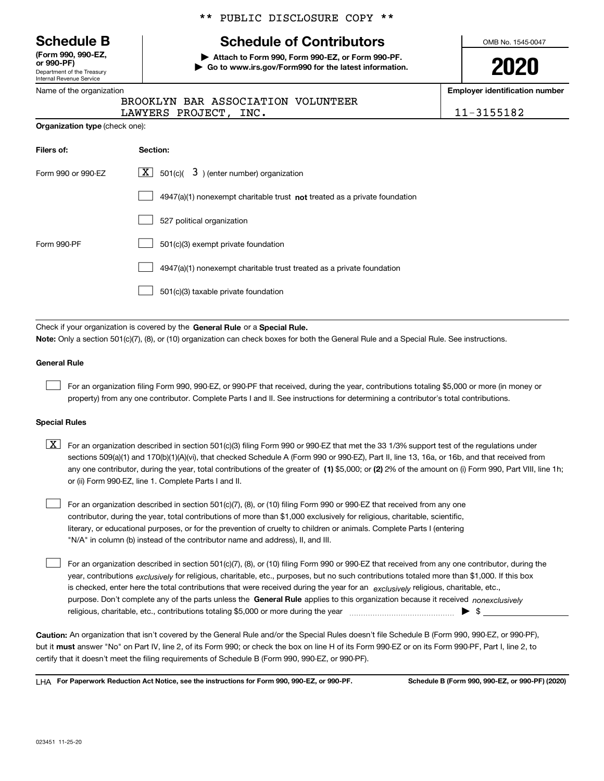Department of the Treasury Internal Revenue Service **(Form 990, 990-EZ, or 990-PF)**

|  |  | Name of the organization |
|--|--|--------------------------|
|  |  |                          |

#### \*\* PUBLIC DISCLOSURE COPY \*\*

# **Schedule B Schedule of Contributors**

**| Attach to Form 990, Form 990-EZ, or Form 990-PF. | Go to www.irs.gov/Form990 for the latest information.** OMB No. 1545-0047

**2020**

**Employer identification number**

|                    | BROOKLYN BAR ASSOCIATION VOLUNTEER |            |
|--------------------|------------------------------------|------------|
| LAWYERS PROJECT, I | INC.                               | 11-3155182 |

| <b>Organization type (check one):</b> |  |
|---------------------------------------|--|
|                                       |  |

| Filers of:         | Section:                                                                    |
|--------------------|-----------------------------------------------------------------------------|
| Form 990 or 990-EZ | $ \mathbf{X} $ 501(c)( 3) (enter number) organization                       |
|                    | $4947(a)(1)$ nonexempt charitable trust not treated as a private foundation |
|                    | 527 political organization                                                  |
| Form 990-PF        | 501(c)(3) exempt private foundation                                         |
|                    | 4947(a)(1) nonexempt charitable trust treated as a private foundation       |
|                    | 501(c)(3) taxable private foundation                                        |

Check if your organization is covered by the **General Rule** or a **Special Rule. Note:**  Only a section 501(c)(7), (8), or (10) organization can check boxes for both the General Rule and a Special Rule. See instructions.

#### **General Rule**

 $\mathcal{L}^{\text{max}}$ 

For an organization filing Form 990, 990-EZ, or 990-PF that received, during the year, contributions totaling \$5,000 or more (in money or property) from any one contributor. Complete Parts I and II. See instructions for determining a contributor's total contributions.

#### **Special Rules**

any one contributor, during the year, total contributions of the greater of  $\,$  (1) \$5,000; or **(2)** 2% of the amount on (i) Form 990, Part VIII, line 1h;  $\boxed{\textbf{X}}$  For an organization described in section 501(c)(3) filing Form 990 or 990-EZ that met the 33 1/3% support test of the regulations under sections 509(a)(1) and 170(b)(1)(A)(vi), that checked Schedule A (Form 990 or 990-EZ), Part II, line 13, 16a, or 16b, and that received from or (ii) Form 990-EZ, line 1. Complete Parts I and II.

For an organization described in section 501(c)(7), (8), or (10) filing Form 990 or 990-EZ that received from any one contributor, during the year, total contributions of more than \$1,000 exclusively for religious, charitable, scientific, literary, or educational purposes, or for the prevention of cruelty to children or animals. Complete Parts I (entering "N/A" in column (b) instead of the contributor name and address), II, and III.  $\mathcal{L}^{\text{max}}$ 

purpose. Don't complete any of the parts unless the **General Rule** applies to this organization because it received *nonexclusively* year, contributions <sub>exclusively</sub> for religious, charitable, etc., purposes, but no such contributions totaled more than \$1,000. If this box is checked, enter here the total contributions that were received during the year for an  $\;$ exclusively religious, charitable, etc., For an organization described in section 501(c)(7), (8), or (10) filing Form 990 or 990-EZ that received from any one contributor, during the religious, charitable, etc., contributions totaling \$5,000 or more during the year  $\Box$ — $\Box$   $\Box$  $\mathcal{L}^{\text{max}}$ 

**Caution:**  An organization that isn't covered by the General Rule and/or the Special Rules doesn't file Schedule B (Form 990, 990-EZ, or 990-PF),  **must** but it answer "No" on Part IV, line 2, of its Form 990; or check the box on line H of its Form 990-EZ or on its Form 990-PF, Part I, line 2, to certify that it doesn't meet the filing requirements of Schedule B (Form 990, 990-EZ, or 990-PF).

**For Paperwork Reduction Act Notice, see the instructions for Form 990, 990-EZ, or 990-PF. Schedule B (Form 990, 990-EZ, or 990-PF) (2020)** LHA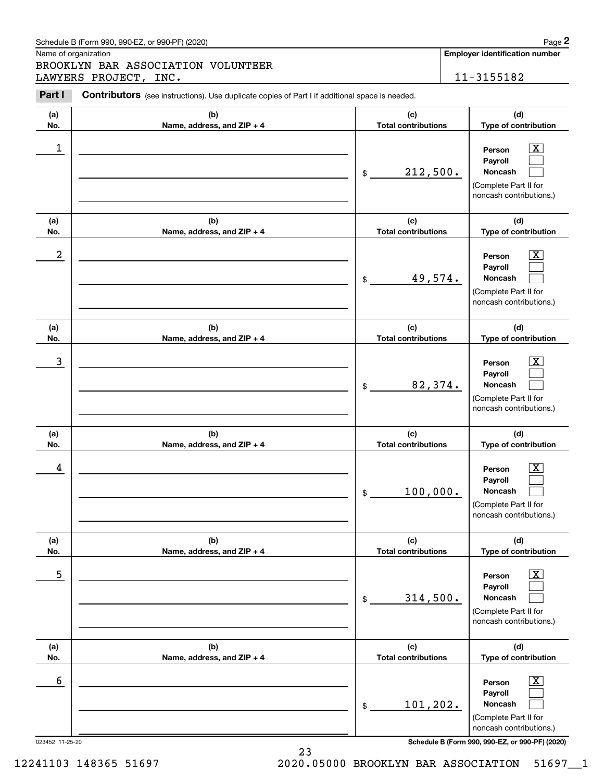Name of organization

Chedule B (Form 990, 990-EZ, or 990-PF) (2020)<br> **2Page 2**<br>
ROOKLYN BAR ASSOCIATION VOLUNTEER<br> **2Part I** Contributors (see instructions). Use duplicate copies of Part I if additional space is needed.<br>
2Part I Contributors ( BROOKLYN BAR ASSOCIATION VOLUNTEER LAWYERS PROJECT, INC. 11-3155182

| Part I           | <b>Contributors</b> (see instructions). Use duplicate copies of Part I if additional space is needed. |                                                          |                                                                                                                                   |
|------------------|-------------------------------------------------------------------------------------------------------|----------------------------------------------------------|-----------------------------------------------------------------------------------------------------------------------------------|
| (a)<br>No.       | (b)<br>Name, address, and ZIP + 4                                                                     | (c)<br><b>Total contributions</b>                        | (d)<br>Type of contribution                                                                                                       |
| 1                |                                                                                                       | 212,500.<br>$\frac{1}{2}$                                | $\overline{\text{X}}$<br>Person<br>Payroll<br>Noncash<br>(Complete Part II for<br>noncash contributions.)                         |
| (a)              | (b)                                                                                                   | (c)                                                      | (d)                                                                                                                               |
| No.              | Name, address, and ZIP + 4                                                                            | <b>Total contributions</b>                               | Type of contribution                                                                                                              |
| $\boldsymbol{2}$ |                                                                                                       | 49,574.<br>$\frac{1}{2}$                                 | $\overline{\mathbf{X}}$<br>Person<br>Payroll<br>Noncash<br>(Complete Part II for<br>noncash contributions.)                       |
| (a)              | (b)                                                                                                   | (c)                                                      | (d)                                                                                                                               |
| No.              | Name, address, and ZIP + 4                                                                            | <b>Total contributions</b>                               | Type of contribution                                                                                                              |
| 3                |                                                                                                       | 82,374.<br>$\frac{1}{2}$                                 | $\overline{\text{X}}$<br>Person<br>Payroll<br>Noncash<br>(Complete Part II for<br>noncash contributions.)                         |
| (a)              | (b)                                                                                                   | (c)                                                      | (d)                                                                                                                               |
| No.<br>4         | Name, address, and ZIP + 4                                                                            | <b>Total contributions</b><br>100,000.<br>\$             | Type of contribution<br>$\overline{\text{X}}$<br>Person<br>Payroll<br>Noncash<br>(Complete Part II for<br>noncash contributions.) |
| (a)              | (b)                                                                                                   | (c)                                                      | (d)                                                                                                                               |
| No.<br>5         | Name, address, and ZIP + 4                                                                            | <b>Total contributions</b><br>314,500.<br>$$\mathbb{S}$$ | Type of contribution<br>$\mathbf{X}$<br>Person<br>Payroll<br>Noncash<br>(Complete Part II for<br>noncash contributions.)          |
| (a)              | (b)                                                                                                   | (c)                                                      | (d)                                                                                                                               |
| No.              | Name, address, and ZIP + 4                                                                            | <b>Total contributions</b>                               | Type of contribution                                                                                                              |
| 6                |                                                                                                       | 101,202.<br>\$                                           | $\mathbf{X}$<br>Person<br>Payroll<br>Noncash<br>(Complete Part II for<br>noncash contributions.)                                  |

023452 11-25-20 **Schedule B (Form 990, 990-EZ, or 990-PF) (2020)**

23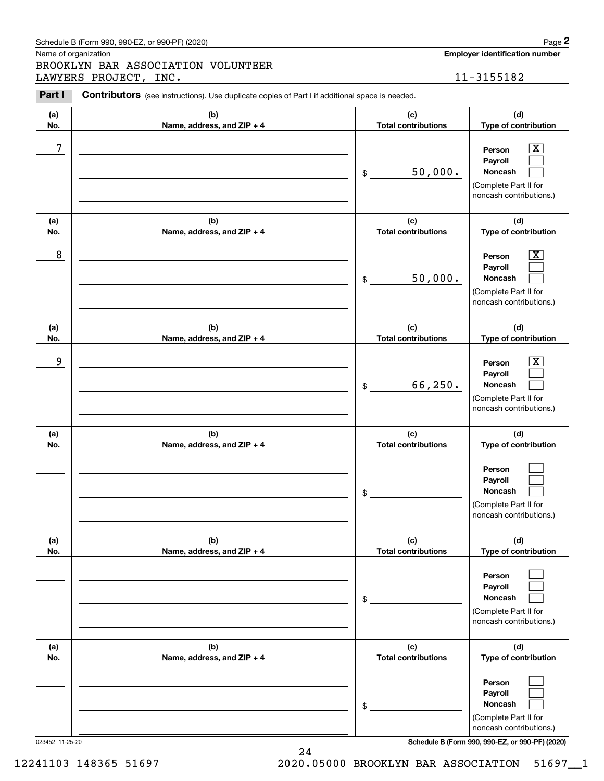|            | Schedule B (Form 990, 990-EZ, or 990-PF) (2020)                                                |                                   | Page 2                                                                                                      |
|------------|------------------------------------------------------------------------------------------------|-----------------------------------|-------------------------------------------------------------------------------------------------------------|
|            | Name of organization<br>BROOKLYN BAR ASSOCIATION VOLUNTEER<br>LAWYERS PROJECT, INC.            |                                   | <b>Employer identification number</b><br>11-3155182                                                         |
| Part I     | Contributors (see instructions). Use duplicate copies of Part I if additional space is needed. |                                   |                                                                                                             |
| (a)<br>No. | (b)<br>Name, address, and ZIP + 4                                                              | (c)<br><b>Total contributions</b> | (d)<br>Type of contribution                                                                                 |
| 7          |                                                                                                | 50,000.<br>\$                     | $\mathbf{X}$<br>Person<br>Payroll<br>Noncash<br>(Complete Part II for<br>noncash contributions.)            |
| (a)<br>No. | (b)<br>Name, address, and ZIP + 4                                                              | (c)<br><b>Total contributions</b> | (d)<br>Type of contribution                                                                                 |
| 8          |                                                                                                | 50,000.<br>\$                     | $\mathbf{X}$<br>Person<br>Payroll<br>Noncash<br>(Complete Part II for<br>noncash contributions.)            |
| (a)<br>No. | (b)<br>Name, address, and ZIP + 4                                                              | (c)<br><b>Total contributions</b> | (d)<br>Type of contribution                                                                                 |
| 9          |                                                                                                | 66, 250.<br>\$                    | $\overline{\mathbf{X}}$<br>Person<br>Payroll<br>Noncash<br>(Complete Part II for<br>noncash contributions.) |
| (a)<br>No. | (b)<br>Name, address, and ZIP + 4                                                              | (c)<br><b>Total contributions</b> | (d)<br>Type of contribution                                                                                 |
|            |                                                                                                | \$                                | Person<br>Payroll<br>Noncash<br>(Complete Part II for<br>noncash contributions.)                            |
| (a)<br>No. | (b)<br>Name, address, and ZIP + 4                                                              | (c)<br><b>Total contributions</b> | (d)<br>Type of contribution                                                                                 |
|            |                                                                                                | \$                                | Person<br>Payroll<br>Noncash<br>(Complete Part II for<br>noncash contributions.)                            |
| (a)<br>No. | (b)<br>Name, address, and ZIP + 4                                                              | (c)<br><b>Total contributions</b> | (d)<br>Type of contribution                                                                                 |
|            |                                                                                                | \$                                | Person<br>Payroll<br>Noncash<br>(Complete Part II for<br>noncash contributions.)                            |

023452 11-25-20 **Schedule B (Form 990, 990-EZ, or 990-PF) (2020)**

24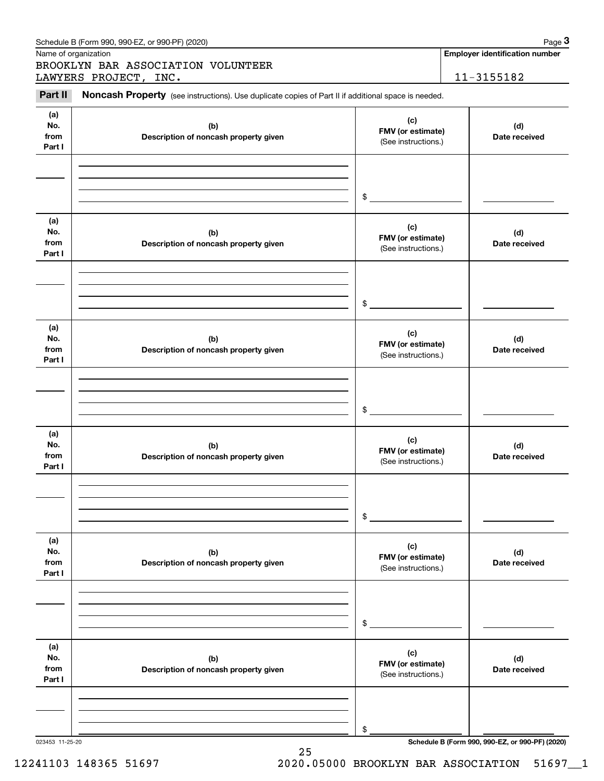| (a)<br>No.<br>from<br>Part I | (b)<br>Description of noncash property given | (c)<br>FMV (or estimate)<br>(See instructions.) | (d)<br>Date received                            |
|------------------------------|----------------------------------------------|-------------------------------------------------|-------------------------------------------------|
|                              |                                              | \$                                              |                                                 |
| (a)<br>No.<br>from<br>Part I | (b)<br>Description of noncash property given | (c)<br>FMV (or estimate)<br>(See instructions.) | (d)<br>Date received                            |
|                              |                                              | \$                                              |                                                 |
| (a)<br>No.<br>from<br>Part I | (b)<br>Description of noncash property given | (c)<br>FMV (or estimate)<br>(See instructions.) | (d)<br>Date received                            |
|                              |                                              | \$                                              |                                                 |
| (a)<br>No.<br>from<br>Part I | (b)<br>Description of noncash property given | (c)<br>FMV (or estimate)<br>(See instructions.) | (d)<br>Date received                            |
|                              |                                              | \$                                              |                                                 |
| (a)<br>No.<br>from<br>Part I | (b)<br>Description of noncash property given | (c)<br>FMV (or estimate)<br>(See instructions.) | (d)<br>Date received                            |
|                              |                                              | \$                                              |                                                 |
| (a)<br>No.<br>from<br>Part I | (b)<br>Description of noncash property given | (c)<br>FMV (or estimate)<br>(See instructions.) | (d)<br>Date received                            |
| 023453 11-25-20              |                                              | \$                                              | Schedule B (Form 990, 990-EZ, or 990-PF) (2020) |
|                              | 25                                           |                                                 |                                                 |

## Schedule B (Form 990, 990-EZ, or 990-PF) (2020) **Page 3** Page 3

Name of organization

Chedule B (Form 990, 990-EZ, or 990-PF) (2020)<br>
lame of organization<br> **3ROOKLYN BAR ASSOCIATION VOLUNTEER**<br> **3ROOKLYN BAR ASSOCIATION VOLUNTEER**<br> **Part II** Noncash Property (see instructions). Use duplicate copies of Part BROOKLYN BAR ASSOCIATION VOLUNTEER LAWYERS PROJECT, INC. 11-3155182

**Employer identification number**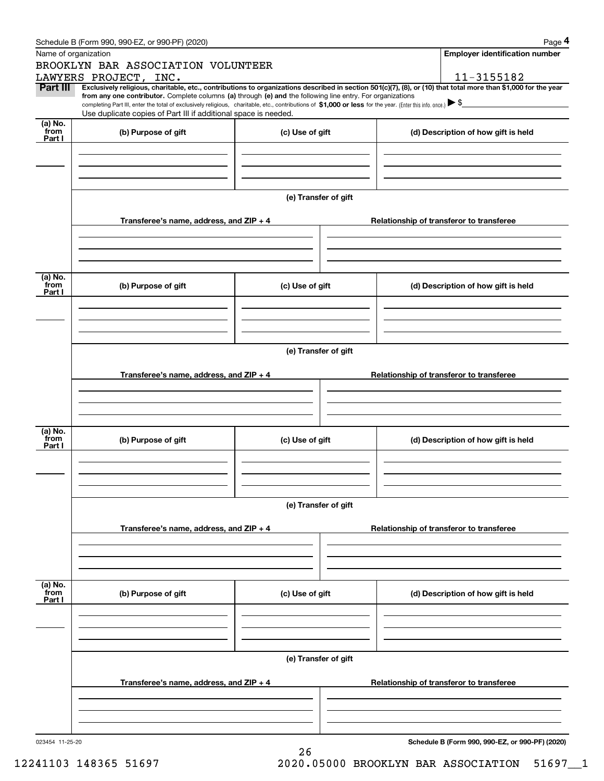|                             | Schedule B (Form 990, 990-EZ, or 990-PF) (2020)                                                                                                                                   |                      | Page 4                                                                                                                                                         |  |  |  |  |
|-----------------------------|-----------------------------------------------------------------------------------------------------------------------------------------------------------------------------------|----------------------|----------------------------------------------------------------------------------------------------------------------------------------------------------------|--|--|--|--|
| Name of organization        |                                                                                                                                                                                   |                      | <b>Employer identification number</b>                                                                                                                          |  |  |  |  |
|                             | BROOKLYN BAR ASSOCIATION VOLUNTEER                                                                                                                                                |                      |                                                                                                                                                                |  |  |  |  |
| Part III                    | LAWYERS PROJECT, INC.                                                                                                                                                             |                      | 11-3155182                                                                                                                                                     |  |  |  |  |
|                             | from any one contributor. Complete columns (a) through (e) and the following line entry. For organizations                                                                        |                      | Exclusively religious, charitable, etc., contributions to organizations described in section 501(c)(7), (8), or (10) that total more than \$1,000 for the year |  |  |  |  |
|                             | completing Part III, enter the total of exclusively religious, charitable, etc., contributions of \$1,000 or less for the year. (Enter this info. once.) $\blacktriangleright$ \$ |                      |                                                                                                                                                                |  |  |  |  |
| (a) No.                     | Use duplicate copies of Part III if additional space is needed.                                                                                                                   |                      |                                                                                                                                                                |  |  |  |  |
| from<br>Part I              | (b) Purpose of gift                                                                                                                                                               | (c) Use of gift      | (d) Description of how gift is held                                                                                                                            |  |  |  |  |
|                             |                                                                                                                                                                                   |                      |                                                                                                                                                                |  |  |  |  |
|                             |                                                                                                                                                                                   |                      |                                                                                                                                                                |  |  |  |  |
|                             |                                                                                                                                                                                   |                      |                                                                                                                                                                |  |  |  |  |
|                             |                                                                                                                                                                                   |                      |                                                                                                                                                                |  |  |  |  |
|                             |                                                                                                                                                                                   | (e) Transfer of gift |                                                                                                                                                                |  |  |  |  |
|                             |                                                                                                                                                                                   |                      |                                                                                                                                                                |  |  |  |  |
|                             | Transferee's name, address, and ZIP + 4                                                                                                                                           |                      | Relationship of transferor to transferee                                                                                                                       |  |  |  |  |
|                             |                                                                                                                                                                                   |                      |                                                                                                                                                                |  |  |  |  |
|                             |                                                                                                                                                                                   |                      |                                                                                                                                                                |  |  |  |  |
|                             |                                                                                                                                                                                   |                      |                                                                                                                                                                |  |  |  |  |
| (a) No.<br>from             |                                                                                                                                                                                   |                      |                                                                                                                                                                |  |  |  |  |
| Part I                      | (b) Purpose of gift                                                                                                                                                               | (c) Use of gift      | (d) Description of how gift is held                                                                                                                            |  |  |  |  |
|                             |                                                                                                                                                                                   |                      |                                                                                                                                                                |  |  |  |  |
|                             |                                                                                                                                                                                   |                      |                                                                                                                                                                |  |  |  |  |
|                             |                                                                                                                                                                                   |                      |                                                                                                                                                                |  |  |  |  |
|                             |                                                                                                                                                                                   | (e) Transfer of gift |                                                                                                                                                                |  |  |  |  |
|                             |                                                                                                                                                                                   |                      |                                                                                                                                                                |  |  |  |  |
|                             | Transferee's name, address, and ZIP + 4                                                                                                                                           |                      | Relationship of transferor to transferee                                                                                                                       |  |  |  |  |
|                             |                                                                                                                                                                                   |                      |                                                                                                                                                                |  |  |  |  |
|                             |                                                                                                                                                                                   |                      |                                                                                                                                                                |  |  |  |  |
|                             |                                                                                                                                                                                   |                      |                                                                                                                                                                |  |  |  |  |
| (a) $\overline{\text{No.}}$ |                                                                                                                                                                                   |                      |                                                                                                                                                                |  |  |  |  |
| from<br>Part I              | (b) Purpose of gift                                                                                                                                                               | (c) Use of gift      | (d) Description of how gift is held                                                                                                                            |  |  |  |  |
|                             |                                                                                                                                                                                   |                      |                                                                                                                                                                |  |  |  |  |
|                             |                                                                                                                                                                                   |                      |                                                                                                                                                                |  |  |  |  |
|                             |                                                                                                                                                                                   |                      |                                                                                                                                                                |  |  |  |  |
|                             |                                                                                                                                                                                   |                      |                                                                                                                                                                |  |  |  |  |
|                             |                                                                                                                                                                                   | (e) Transfer of gift |                                                                                                                                                                |  |  |  |  |
|                             | Transferee's name, address, and $ZIP + 4$                                                                                                                                         |                      | Relationship of transferor to transferee                                                                                                                       |  |  |  |  |
|                             |                                                                                                                                                                                   |                      |                                                                                                                                                                |  |  |  |  |
|                             |                                                                                                                                                                                   |                      |                                                                                                                                                                |  |  |  |  |
|                             |                                                                                                                                                                                   |                      |                                                                                                                                                                |  |  |  |  |
|                             |                                                                                                                                                                                   |                      |                                                                                                                                                                |  |  |  |  |
| (a) No.<br>from             | (b) Purpose of gift                                                                                                                                                               | (c) Use of gift      | (d) Description of how gift is held                                                                                                                            |  |  |  |  |
| Part I                      |                                                                                                                                                                                   |                      |                                                                                                                                                                |  |  |  |  |
|                             |                                                                                                                                                                                   |                      |                                                                                                                                                                |  |  |  |  |
|                             |                                                                                                                                                                                   |                      |                                                                                                                                                                |  |  |  |  |
|                             |                                                                                                                                                                                   |                      |                                                                                                                                                                |  |  |  |  |
|                             |                                                                                                                                                                                   | (e) Transfer of gift |                                                                                                                                                                |  |  |  |  |
|                             |                                                                                                                                                                                   |                      |                                                                                                                                                                |  |  |  |  |
|                             | Transferee's name, address, and $ZIP + 4$                                                                                                                                         |                      | Relationship of transferor to transferee                                                                                                                       |  |  |  |  |
|                             |                                                                                                                                                                                   |                      |                                                                                                                                                                |  |  |  |  |
|                             |                                                                                                                                                                                   |                      |                                                                                                                                                                |  |  |  |  |
|                             |                                                                                                                                                                                   |                      |                                                                                                                                                                |  |  |  |  |

26

Schedule B (Form 990, 990-EZ, or 990-PF) (2020) Page 4

**Schedule B (Form 990, 990-EZ, or 990-PF) (2020)**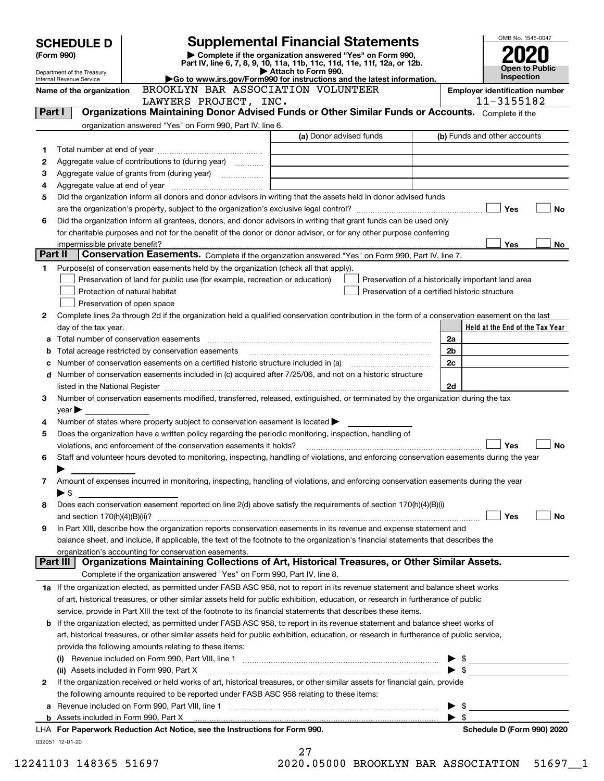|                            | <b>SCHEDULE D</b>                                                                                                 |                                                                                                        | <b>Supplemental Financial Statements</b>                                                                                                                                                                                      |                                                      | OMB No. 1545-0047                     |  |  |
|----------------------------|-------------------------------------------------------------------------------------------------------------------|--------------------------------------------------------------------------------------------------------|-------------------------------------------------------------------------------------------------------------------------------------------------------------------------------------------------------------------------------|------------------------------------------------------|---------------------------------------|--|--|
|                            | (Form 990)                                                                                                        |                                                                                                        | Complete if the organization answered "Yes" on Form 990,                                                                                                                                                                      |                                                      |                                       |  |  |
| Department of the Treasury |                                                                                                                   |                                                                                                        | Part IV, line 6, 7, 8, 9, 10, 11a, 11b, 11c, 11d, 11e, 11f, 12a, or 12b.<br>Attach to Form 990.                                                                                                                               |                                                      | <b>Open to Public</b><br>Inspection   |  |  |
|                            | Internal Revenue Service<br>Name of the organization                                                              | BROOKLYN BAR ASSOCIATION VOLUNTEER                                                                     | Go to www.irs.gov/Form990 for instructions and the latest information.                                                                                                                                                        |                                                      | <b>Employer identification number</b> |  |  |
|                            |                                                                                                                   | LAWYERS PROJECT, INC.                                                                                  |                                                                                                                                                                                                                               |                                                      | 11-3155182                            |  |  |
| Part I                     |                                                                                                                   |                                                                                                        | Organizations Maintaining Donor Advised Funds or Other Similar Funds or Accounts. Complete if the                                                                                                                             |                                                      |                                       |  |  |
|                            |                                                                                                                   | organization answered "Yes" on Form 990, Part IV, line 6.                                              |                                                                                                                                                                                                                               |                                                      |                                       |  |  |
|                            |                                                                                                                   |                                                                                                        | (a) Donor advised funds                                                                                                                                                                                                       |                                                      | (b) Funds and other accounts          |  |  |
| 1                          |                                                                                                                   |                                                                                                        |                                                                                                                                                                                                                               |                                                      |                                       |  |  |
| 2                          |                                                                                                                   | Aggregate value of contributions to (during year)                                                      |                                                                                                                                                                                                                               |                                                      |                                       |  |  |
| З                          |                                                                                                                   | Aggregate value of grants from (during year)                                                           |                                                                                                                                                                                                                               |                                                      |                                       |  |  |
| 4                          |                                                                                                                   |                                                                                                        |                                                                                                                                                                                                                               |                                                      |                                       |  |  |
| 5                          |                                                                                                                   |                                                                                                        | Did the organization inform all donors and donor advisors in writing that the assets held in donor advised funds                                                                                                              |                                                      | Yes<br>No                             |  |  |
| 6                          | Did the organization inform all grantees, donors, and donor advisors in writing that grant funds can be used only |                                                                                                        |                                                                                                                                                                                                                               |                                                      |                                       |  |  |
|                            |                                                                                                                   |                                                                                                        | for charitable purposes and not for the benefit of the donor or donor advisor, or for any other purpose conferring                                                                                                            |                                                      |                                       |  |  |
|                            | impermissible private benefit?                                                                                    |                                                                                                        |                                                                                                                                                                                                                               |                                                      | <b>Yes</b><br>No                      |  |  |
| Part II                    |                                                                                                                   |                                                                                                        | Conservation Easements. Complete if the organization answered "Yes" on Form 990, Part IV, line 7.                                                                                                                             |                                                      |                                       |  |  |
| 1                          |                                                                                                                   | Purpose(s) of conservation easements held by the organization (check all that apply).                  |                                                                                                                                                                                                                               |                                                      |                                       |  |  |
|                            |                                                                                                                   | Preservation of land for public use (for example, recreation or education)                             |                                                                                                                                                                                                                               | Preservation of a historically important land area   |                                       |  |  |
|                            |                                                                                                                   | Protection of natural habitat                                                                          |                                                                                                                                                                                                                               | Preservation of a certified historic structure       |                                       |  |  |
|                            |                                                                                                                   | Preservation of open space                                                                             |                                                                                                                                                                                                                               |                                                      |                                       |  |  |
| 2                          |                                                                                                                   |                                                                                                        | Complete lines 2a through 2d if the organization held a qualified conservation contribution in the form of a conservation easement on the last                                                                                |                                                      |                                       |  |  |
|                            | day of the tax year.                                                                                              |                                                                                                        |                                                                                                                                                                                                                               |                                                      | Held at the End of the Tax Year       |  |  |
| а                          |                                                                                                                   |                                                                                                        |                                                                                                                                                                                                                               | 2a                                                   |                                       |  |  |
| b                          |                                                                                                                   | Total acreage restricted by conservation easements                                                     |                                                                                                                                                                                                                               | 2 <sub>b</sub><br>2c                                 |                                       |  |  |
|                            |                                                                                                                   |                                                                                                        | Number of conservation easements on a certified historic structure included in (a) manufacture included in (a)<br>d Number of conservation easements included in (c) acquired after 7/25/06, and not on a historic structure  |                                                      |                                       |  |  |
|                            |                                                                                                                   |                                                                                                        | listed in the National Register [11] manufactured in the National Register [11] manufactured in the National Register [11] manufactured in the National Register [11] manufactured in the National Register [11] manufactured | 2d                                                   |                                       |  |  |
| 3                          |                                                                                                                   |                                                                                                        | Number of conservation easements modified, transferred, released, extinguished, or terminated by the organization during the tax                                                                                              |                                                      |                                       |  |  |
|                            | $year \blacktriangleright$                                                                                        |                                                                                                        |                                                                                                                                                                                                                               |                                                      |                                       |  |  |
| 4                          |                                                                                                                   | Number of states where property subject to conservation easement is located $\blacktriangleright$      |                                                                                                                                                                                                                               |                                                      |                                       |  |  |
| 5                          |                                                                                                                   | Does the organization have a written policy regarding the periodic monitoring, inspection, handling of |                                                                                                                                                                                                                               |                                                      |                                       |  |  |
|                            |                                                                                                                   | violations, and enforcement of the conservation easements it holds?                                    |                                                                                                                                                                                                                               |                                                      | Yes<br>No                             |  |  |
| 6                          |                                                                                                                   |                                                                                                        | Staff and volunteer hours devoted to monitoring, inspecting, handling of violations, and enforcing conservation easements during the year                                                                                     |                                                      |                                       |  |  |
|                            |                                                                                                                   |                                                                                                        |                                                                                                                                                                                                                               |                                                      |                                       |  |  |
| 7                          |                                                                                                                   |                                                                                                        | Amount of expenses incurred in monitoring, inspecting, handling of violations, and enforcing conservation easements during the year                                                                                           |                                                      |                                       |  |  |
| 8                          | $\blacktriangleright$ \$                                                                                          |                                                                                                        |                                                                                                                                                                                                                               |                                                      |                                       |  |  |
|                            |                                                                                                                   |                                                                                                        | Does each conservation easement reported on line 2(d) above satisfy the requirements of section 170(h)(4)(B)(i)                                                                                                               |                                                      | Yes<br>No                             |  |  |
| 9                          |                                                                                                                   |                                                                                                        | In Part XIII, describe how the organization reports conservation easements in its revenue and expense statement and                                                                                                           |                                                      |                                       |  |  |
|                            |                                                                                                                   |                                                                                                        | balance sheet, and include, if applicable, the text of the footnote to the organization's financial statements that describes the                                                                                             |                                                      |                                       |  |  |
|                            |                                                                                                                   | organization's accounting for conservation easements.                                                  |                                                                                                                                                                                                                               |                                                      |                                       |  |  |
|                            | Part III                                                                                                          |                                                                                                        | Organizations Maintaining Collections of Art, Historical Treasures, or Other Similar Assets.                                                                                                                                  |                                                      |                                       |  |  |
|                            |                                                                                                                   | Complete if the organization answered "Yes" on Form 990, Part IV, line 8.                              |                                                                                                                                                                                                                               |                                                      |                                       |  |  |
|                            |                                                                                                                   |                                                                                                        | 1a If the organization elected, as permitted under FASB ASC 958, not to report in its revenue statement and balance sheet works                                                                                               |                                                      |                                       |  |  |
|                            |                                                                                                                   |                                                                                                        | of art, historical treasures, or other similar assets held for public exhibition, education, or research in furtherance of public                                                                                             |                                                      |                                       |  |  |
|                            |                                                                                                                   |                                                                                                        | service, provide in Part XIII the text of the footnote to its financial statements that describes these items.                                                                                                                |                                                      |                                       |  |  |
|                            |                                                                                                                   |                                                                                                        | <b>b</b> If the organization elected, as permitted under FASB ASC 958, to report in its revenue statement and balance sheet works of                                                                                          |                                                      |                                       |  |  |
|                            |                                                                                                                   |                                                                                                        | art, historical treasures, or other similar assets held for public exhibition, education, or research in furtherance of public service,                                                                                       |                                                      |                                       |  |  |
|                            |                                                                                                                   | provide the following amounts relating to these items:                                                 |                                                                                                                                                                                                                               |                                                      |                                       |  |  |
|                            |                                                                                                                   | (ii) Assets included in Form 990, Part X                                                               | (i) Revenue included on Form 990, Part VIII, line 1 [2000] [2010] Contract the included on Form 990, Part VIII, line 1                                                                                                        | $\blacktriangleright$ \$<br>$\blacktriangleright$ \$ |                                       |  |  |
| 2                          |                                                                                                                   |                                                                                                        | If the organization received or held works of art, historical treasures, or other similar assets for financial gain, provide                                                                                                  |                                                      |                                       |  |  |
|                            |                                                                                                                   | the following amounts required to be reported under FASB ASC 958 relating to these items:              |                                                                                                                                                                                                                               |                                                      |                                       |  |  |
|                            |                                                                                                                   |                                                                                                        |                                                                                                                                                                                                                               | \$                                                   |                                       |  |  |
|                            |                                                                                                                   |                                                                                                        |                                                                                                                                                                                                                               | $\blacktriangleright$ s                              |                                       |  |  |
|                            |                                                                                                                   | LHA For Paperwork Reduction Act Notice, see the Instructions for Form 990.                             |                                                                                                                                                                                                                               |                                                      | Schedule D (Form 990) 2020            |  |  |
|                            | 032051 12-01-20                                                                                                   |                                                                                                        |                                                                                                                                                                                                                               |                                                      |                                       |  |  |
|                            |                                                                                                                   |                                                                                                        | 27                                                                                                                                                                                                                            |                                                      |                                       |  |  |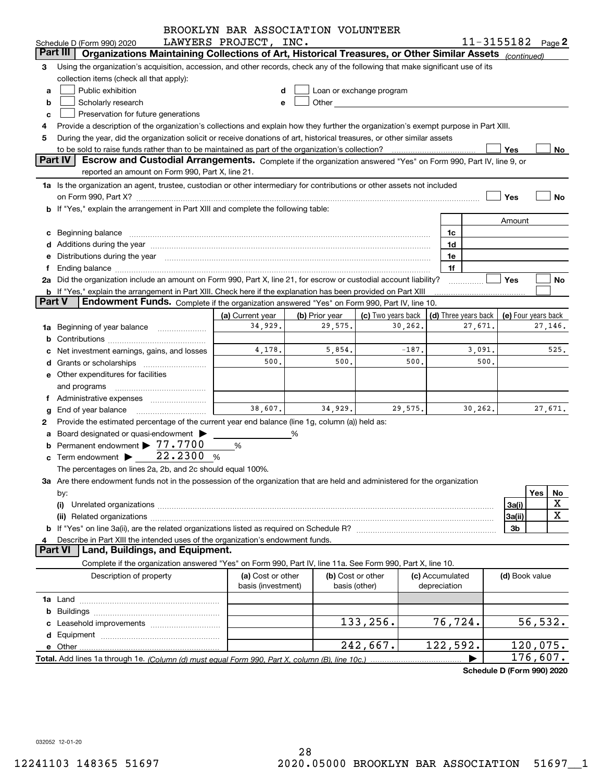|               |                                                                                                                                                                                                                                | BROOKLYN BAR ASSOCIATION VOLUNTEER |                   |                          |         |                      |          |                            |          |             |
|---------------|--------------------------------------------------------------------------------------------------------------------------------------------------------------------------------------------------------------------------------|------------------------------------|-------------------|--------------------------|---------|----------------------|----------|----------------------------|----------|-------------|
|               | Schedule D (Form 990) 2020                                                                                                                                                                                                     | LAWYERS PROJECT, INC.              |                   |                          |         |                      |          | $11 - 3155182$ Page 2      |          |             |
| Part III      | Organizations Maintaining Collections of Art, Historical Treasures, or Other Similar Assets (continued)                                                                                                                        |                                    |                   |                          |         |                      |          |                            |          |             |
| З             | Using the organization's acquisition, accession, and other records, check any of the following that make significant use of its                                                                                                |                                    |                   |                          |         |                      |          |                            |          |             |
|               | collection items (check all that apply):                                                                                                                                                                                       |                                    |                   |                          |         |                      |          |                            |          |             |
| a             | Public exhibition                                                                                                                                                                                                              | d                                  |                   | Loan or exchange program |         |                      |          |                            |          |             |
| b             | Scholarly research                                                                                                                                                                                                             | e                                  |                   |                          |         |                      |          |                            |          |             |
| c             | Preservation for future generations                                                                                                                                                                                            |                                    |                   |                          |         |                      |          |                            |          |             |
|               | Provide a description of the organization's collections and explain how they further the organization's exempt purpose in Part XIII.                                                                                           |                                    |                   |                          |         |                      |          |                            |          |             |
| 5             | During the year, did the organization solicit or receive donations of art, historical treasures, or other similar assets                                                                                                       |                                    |                   |                          |         |                      |          |                            |          |             |
|               | to be sold to raise funds rather than to be maintained as part of the organization's collection?                                                                                                                               |                                    |                   |                          |         |                      |          | Yes                        |          | No          |
|               | Part IV<br>Escrow and Custodial Arrangements. Complete if the organization answered "Yes" on Form 990, Part IV, line 9, or                                                                                                     |                                    |                   |                          |         |                      |          |                            |          |             |
|               | reported an amount on Form 990, Part X, line 21.                                                                                                                                                                               |                                    |                   |                          |         |                      |          |                            |          |             |
|               | 1a Is the organization an agent, trustee, custodian or other intermediary for contributions or other assets not included                                                                                                       |                                    |                   |                          |         |                      |          |                            |          |             |
|               |                                                                                                                                                                                                                                |                                    |                   |                          |         |                      |          | Yes                        |          | No          |
|               | b If "Yes," explain the arrangement in Part XIII and complete the following table:                                                                                                                                             |                                    |                   |                          |         |                      |          |                            |          |             |
|               |                                                                                                                                                                                                                                |                                    |                   |                          |         |                      |          | Amount                     |          |             |
| c             |                                                                                                                                                                                                                                |                                    |                   |                          |         | 1c                   |          |                            |          |             |
|               |                                                                                                                                                                                                                                |                                    |                   |                          |         | 1d                   |          |                            |          |             |
|               | Distributions during the year manufactured and an account of the state of the state of the state of the state o                                                                                                                |                                    |                   |                          |         | 1e                   |          |                            |          |             |
|               | Ending balance manufactured and contract the contract of the contract of the contract of the contract of the contract of the contract of the contract of the contract of the contract of the contract of the contract of the c |                                    |                   |                          |         | 1f                   |          |                            |          |             |
|               | 2a Did the organization include an amount on Form 990, Part X, line 21, for escrow or custodial account liability?                                                                                                             |                                    |                   |                          |         |                      |          | Yes                        |          | No          |
|               | <b>b</b> If "Yes," explain the arrangement in Part XIII. Check here if the explanation has been provided on Part XIII                                                                                                          |                                    |                   |                          |         |                      |          |                            |          |             |
| <b>Part V</b> | Endowment Funds. Complete if the organization answered "Yes" on Form 990, Part IV, line 10.                                                                                                                                    |                                    |                   |                          |         |                      |          |                            |          |             |
|               |                                                                                                                                                                                                                                | (a) Current year                   | (b) Prior year    | (c) Two years back       |         | (d) Three years back |          | (e) Four years back        |          |             |
| 1a            | Beginning of year balance                                                                                                                                                                                                      | 34,929.                            | 29,575.           |                          | 30,262. |                      | 27,671.  |                            | 27, 146. |             |
|               |                                                                                                                                                                                                                                |                                    |                   |                          |         |                      |          |                            |          |             |
|               | Net investment earnings, gains, and losses                                                                                                                                                                                     | 4,178.                             | 5,854.            |                          | $-187.$ |                      | 3,091.   |                            |          | 525.        |
|               | Grants or scholarships                                                                                                                                                                                                         | 500.                               | 500.              |                          | 500.    |                      | 500.     |                            |          |             |
|               | e Other expenditures for facilities                                                                                                                                                                                            |                                    |                   |                          |         |                      |          |                            |          |             |
|               | and programs                                                                                                                                                                                                                   |                                    |                   |                          |         |                      |          |                            |          |             |
|               |                                                                                                                                                                                                                                |                                    |                   |                          |         |                      |          |                            |          |             |
|               | End of year balance                                                                                                                                                                                                            | 38,607.                            | 34,929.           |                          | 29,575. |                      | 30, 262. |                            | 27,671.  |             |
| 2             | Provide the estimated percentage of the current year end balance (line 1g, column (a)) held as:                                                                                                                                |                                    |                   |                          |         |                      |          |                            |          |             |
|               | Board designated or quasi-endowment                                                                                                                                                                                            |                                    | %                 |                          |         |                      |          |                            |          |             |
|               | Permanent endowment > 77.7700                                                                                                                                                                                                  | %                                  |                   |                          |         |                      |          |                            |          |             |
|               | c Term endowment $\blacktriangleright$ $\boxed{22.2300}$                                                                                                                                                                       | %                                  |                   |                          |         |                      |          |                            |          |             |
|               | The percentages on lines 2a, 2b, and 2c should equal 100%.                                                                                                                                                                     |                                    |                   |                          |         |                      |          |                            |          |             |
|               | 3a Are there endowment funds not in the possession of the organization that are held and administered for the organization                                                                                                     |                                    |                   |                          |         |                      |          |                            |          |             |
|               | by:                                                                                                                                                                                                                            |                                    |                   |                          |         |                      |          |                            | Yes      | No          |
|               | (i)                                                                                                                                                                                                                            |                                    |                   |                          |         |                      |          | 3a(i)                      |          | X           |
|               | (ii)                                                                                                                                                                                                                           |                                    |                   |                          |         |                      |          | 3a(ii)                     |          | $\mathbf X$ |
|               |                                                                                                                                                                                                                                |                                    |                   |                          |         |                      |          | 3b                         |          |             |
|               | Describe in Part XIII the intended uses of the organization's endowment funds.                                                                                                                                                 |                                    |                   |                          |         |                      |          |                            |          |             |
|               | Land, Buildings, and Equipment.<br><b>Part VI</b>                                                                                                                                                                              |                                    |                   |                          |         |                      |          |                            |          |             |
|               | Complete if the organization answered "Yes" on Form 990, Part IV, line 11a. See Form 990, Part X, line 10.                                                                                                                     |                                    |                   |                          |         |                      |          |                            |          |             |
|               | Description of property                                                                                                                                                                                                        | (a) Cost or other                  | (b) Cost or other |                          |         | (c) Accumulated      |          | (d) Book value             |          |             |
|               |                                                                                                                                                                                                                                | basis (investment)                 | basis (other)     |                          |         | depreciation         |          |                            |          |             |
|               |                                                                                                                                                                                                                                |                                    |                   |                          |         |                      |          |                            |          |             |
|               |                                                                                                                                                                                                                                |                                    |                   |                          |         |                      |          |                            |          |             |
|               |                                                                                                                                                                                                                                |                                    |                   | 133,256.                 |         | 76,724.              |          |                            | 56,532.  |             |
|               |                                                                                                                                                                                                                                |                                    |                   |                          |         |                      |          |                            |          |             |
|               |                                                                                                                                                                                                                                |                                    |                   | 242,667.                 |         | 122,592.             |          |                            | 120,075. |             |
|               |                                                                                                                                                                                                                                |                                    |                   |                          |         |                      |          |                            | 176,607. |             |
|               | Total. Add lines 1a through 1e. (Column (d) must equal Form 990. Part X. column (B). line 10c.)                                                                                                                                |                                    |                   |                          |         |                      |          |                            |          |             |
|               |                                                                                                                                                                                                                                |                                    |                   |                          |         |                      |          | Schedule D (Form 990) 2020 |          |             |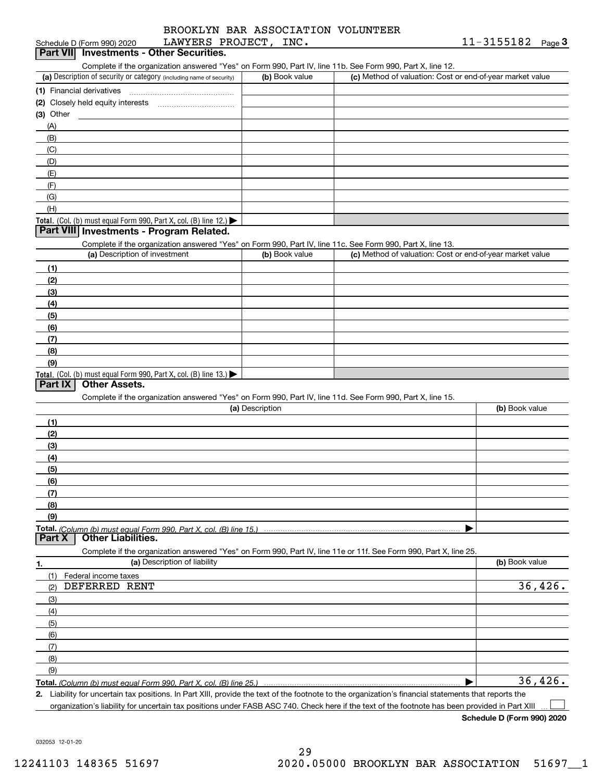| Schedule D (Form 990) 2020                                                                                        | LAWYERS PROJECT, INC. |                                                           | $11 - 3155182$ Page 3 |
|-------------------------------------------------------------------------------------------------------------------|-----------------------|-----------------------------------------------------------|-----------------------|
| <b>Investments - Other Securities.</b><br><b>Part VII</b>                                                         |                       |                                                           |                       |
| Complete if the organization answered "Yes" on Form 990, Part IV, line 11b. See Form 990, Part X, line 12.        |                       |                                                           |                       |
| (a) Description of security or category (including name of security)                                              | (b) Book value        | (c) Method of valuation: Cost or end-of-year market value |                       |
|                                                                                                                   |                       |                                                           |                       |
|                                                                                                                   |                       |                                                           |                       |
| $(3)$ Other                                                                                                       |                       |                                                           |                       |
| (A)                                                                                                               |                       |                                                           |                       |
| (B)                                                                                                               |                       |                                                           |                       |
| (C)                                                                                                               |                       |                                                           |                       |
| (D)                                                                                                               |                       |                                                           |                       |
| (E)                                                                                                               |                       |                                                           |                       |
| (F)                                                                                                               |                       |                                                           |                       |
| (G)                                                                                                               |                       |                                                           |                       |
| (H)                                                                                                               |                       |                                                           |                       |
| Total. (Col. (b) must equal Form 990, Part X, col. (B) line 12.)                                                  |                       |                                                           |                       |
| Part VIII Investments - Program Related.                                                                          |                       |                                                           |                       |
| Complete if the organization answered "Yes" on Form 990, Part IV, line 11c. See Form 990, Part X, line 13.        |                       |                                                           |                       |
| (a) Description of investment                                                                                     | (b) Book value        | (c) Method of valuation: Cost or end-of-year market value |                       |
| (1)                                                                                                               |                       |                                                           |                       |
| (2)                                                                                                               |                       |                                                           |                       |
| (3)                                                                                                               |                       |                                                           |                       |
| (4)                                                                                                               |                       |                                                           |                       |
| (5)                                                                                                               |                       |                                                           |                       |
| (6)                                                                                                               |                       |                                                           |                       |
| (7)                                                                                                               |                       |                                                           |                       |
| (8)                                                                                                               |                       |                                                           |                       |
| (9)                                                                                                               |                       |                                                           |                       |
| Total. (Col. (b) must equal Form 990, Part X, col. (B) line 13.)                                                  |                       |                                                           |                       |
| <b>Other Assets.</b><br>Part IX                                                                                   |                       |                                                           |                       |
| Complete if the organization answered "Yes" on Form 990, Part IV, line 11d. See Form 990, Part X, line 15.        |                       |                                                           |                       |
|                                                                                                                   | (a) Description       |                                                           | (b) Book value        |
| (1)                                                                                                               |                       |                                                           |                       |
| (2)                                                                                                               |                       |                                                           |                       |
| (3)                                                                                                               |                       |                                                           |                       |
| (4)                                                                                                               |                       |                                                           |                       |
| (5)                                                                                                               |                       |                                                           |                       |
| (6)                                                                                                               |                       |                                                           |                       |
| (7)                                                                                                               |                       |                                                           |                       |
| (8)                                                                                                               |                       |                                                           |                       |
| (9)                                                                                                               |                       |                                                           |                       |
| <b>Total.</b> (Column (b) must equal Form 990. Part X, col. (B) line 15.)                                         |                       |                                                           |                       |
| <b>Other Liabilities.</b><br>Part X                                                                               |                       |                                                           |                       |
| Complete if the organization answered "Yes" on Form 990, Part IV, line 11e or 11f. See Form 990, Part X, line 25. |                       |                                                           |                       |
| (a) Description of liability<br>1.                                                                                |                       |                                                           | (b) Book value        |
| Federal income taxes<br>(1)                                                                                       |                       |                                                           |                       |
| DEFERRED RENT<br>(2)                                                                                              |                       |                                                           | 36,426.               |
| (3)                                                                                                               |                       |                                                           |                       |
| (4)                                                                                                               |                       |                                                           |                       |
| (5)                                                                                                               |                       |                                                           |                       |
| (6)                                                                                                               |                       |                                                           |                       |
| (7)                                                                                                               |                       |                                                           |                       |
| (8)                                                                                                               |                       |                                                           |                       |
| (9)                                                                                                               |                       |                                                           |                       |
| Total. (Column (b) must equal Form 990, Part X, col. (B) line 25.)                                                |                       |                                                           | 36,426.               |
|                                                                                                                   |                       |                                                           |                       |

**2.** Liability for uncertain tax positions. In Part XIII, provide the text of the footnote to the organization's financial statements that reports the organization's liability for uncertain tax positions under FASB ASC 740. Check here if the text of the footnote has been provided in Part XIII  $\mathcal{L}^{\text{max}}$ 

**Schedule D (Form 990) 2020**

032053 12-01-20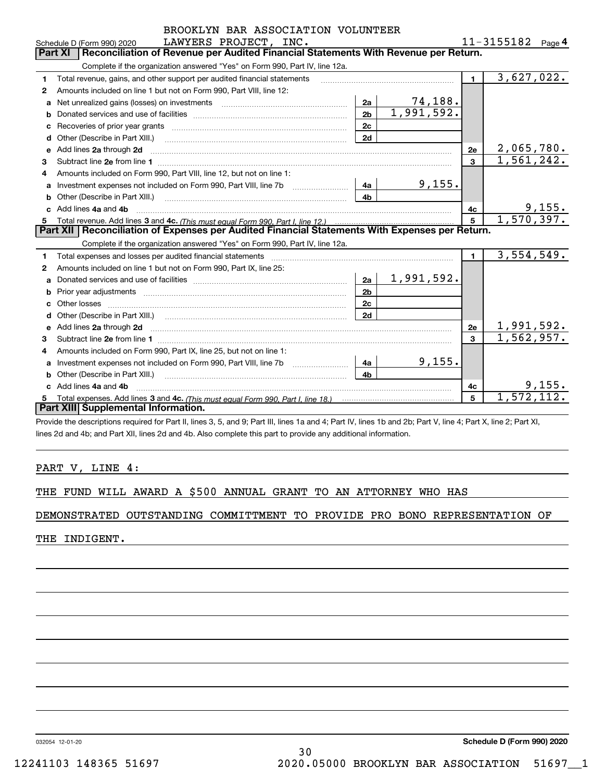|    | BROOKLYN BAR ASSOCIATION VOLUNTEER                                                                                                                                                                                                  |                |                |                |                                 |
|----|-------------------------------------------------------------------------------------------------------------------------------------------------------------------------------------------------------------------------------------|----------------|----------------|----------------|---------------------------------|
|    | LAWYERS PROJECT, INC.<br>Schedule D (Form 990) 2020                                                                                                                                                                                 |                |                |                | $11 - 3155182$ Page 4           |
|    | Reconciliation of Revenue per Audited Financial Statements With Revenue per Return.<br><b>Part XI</b>                                                                                                                               |                |                |                |                                 |
|    | Complete if the organization answered "Yes" on Form 990, Part IV, line 12a.                                                                                                                                                         |                |                |                |                                 |
| 1  | Total revenue, gains, and other support per audited financial statements                                                                                                                                                            |                |                | $\blacksquare$ | 3,627,022.                      |
| 2  | Amounts included on line 1 but not on Form 990, Part VIII, line 12:                                                                                                                                                                 |                |                |                |                                 |
| a  |                                                                                                                                                                                                                                     | 2a             | <u>74,188.</u> |                |                                 |
| b  |                                                                                                                                                                                                                                     | 2 <sub>b</sub> | 1,991,592.     |                |                                 |
|    |                                                                                                                                                                                                                                     | 2c             |                |                |                                 |
| d  | Other (Describe in Part XIII.) <b>2006</b> 2007 2010 2010 2010 2010 2011 2012 2013 2014 2015 2016 2017 2018 2019 2016 2016 2017 2018 2019 2016 2017 2018 2019 2016 2017 2018 2019 2018 2019 2016 2017 2018 2019 2019 2018 2019 2018 | 2d             |                |                |                                 |
|    | e Add lines 2a through 2d                                                                                                                                                                                                           |                |                | 2e             | $\frac{2,065,780.}{1,561,242.}$ |
| 3  |                                                                                                                                                                                                                                     |                |                | $\mathbf{R}$   |                                 |
| 4  | Amounts included on Form 990, Part VIII, line 12, but not on line 1:                                                                                                                                                                |                |                |                |                                 |
| a  |                                                                                                                                                                                                                                     | 4a             | 9,155.         |                |                                 |
| b  |                                                                                                                                                                                                                                     | 4 <sub>h</sub> |                |                |                                 |
|    | Add lines 4a and 4b                                                                                                                                                                                                                 |                |                | 4c             | $\frac{9,155}{1,570,397}$ .     |
|    |                                                                                                                                                                                                                                     |                |                | 5              |                                 |
|    | Part XII   Reconciliation of Expenses per Audited Financial Statements With Expenses per Return.                                                                                                                                    |                |                |                |                                 |
|    | Complete if the organization answered "Yes" on Form 990, Part IV, line 12a.                                                                                                                                                         |                |                |                |                                 |
| 1  | Total expenses and losses per audited financial statements                                                                                                                                                                          |                |                | $\blacksquare$ | 3,554,549.                      |
| 2  | Amounts included on line 1 but not on Form 990, Part IX, line 25:                                                                                                                                                                   |                |                |                |                                 |
| a  |                                                                                                                                                                                                                                     | 2a             | 1,991,592.     |                |                                 |
| b  |                                                                                                                                                                                                                                     | 2 <sub>b</sub> |                |                |                                 |
| C. |                                                                                                                                                                                                                                     | 2c             |                |                |                                 |
|    |                                                                                                                                                                                                                                     | 2d             |                |                |                                 |
|    | e Add lines 2a through 2d <b>contract and a contract and a contract a</b> contract a contract and a contract a contract a contract a contract a contract a contract a contract a contract a contract a contract a contract a contra |                |                | 2e             | <u>1,991,592.</u>               |
| 3  |                                                                                                                                                                                                                                     |                |                | $\mathbf{a}$   | 1,562,957.                      |
| 4  | Amounts included on Form 990, Part IX, line 25, but not on line 1:                                                                                                                                                                  |                |                |                |                                 |
| a  |                                                                                                                                                                                                                                     | 4a             | 9,155.         |                |                                 |
| b  |                                                                                                                                                                                                                                     | 4 <sub>b</sub> |                |                |                                 |
|    | c Add lines 4a and 4b                                                                                                                                                                                                               |                |                | 4с             | 9,155.                          |
|    | Total expenses. Add lines 3 and 4c. (This must equal Form 990, Part I, line 18.) <b>Conservers</b> manufactured in the                                                                                                              |                |                | 5              | 1,572,112.                      |
|    | Part XIII Supplemental Information.                                                                                                                                                                                                 |                |                |                |                                 |

Provide the descriptions required for Part II, lines 3, 5, and 9; Part III, lines 1a and 4; Part IV, lines 1b and 2b; Part V, line 4; Part X, line 2; Part XI, lines 2d and 4b; and Part XII, lines 2d and 4b. Also complete this part to provide any additional information.

PART V, LINE 4:

THE FUND WILL AWARD A \$500 ANNUAL GRANT TO AN ATTORNEY WHO HAS

DEMONSTRATED OUTSTANDING COMMITTMENT TO PROVIDE PRO BONO REPRESENTATION OF

THE INDIGENT.

032054 12-01-20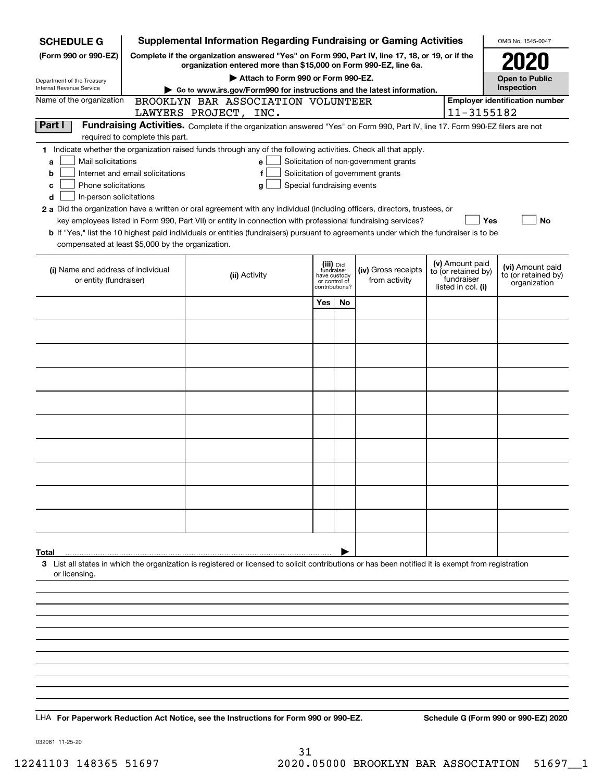| <b>SCHEDULE G</b>                                                                                                                             |                                                                                                 | <b>Supplemental Information Regarding Fundraising or Gaming Activities</b>                                                                                                                                                                                                                                                                                                                                                                                                                                                                           |                                                                            |           |                                                                            |  |                                                                            | OMB No. 1545-0047                                       |  |
|-----------------------------------------------------------------------------------------------------------------------------------------------|-------------------------------------------------------------------------------------------------|------------------------------------------------------------------------------------------------------------------------------------------------------------------------------------------------------------------------------------------------------------------------------------------------------------------------------------------------------------------------------------------------------------------------------------------------------------------------------------------------------------------------------------------------------|----------------------------------------------------------------------------|-----------|----------------------------------------------------------------------------|--|----------------------------------------------------------------------------|---------------------------------------------------------|--|
| (Form 990 or 990-EZ)                                                                                                                          | Complete if the organization answered "Yes" on Form 990, Part IV, line 17, 18, or 19, or if the |                                                                                                                                                                                                                                                                                                                                                                                                                                                                                                                                                      | 2020                                                                       |           |                                                                            |  |                                                                            |                                                         |  |
|                                                                                                                                               |                                                                                                 | organization entered more than \$15,000 on Form 990-EZ, line 6a.<br>Attach to Form 990 or Form 990-EZ.                                                                                                                                                                                                                                                                                                                                                                                                                                               |                                                                            |           |                                                                            |  |                                                                            | <b>Open to Public</b>                                   |  |
| Department of the Treasury<br>Internal Revenue Service                                                                                        |                                                                                                 | Go to www.irs.gov/Form990 for instructions and the latest information.                                                                                                                                                                                                                                                                                                                                                                                                                                                                               |                                                                            |           |                                                                            |  |                                                                            | Inspection                                              |  |
| Name of the organization                                                                                                                      | <b>Employer identification number</b><br>BROOKLYN BAR ASSOCIATION VOLUNTEER                     |                                                                                                                                                                                                                                                                                                                                                                                                                                                                                                                                                      |                                                                            |           |                                                                            |  |                                                                            |                                                         |  |
|                                                                                                                                               |                                                                                                 | LAWYERS PROJECT, INC.                                                                                                                                                                                                                                                                                                                                                                                                                                                                                                                                |                                                                            |           |                                                                            |  | 11-3155182                                                                 |                                                         |  |
| Part I                                                                                                                                        | required to complete this part.                                                                 | Fundraising Activities. Complete if the organization answered "Yes" on Form 990, Part IV, line 17. Form 990-EZ filers are not                                                                                                                                                                                                                                                                                                                                                                                                                        |                                                                            |           |                                                                            |  |                                                                            |                                                         |  |
| Mail solicitations<br>a<br>b<br>Phone solicitations<br>с<br>In-person solicitations<br>d<br>compensated at least \$5,000 by the organization. | Internet and email solicitations                                                                | 1 Indicate whether the organization raised funds through any of the following activities. Check all that apply.<br>e<br>Special fundraising events<br>g<br>2 a Did the organization have a written or oral agreement with any individual (including officers, directors, trustees, or<br>key employees listed in Form 990, Part VII) or entity in connection with professional fundraising services?<br><b>b</b> If "Yes," list the 10 highest paid individuals or entities (fundraisers) pursuant to agreements under which the fundraiser is to be |                                                                            |           | Solicitation of non-government grants<br>Solicitation of government grants |  | Yes                                                                        | No                                                      |  |
| (i) Name and address of individual<br>or entity (fundraiser)                                                                                  |                                                                                                 | (ii) Activity                                                                                                                                                                                                                                                                                                                                                                                                                                                                                                                                        | (iii) Did<br>fundraiser<br>have custody<br>or control of<br>contributions? |           | (iv) Gross receipts<br>from activity                                       |  | (v) Amount paid<br>to (or retained by)<br>fundraiser<br>listed in col. (i) | (vi) Amount paid<br>to (or retained by)<br>organization |  |
|                                                                                                                                               |                                                                                                 |                                                                                                                                                                                                                                                                                                                                                                                                                                                                                                                                                      | Yes                                                                        | <b>No</b> |                                                                            |  |                                                                            |                                                         |  |
|                                                                                                                                               |                                                                                                 |                                                                                                                                                                                                                                                                                                                                                                                                                                                                                                                                                      |                                                                            |           |                                                                            |  |                                                                            |                                                         |  |
|                                                                                                                                               |                                                                                                 |                                                                                                                                                                                                                                                                                                                                                                                                                                                                                                                                                      |                                                                            |           |                                                                            |  |                                                                            |                                                         |  |
|                                                                                                                                               |                                                                                                 |                                                                                                                                                                                                                                                                                                                                                                                                                                                                                                                                                      |                                                                            |           |                                                                            |  |                                                                            |                                                         |  |
|                                                                                                                                               |                                                                                                 |                                                                                                                                                                                                                                                                                                                                                                                                                                                                                                                                                      |                                                                            |           |                                                                            |  |                                                                            |                                                         |  |
|                                                                                                                                               |                                                                                                 |                                                                                                                                                                                                                                                                                                                                                                                                                                                                                                                                                      |                                                                            |           |                                                                            |  |                                                                            |                                                         |  |
|                                                                                                                                               |                                                                                                 |                                                                                                                                                                                                                                                                                                                                                                                                                                                                                                                                                      |                                                                            |           |                                                                            |  |                                                                            |                                                         |  |
|                                                                                                                                               |                                                                                                 |                                                                                                                                                                                                                                                                                                                                                                                                                                                                                                                                                      |                                                                            |           |                                                                            |  |                                                                            |                                                         |  |
|                                                                                                                                               |                                                                                                 |                                                                                                                                                                                                                                                                                                                                                                                                                                                                                                                                                      |                                                                            |           |                                                                            |  |                                                                            |                                                         |  |
|                                                                                                                                               |                                                                                                 |                                                                                                                                                                                                                                                                                                                                                                                                                                                                                                                                                      |                                                                            |           |                                                                            |  |                                                                            |                                                         |  |
|                                                                                                                                               |                                                                                                 |                                                                                                                                                                                                                                                                                                                                                                                                                                                                                                                                                      |                                                                            |           |                                                                            |  |                                                                            |                                                         |  |
|                                                                                                                                               |                                                                                                 |                                                                                                                                                                                                                                                                                                                                                                                                                                                                                                                                                      |                                                                            |           |                                                                            |  |                                                                            |                                                         |  |
|                                                                                                                                               |                                                                                                 |                                                                                                                                                                                                                                                                                                                                                                                                                                                                                                                                                      |                                                                            |           |                                                                            |  |                                                                            |                                                         |  |
|                                                                                                                                               |                                                                                                 |                                                                                                                                                                                                                                                                                                                                                                                                                                                                                                                                                      |                                                                            |           |                                                                            |  |                                                                            |                                                         |  |
| Total                                                                                                                                         |                                                                                                 |                                                                                                                                                                                                                                                                                                                                                                                                                                                                                                                                                      |                                                                            |           |                                                                            |  |                                                                            |                                                         |  |
| or licensing.                                                                                                                                 |                                                                                                 | 3 List all states in which the organization is registered or licensed to solicit contributions or has been notified it is exempt from registration                                                                                                                                                                                                                                                                                                                                                                                                   |                                                                            |           |                                                                            |  |                                                                            |                                                         |  |
|                                                                                                                                               |                                                                                                 |                                                                                                                                                                                                                                                                                                                                                                                                                                                                                                                                                      |                                                                            |           |                                                                            |  |                                                                            |                                                         |  |
|                                                                                                                                               |                                                                                                 |                                                                                                                                                                                                                                                                                                                                                                                                                                                                                                                                                      |                                                                            |           |                                                                            |  |                                                                            |                                                         |  |
|                                                                                                                                               |                                                                                                 |                                                                                                                                                                                                                                                                                                                                                                                                                                                                                                                                                      |                                                                            |           |                                                                            |  |                                                                            |                                                         |  |
|                                                                                                                                               |                                                                                                 |                                                                                                                                                                                                                                                                                                                                                                                                                                                                                                                                                      |                                                                            |           |                                                                            |  |                                                                            |                                                         |  |
|                                                                                                                                               |                                                                                                 |                                                                                                                                                                                                                                                                                                                                                                                                                                                                                                                                                      |                                                                            |           |                                                                            |  |                                                                            |                                                         |  |
|                                                                                                                                               |                                                                                                 |                                                                                                                                                                                                                                                                                                                                                                                                                                                                                                                                                      |                                                                            |           |                                                                            |  |                                                                            |                                                         |  |
|                                                                                                                                               |                                                                                                 |                                                                                                                                                                                                                                                                                                                                                                                                                                                                                                                                                      |                                                                            |           |                                                                            |  |                                                                            |                                                         |  |
|                                                                                                                                               |                                                                                                 | LHA For Paperwork Reduction Act Notice, see the Instructions for Form 990 or 990-EZ.                                                                                                                                                                                                                                                                                                                                                                                                                                                                 |                                                                            |           |                                                                            |  |                                                                            | Schedule G (Form 990 or 990-EZ) 2020                    |  |

032081 11-25-20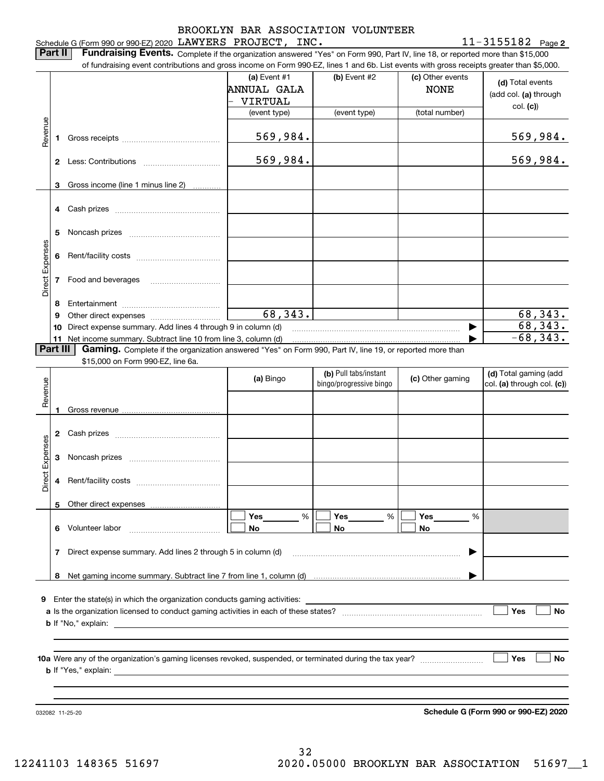|                 | Part II  | Schedule G (Form 990 or 990-EZ) 2020 LAWYERS PROJECT, INC.<br>Fundraising Events. Complete if the organization answered "Yes" on Form 990, Part IV, line 18, or reported more than \$15,000<br>of fundraising event contributions and gross income on Form 990-EZ, lines 1 and 6b. List events with gross receipts greater than \$5,000. | BROOKLYN BAR ASSOCIATION VOLUNTEER     |                                                  |                                 | $11 - 3155182$ Page 2                               |
|-----------------|----------|------------------------------------------------------------------------------------------------------------------------------------------------------------------------------------------------------------------------------------------------------------------------------------------------------------------------------------------|----------------------------------------|--------------------------------------------------|---------------------------------|-----------------------------------------------------|
|                 |          |                                                                                                                                                                                                                                                                                                                                          | (a) Event #1<br>ANNUAL GALA<br>VIRTUAL | (b) Event #2                                     | (c) Other events<br><b>NONE</b> | (d) Total events<br>(add col. (a) through           |
| Revenue         |          |                                                                                                                                                                                                                                                                                                                                          | (event type)                           | (event type)                                     | (total number)                  | col. (c)                                            |
|                 | 1        |                                                                                                                                                                                                                                                                                                                                          | 569,984.                               |                                                  |                                 | 569,984.                                            |
|                 |          |                                                                                                                                                                                                                                                                                                                                          | 569,984.                               |                                                  |                                 | 569,984.                                            |
|                 | 3        | Gross income (line 1 minus line 2)                                                                                                                                                                                                                                                                                                       |                                        |                                                  |                                 |                                                     |
|                 |          |                                                                                                                                                                                                                                                                                                                                          |                                        |                                                  |                                 |                                                     |
|                 | 5.       |                                                                                                                                                                                                                                                                                                                                          |                                        |                                                  |                                 |                                                     |
|                 | 6        |                                                                                                                                                                                                                                                                                                                                          |                                        |                                                  |                                 |                                                     |
| Direct Expenses |          |                                                                                                                                                                                                                                                                                                                                          |                                        |                                                  |                                 |                                                     |
|                 | 8<br>9   |                                                                                                                                                                                                                                                                                                                                          | 68,343.                                |                                                  |                                 | 68,343.                                             |
|                 |          | 10 Direct expense summary. Add lines 4 through 9 in column (d)                                                                                                                                                                                                                                                                           |                                        |                                                  | ▶                               | 68,343.                                             |
|                 | Part III | 11 Net income summary. Subtract line 10 from line 3, column (d)<br>Gaming. Complete if the organization answered "Yes" on Form 990, Part IV, line 19, or reported more than                                                                                                                                                              |                                        |                                                  |                                 | $-68, 343.$                                         |
|                 |          | \$15,000 on Form 990-EZ, line 6a.                                                                                                                                                                                                                                                                                                        |                                        |                                                  |                                 |                                                     |
| Revenue         |          |                                                                                                                                                                                                                                                                                                                                          | (a) Bingo                              | (b) Pull tabs/instant<br>bingo/progressive bingo | (c) Other gaming                | (d) Total gaming (add<br>col. (a) through col. (c)) |
|                 | 1        |                                                                                                                                                                                                                                                                                                                                          |                                        |                                                  |                                 |                                                     |
|                 | 2        |                                                                                                                                                                                                                                                                                                                                          |                                        |                                                  |                                 |                                                     |
|                 | 3        |                                                                                                                                                                                                                                                                                                                                          |                                        |                                                  |                                 |                                                     |
| Direct Expenses |          |                                                                                                                                                                                                                                                                                                                                          |                                        |                                                  |                                 |                                                     |
|                 | 5        | Other direct expenses<br><u></u>                                                                                                                                                                                                                                                                                                         |                                        |                                                  |                                 |                                                     |
|                 |          | 6 Volunteer labor                                                                                                                                                                                                                                                                                                                        | Yes<br>%<br>No                         | $\%$<br>Yes<br>No                                | Yes<br>%<br>No                  |                                                     |
|                 | 7        | Direct expense summary. Add lines 2 through 5 in column (d)                                                                                                                                                                                                                                                                              |                                        |                                                  | ▶                               |                                                     |
|                 | 8        |                                                                                                                                                                                                                                                                                                                                          |                                        |                                                  |                                 |                                                     |
|                 |          |                                                                                                                                                                                                                                                                                                                                          |                                        |                                                  |                                 |                                                     |
|                 |          |                                                                                                                                                                                                                                                                                                                                          |                                        |                                                  |                                 |                                                     |
| 9               |          |                                                                                                                                                                                                                                                                                                                                          |                                        |                                                  |                                 | Yes<br><b>No</b>                                    |
|                 |          |                                                                                                                                                                                                                                                                                                                                          |                                        |                                                  |                                 |                                                     |

032082 11-25-20

**Schedule G (Form 990 or 990-EZ) 2020**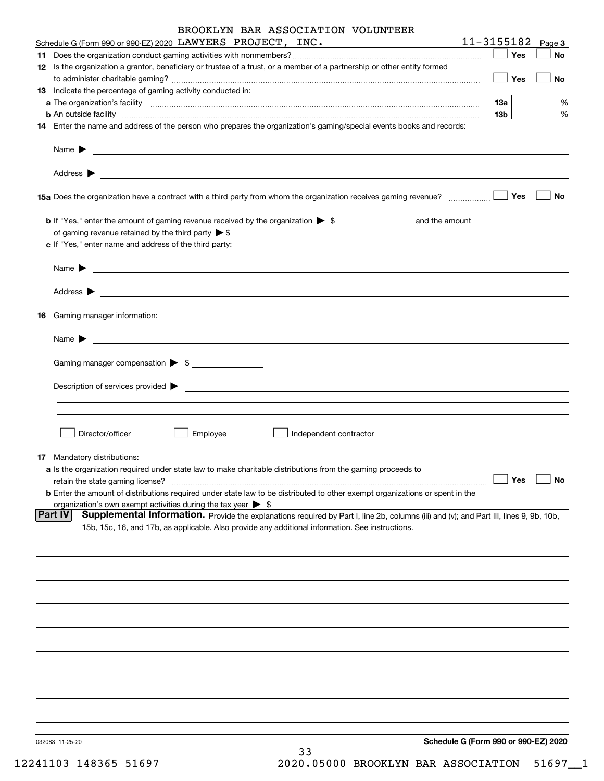|    | BROOKLYN BAR ASSOCIATION VOLUNTEER                                                                                                                                                                                                       |                 |        |
|----|------------------------------------------------------------------------------------------------------------------------------------------------------------------------------------------------------------------------------------------|-----------------|--------|
|    | Schedule G (Form 990 or 990-EZ) 2020 LAWYERS PROJECT, INC.                                                                                                                                                                               | 11-3155182      | Page 3 |
|    |                                                                                                                                                                                                                                          | Yes             | No     |
|    | 12 Is the organization a grantor, beneficiary or trustee of a trust, or a member of a partnership or other entity formed                                                                                                                 |                 |        |
|    | 13 Indicate the percentage of gaming activity conducted in:                                                                                                                                                                              | Yes             | No     |
|    |                                                                                                                                                                                                                                          | 13а             | %      |
|    | <b>b</b> An outside facility <i>www.communicality www.communicality.communicality www.communicality www.communicality.com</i>                                                                                                            | 13 <sub>b</sub> | %      |
|    | 14 Enter the name and address of the person who prepares the organization's gaming/special events books and records:                                                                                                                     |                 |        |
|    |                                                                                                                                                                                                                                          |                 |        |
|    |                                                                                                                                                                                                                                          |                 |        |
|    | 15a Does the organization have a contract with a third party from whom the organization receives gaming revenue?                                                                                                                         | Yes             | No     |
|    |                                                                                                                                                                                                                                          |                 |        |
|    | of gaming revenue retained by the third party $\triangleright$ \$                                                                                                                                                                        |                 |        |
|    | c If "Yes," enter name and address of the third party:                                                                                                                                                                                   |                 |        |
|    |                                                                                                                                                                                                                                          |                 |        |
|    |                                                                                                                                                                                                                                          |                 |        |
| 16 | Gaming manager information:                                                                                                                                                                                                              |                 |        |
|    |                                                                                                                                                                                                                                          |                 |        |
|    | Gaming manager compensation > \$                                                                                                                                                                                                         |                 |        |
|    |                                                                                                                                                                                                                                          |                 |        |
|    | Description of services provided states and the service of the service of the services provided states are serviced to be a service of the services provided states and the services of the services of the services of the se           |                 |        |
|    |                                                                                                                                                                                                                                          |                 |        |
|    | Director/officer<br>Employee<br>Independent contractor                                                                                                                                                                                   |                 |        |
|    | <b>17</b> Mandatory distributions:                                                                                                                                                                                                       |                 |        |
|    | a Is the organization required under state law to make charitable distributions from the gaming proceeds to                                                                                                                              |                 |        |
|    | retain the state gaming license?                                                                                                                                                                                                         | Yes             | No     |
|    | <b>b</b> Enter the amount of distributions required under state law to be distributed to other exempt organizations or spent in the                                                                                                      |                 |        |
|    | organization's own exempt activities during the tax year $\triangleright$ \$<br><b>Part IV</b><br>Supplemental Information. Provide the explanations required by Part I, line 2b, columns (iii) and (v); and Part III, lines 9, 9b, 10b, |                 |        |
|    | 15b, 15c, 16, and 17b, as applicable. Also provide any additional information. See instructions.                                                                                                                                         |                 |        |
|    |                                                                                                                                                                                                                                          |                 |        |
|    |                                                                                                                                                                                                                                          |                 |        |
|    |                                                                                                                                                                                                                                          |                 |        |
|    |                                                                                                                                                                                                                                          |                 |        |
|    |                                                                                                                                                                                                                                          |                 |        |
|    |                                                                                                                                                                                                                                          |                 |        |
|    |                                                                                                                                                                                                                                          |                 |        |
|    |                                                                                                                                                                                                                                          |                 |        |
|    |                                                                                                                                                                                                                                          |                 |        |
|    |                                                                                                                                                                                                                                          |                 |        |
|    |                                                                                                                                                                                                                                          |                 |        |
|    |                                                                                                                                                                                                                                          |                 |        |
|    | Schedule G (Form 990 or 990-EZ) 2020<br>032083 11-25-20<br>२२                                                                                                                                                                            |                 |        |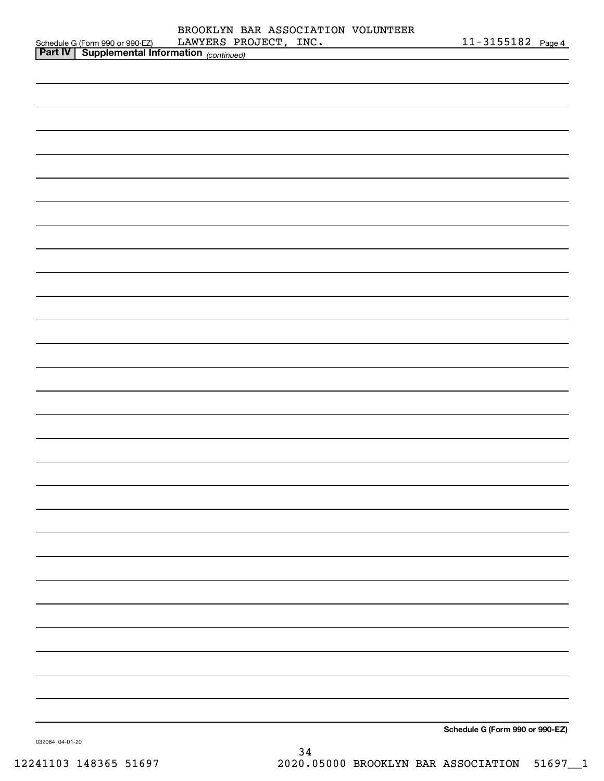|  |                                                                                                              | <u>11-3155182 Page 4</u>        |
|--|--------------------------------------------------------------------------------------------------------------|---------------------------------|
|  | Schedule G (Form 990 or 990-EZ) LAWYERS PROJECT, INC.<br><b>Part IV</b> Supplemental Information (continued) |                                 |
|  |                                                                                                              |                                 |
|  |                                                                                                              |                                 |
|  |                                                                                                              |                                 |
|  |                                                                                                              |                                 |
|  |                                                                                                              |                                 |
|  |                                                                                                              |                                 |
|  |                                                                                                              |                                 |
|  |                                                                                                              |                                 |
|  |                                                                                                              |                                 |
|  |                                                                                                              |                                 |
|  |                                                                                                              |                                 |
|  |                                                                                                              |                                 |
|  |                                                                                                              |                                 |
|  |                                                                                                              |                                 |
|  |                                                                                                              |                                 |
|  |                                                                                                              |                                 |
|  |                                                                                                              |                                 |
|  |                                                                                                              |                                 |
|  |                                                                                                              |                                 |
|  |                                                                                                              |                                 |
|  |                                                                                                              |                                 |
|  |                                                                                                              |                                 |
|  |                                                                                                              |                                 |
|  |                                                                                                              |                                 |
|  |                                                                                                              |                                 |
|  |                                                                                                              |                                 |
|  |                                                                                                              |                                 |
|  |                                                                                                              |                                 |
|  |                                                                                                              |                                 |
|  |                                                                                                              |                                 |
|  |                                                                                                              |                                 |
|  |                                                                                                              |                                 |
|  |                                                                                                              |                                 |
|  |                                                                                                              |                                 |
|  |                                                                                                              |                                 |
|  |                                                                                                              |                                 |
|  |                                                                                                              |                                 |
|  |                                                                                                              |                                 |
|  |                                                                                                              |                                 |
|  |                                                                                                              |                                 |
|  |                                                                                                              |                                 |
|  |                                                                                                              |                                 |
|  |                                                                                                              |                                 |
|  |                                                                                                              |                                 |
|  |                                                                                                              |                                 |
|  |                                                                                                              |                                 |
|  |                                                                                                              |                                 |
|  |                                                                                                              |                                 |
|  |                                                                                                              |                                 |
|  |                                                                                                              |                                 |
|  |                                                                                                              |                                 |
|  |                                                                                                              |                                 |
|  |                                                                                                              |                                 |
|  |                                                                                                              |                                 |
|  |                                                                                                              |                                 |
|  |                                                                                                              |                                 |
|  |                                                                                                              |                                 |
|  |                                                                                                              |                                 |
|  |                                                                                                              |                                 |
|  |                                                                                                              |                                 |
|  |                                                                                                              |                                 |
|  |                                                                                                              |                                 |
|  |                                                                                                              |                                 |
|  |                                                                                                              |                                 |
|  |                                                                                                              |                                 |
|  |                                                                                                              |                                 |
|  |                                                                                                              |                                 |
|  |                                                                                                              |                                 |
|  |                                                                                                              |                                 |
|  |                                                                                                              |                                 |
|  |                                                                                                              | Schedule G (Form 990 or 990-EZ) |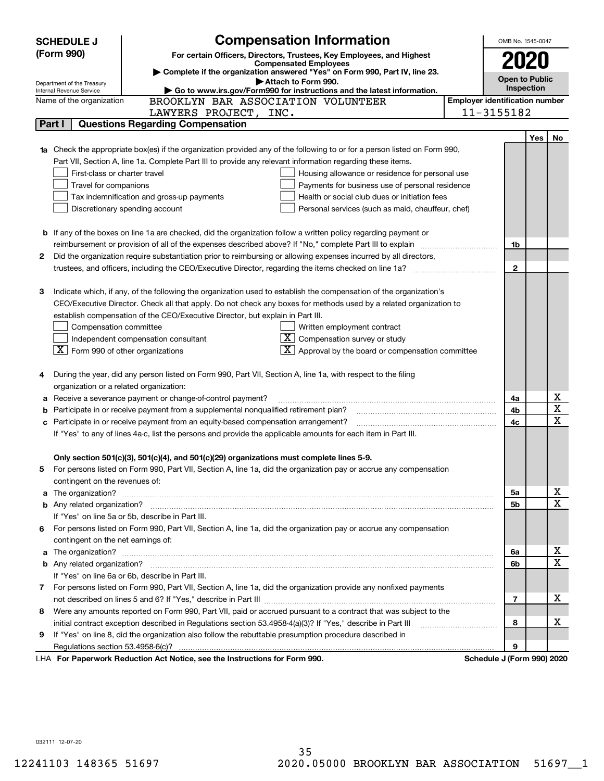|    | <b>Compensation Information</b><br><b>SCHEDULE J</b> |                                                                                                                                                                                     |      |                                       |     | OMB No. 1545-0047 |  |  |  |  |
|----|------------------------------------------------------|-------------------------------------------------------------------------------------------------------------------------------------------------------------------------------------|------|---------------------------------------|-----|-------------------|--|--|--|--|
|    | (Form 990)                                           |                                                                                                                                                                                     | 2020 |                                       |     |                   |  |  |  |  |
|    |                                                      | For certain Officers, Directors, Trustees, Key Employees, and Highest<br><b>Compensated Employees</b><br>Complete if the organization answered "Yes" on Form 990, Part IV, line 23. |      |                                       |     |                   |  |  |  |  |
|    | Department of the Treasury                           | Attach to Form 990.                                                                                                                                                                 |      | <b>Open to Public</b>                 |     |                   |  |  |  |  |
|    | Internal Revenue Service                             | Go to www.irs.gov/Form990 for instructions and the latest information.                                                                                                              |      | Inspection                            |     |                   |  |  |  |  |
|    | Name of the organization                             | BROOKLYN BAR ASSOCIATION VOLUNTEER                                                                                                                                                  |      | <b>Employer identification number</b> |     |                   |  |  |  |  |
|    |                                                      | LAWYERS PROJECT, INC.                                                                                                                                                               |      | 11-3155182                            |     |                   |  |  |  |  |
|    | Part I                                               | <b>Questions Regarding Compensation</b>                                                                                                                                             |      |                                       |     |                   |  |  |  |  |
|    |                                                      |                                                                                                                                                                                     |      |                                       | Yes | No                |  |  |  |  |
|    |                                                      | Check the appropriate box(es) if the organization provided any of the following to or for a person listed on Form 990,                                                              |      |                                       |     |                   |  |  |  |  |
|    | First-class or charter travel                        | Part VII, Section A, line 1a. Complete Part III to provide any relevant information regarding these items.                                                                          |      |                                       |     |                   |  |  |  |  |
|    | Travel for companions                                | Housing allowance or residence for personal use                                                                                                                                     |      |                                       |     |                   |  |  |  |  |
|    |                                                      | Payments for business use of personal residence<br>Tax indemnification and gross-up payments<br>Health or social club dues or initiation fees                                       |      |                                       |     |                   |  |  |  |  |
|    |                                                      | Discretionary spending account<br>Personal services (such as maid, chauffeur, chef)                                                                                                 |      |                                       |     |                   |  |  |  |  |
|    |                                                      |                                                                                                                                                                                     |      |                                       |     |                   |  |  |  |  |
|    |                                                      | <b>b</b> If any of the boxes on line 1a are checked, did the organization follow a written policy regarding payment or                                                              |      |                                       |     |                   |  |  |  |  |
|    |                                                      | reimbursement or provision of all of the expenses described above? If "No," complete Part III to explain                                                                            |      | 1b                                    |     |                   |  |  |  |  |
| 2  |                                                      | Did the organization require substantiation prior to reimbursing or allowing expenses incurred by all directors,                                                                    |      |                                       |     |                   |  |  |  |  |
|    |                                                      | trustees, and officers, including the CEO/Executive Director, regarding the items checked on line 1a?                                                                               |      | $\mathbf{2}$                          |     |                   |  |  |  |  |
|    |                                                      |                                                                                                                                                                                     |      |                                       |     |                   |  |  |  |  |
| з  |                                                      | Indicate which, if any, of the following the organization used to establish the compensation of the organization's                                                                  |      |                                       |     |                   |  |  |  |  |
|    |                                                      | CEO/Executive Director. Check all that apply. Do not check any boxes for methods used by a related organization to                                                                  |      |                                       |     |                   |  |  |  |  |
|    |                                                      | establish compensation of the CEO/Executive Director, but explain in Part III.                                                                                                      |      |                                       |     |                   |  |  |  |  |
|    | Compensation committee                               | Written employment contract                                                                                                                                                         |      |                                       |     |                   |  |  |  |  |
|    |                                                      | $X$ Compensation survey or study<br>Independent compensation consultant                                                                                                             |      |                                       |     |                   |  |  |  |  |
|    | $\boxed{\textbf{X}}$ Form 990 of other organizations | $\overline{X}$ Approval by the board or compensation committee                                                                                                                      |      |                                       |     |                   |  |  |  |  |
|    |                                                      |                                                                                                                                                                                     |      |                                       |     |                   |  |  |  |  |
|    |                                                      | During the year, did any person listed on Form 990, Part VII, Section A, line 1a, with respect to the filing                                                                        |      |                                       |     |                   |  |  |  |  |
|    | organization or a related organization:              |                                                                                                                                                                                     |      |                                       |     |                   |  |  |  |  |
| а  |                                                      | Receive a severance payment or change-of-control payment?                                                                                                                           |      | 4a                                    |     | х                 |  |  |  |  |
| b  |                                                      | Participate in or receive payment from a supplemental nonqualified retirement plan?                                                                                                 |      | 4b                                    |     | $\mathbf X$       |  |  |  |  |
| c  |                                                      | Participate in or receive payment from an equity-based compensation arrangement?                                                                                                    |      | 4c                                    |     | X                 |  |  |  |  |
|    |                                                      | If "Yes" to any of lines 4a-c, list the persons and provide the applicable amounts for each item in Part III.                                                                       |      |                                       |     |                   |  |  |  |  |
|    |                                                      |                                                                                                                                                                                     |      |                                       |     |                   |  |  |  |  |
|    |                                                      | Only section 501(c)(3), 501(c)(4), and 501(c)(29) organizations must complete lines 5-9.                                                                                            |      |                                       |     |                   |  |  |  |  |
|    |                                                      | For persons listed on Form 990, Part VII, Section A, line 1a, did the organization pay or accrue any compensation                                                                   |      |                                       |     |                   |  |  |  |  |
|    | contingent on the revenues of:                       |                                                                                                                                                                                     |      |                                       |     |                   |  |  |  |  |
| a  |                                                      |                                                                                                                                                                                     |      | 5a                                    |     | х                 |  |  |  |  |
|    |                                                      |                                                                                                                                                                                     |      | 5b                                    |     | X                 |  |  |  |  |
|    |                                                      | If "Yes" on line 5a or 5b, describe in Part III.                                                                                                                                    |      |                                       |     |                   |  |  |  |  |
| 6. |                                                      | For persons listed on Form 990, Part VII, Section A, line 1a, did the organization pay or accrue any compensation                                                                   |      |                                       |     |                   |  |  |  |  |
|    | contingent on the net earnings of:                   |                                                                                                                                                                                     |      |                                       |     |                   |  |  |  |  |
| a  |                                                      |                                                                                                                                                                                     |      | 6a                                    |     | х<br>X            |  |  |  |  |
|    |                                                      |                                                                                                                                                                                     |      | 6b                                    |     |                   |  |  |  |  |
|    |                                                      | If "Yes" on line 6a or 6b, describe in Part III.                                                                                                                                    |      |                                       |     |                   |  |  |  |  |
|    |                                                      | 7 For persons listed on Form 990, Part VII, Section A, line 1a, did the organization provide any nonfixed payments                                                                  |      |                                       |     | x                 |  |  |  |  |
|    |                                                      | Were any amounts reported on Form 990, Part VII, paid or accrued pursuant to a contract that was subject to the                                                                     |      | 7                                     |     |                   |  |  |  |  |
| 8  |                                                      | initial contract exception described in Regulations section 53.4958-4(a)(3)? If "Yes," describe in Part III                                                                         |      | 8                                     |     | х                 |  |  |  |  |
| 9  |                                                      | If "Yes" on line 8, did the organization also follow the rebuttable presumption procedure described in                                                                              |      |                                       |     |                   |  |  |  |  |
|    | Regulations section 53.4958-6(c)?                    |                                                                                                                                                                                     |      | 9                                     |     |                   |  |  |  |  |
|    |                                                      | LHA For Paperwork Reduction Act Notice, see the Instructions for Form 990.                                                                                                          |      | Schedule J (Form 990) 2020            |     |                   |  |  |  |  |
|    |                                                      |                                                                                                                                                                                     |      |                                       |     |                   |  |  |  |  |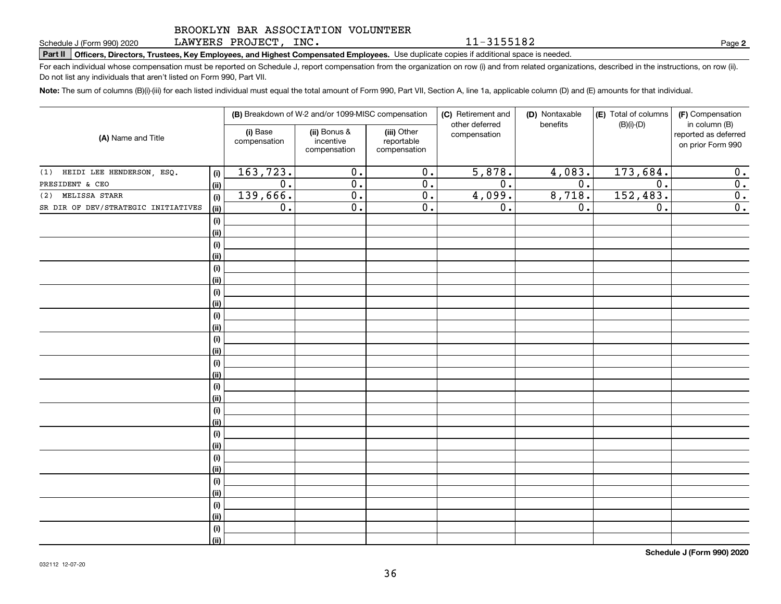LAWYERS PROJECT, INC.

**Part II Officers, Directors, Trustees, Key Employees, and Highest Compensated Employees.**  Schedule J (Form 990) 2020 Page Use duplicate copies if additional space is needed.

For each individual whose compensation must be reported on Schedule J, report compensation from the organization on row (i) and from related organizations, described in the instructions, on row (ii). Do not list any individuals that aren't listed on Form 990, Part VII.

**Note:**  The sum of columns (B)(i)-(iii) for each listed individual must equal the total amount of Form 990, Part VII, Section A, line 1a, applicable column (D) and (E) amounts for that individual.

| (A) Name and Title                  |                    | (B) Breakdown of W-2 and/or 1099-MISC compensation |                                           |                                           | (C) Retirement and<br>other deferred | (D) Nontaxable<br>benefits | (E) Total of columns<br>$(B)(i)$ - $(D)$ | (F) Compensation<br>in column (B)         |
|-------------------------------------|--------------------|----------------------------------------------------|-------------------------------------------|-------------------------------------------|--------------------------------------|----------------------------|------------------------------------------|-------------------------------------------|
|                                     |                    | (i) Base<br>compensation                           | (ii) Bonus &<br>incentive<br>compensation | (iii) Other<br>reportable<br>compensation | compensation                         |                            |                                          | reported as deferred<br>on prior Form 990 |
| HEIDI LEE HENDERSON, ESQ.<br>(1)    | (i)                | 163, 723.                                          | $\overline{0}$ .                          | $\overline{0}$ .                          | 5,878.                               | 4,083.                     | 173,684.                                 | 0.                                        |
| PRESIDENT & CEO                     | (ii)               | $\overline{0}$ .                                   | $\overline{0}$ .                          | $\overline{0}$ .                          | $\overline{0}$ .                     | $\overline{0}$ .           | $\overline{0}$ .                         | $\overline{0}$ .                          |
| (2) MELISSA STARR                   | (i)                | 139,666.                                           | $\overline{0}$ .                          | $\overline{0}$ .                          | 4,099.                               | 8,718.                     | 152, 483.                                | $\overline{0}$ .                          |
| SR DIR OF DEV/STRATEGIC INITIATIVES | (ii)               | $\overline{0}$ .                                   | $\overline{0}$ .                          | $\overline{0}$ .                          | $\overline{0}$ .                     | $\overline{0}$ .           | $\overline{0}$ .                         | $\overline{0}$ .                          |
|                                     | (i)                |                                                    |                                           |                                           |                                      |                            |                                          |                                           |
|                                     | (ii)               |                                                    |                                           |                                           |                                      |                            |                                          |                                           |
|                                     | (i)                |                                                    |                                           |                                           |                                      |                            |                                          |                                           |
|                                     | <u>(ii)</u>        |                                                    |                                           |                                           |                                      |                            |                                          |                                           |
|                                     | (i)                |                                                    |                                           |                                           |                                      |                            |                                          |                                           |
|                                     | <u>(ii)</u>        |                                                    |                                           |                                           |                                      |                            |                                          |                                           |
|                                     | (i)                |                                                    |                                           |                                           |                                      |                            |                                          |                                           |
|                                     | <u>(ii)</u>        |                                                    |                                           |                                           |                                      |                            |                                          |                                           |
|                                     | (i)                |                                                    |                                           |                                           |                                      |                            |                                          |                                           |
|                                     | <u>(ii)</u>        |                                                    |                                           |                                           |                                      |                            |                                          |                                           |
|                                     | (i)                |                                                    |                                           |                                           |                                      |                            |                                          |                                           |
|                                     | <u>(ii)</u>        |                                                    |                                           |                                           |                                      |                            |                                          |                                           |
|                                     | (i)                |                                                    |                                           |                                           |                                      |                            |                                          |                                           |
|                                     | <u>(ii)</u>        |                                                    |                                           |                                           |                                      |                            |                                          |                                           |
|                                     | (i)                |                                                    |                                           |                                           |                                      |                            |                                          |                                           |
|                                     | <u>(ii)</u>        |                                                    |                                           |                                           |                                      |                            |                                          |                                           |
|                                     | (i)                |                                                    |                                           |                                           |                                      |                            |                                          |                                           |
|                                     | <u>(ii)</u>        |                                                    |                                           |                                           |                                      |                            |                                          |                                           |
|                                     | (i)                |                                                    |                                           |                                           |                                      |                            |                                          |                                           |
|                                     | <u>(ii)</u>        |                                                    |                                           |                                           |                                      |                            |                                          |                                           |
|                                     | (i)<br><u>(ii)</u> |                                                    |                                           |                                           |                                      |                            |                                          |                                           |
|                                     | (i)                |                                                    |                                           |                                           |                                      |                            |                                          |                                           |
|                                     | <u>(ii)</u>        |                                                    |                                           |                                           |                                      |                            |                                          |                                           |
|                                     | (i)                |                                                    |                                           |                                           |                                      |                            |                                          |                                           |
|                                     | <u>(ii)</u>        |                                                    |                                           |                                           |                                      |                            |                                          |                                           |
|                                     | (i)                |                                                    |                                           |                                           |                                      |                            |                                          |                                           |
|                                     | (ii)               |                                                    |                                           |                                           |                                      |                            |                                          |                                           |
|                                     |                    |                                                    |                                           |                                           |                                      |                            |                                          |                                           |

**Schedule J (Form 990) 2020**

**2**

11-3155182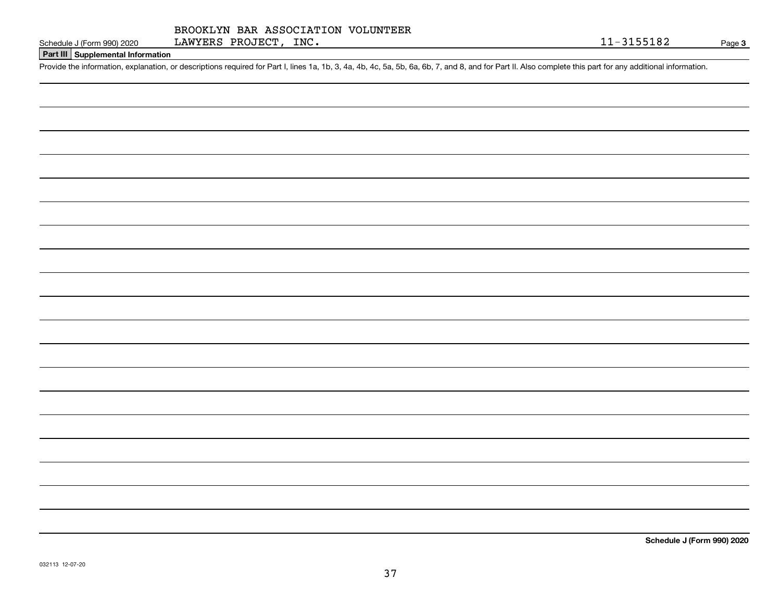# **Part III Supplemental Information**

Schedule J (Form 990) 2020 LAWYERS PROJECT, INC.<br>Part III Supplemental Information<br>Provide the information, explanation, or descriptions required for Part I, lines 1a, 1b, 3, 4a, 4b, 4c, 5a, 5b, 6a, 6b, 7, and 8, and for P

**Schedule J (Form 990) 2020**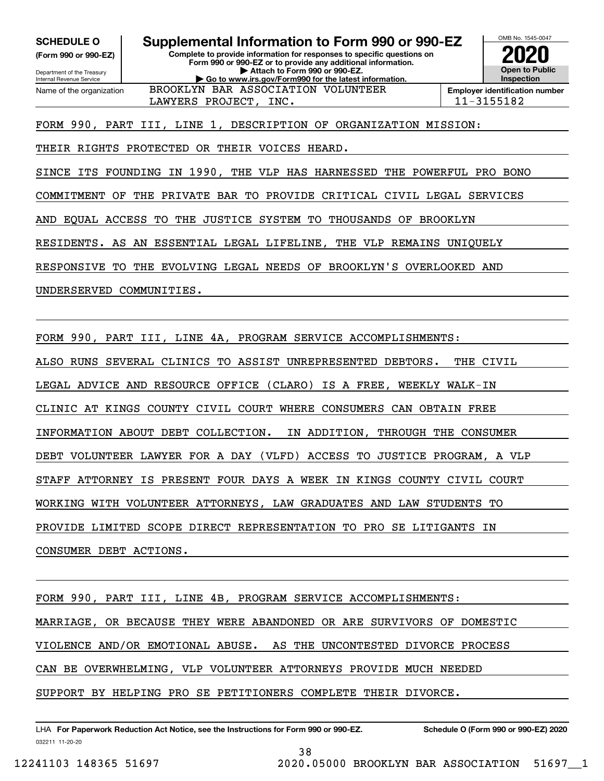**(Form 990 or 990-EZ)**

Department of the Treasury Internal Revenue Service Name of the organization

#### **Complete to provide information for responses to specific questions on Form 990 or 990-EZ or to provide any additional information. | Attach to Form 990 or 990-EZ. | Go to www.irs.gov/Form990 for the latest information. SCHEDULE O Supplemental Information to Form 990 or 990-EZ**



LAWYERS PROJECT, INC. 11-3155182

FORM 990, PART III, LINE 1, DESCRIPTION OF ORGANIZATION MISSION:

BROOKLYN BAR ASSOCIATION VOLUNTEER

THEIR RIGHTS PROTECTED OR THEIR VOICES HEARD.

SINCE ITS FOUNDING IN 1990, THE VLP HAS HARNESSED THE POWERFUL PRO BONO

COMMITMENT OF THE PRIVATE BAR TO PROVIDE CRITICAL CIVIL LEGAL SERVICES

AND EQUAL ACCESS TO THE JUSTICE SYSTEM TO THOUSANDS OF BROOKLYN

RESIDENTS. AS AN ESSENTIAL LEGAL LIFELINE, THE VLP REMAINS UNIQUELY

RESPONSIVE TO THE EVOLVING LEGAL NEEDS OF BROOKLYN'S OVERLOOKED AND

UNDERSERVED COMMUNITIES.

FORM 990, PART III, LINE 4A, PROGRAM SERVICE ACCOMPLISHMENTS:

ALSO RUNS SEVERAL CLINICS TO ASSIST UNREPRESENTED DEBTORS. THE CIVIL

LEGAL ADVICE AND RESOURCE OFFICE (CLARO) IS A FREE, WEEKLY WALK-IN

CLINIC AT KINGS COUNTY CIVIL COURT WHERE CONSUMERS CAN OBTAIN FREE

INFORMATION ABOUT DEBT COLLECTION. IN ADDITION, THROUGH THE CONSUMER

DEBT VOLUNTEER LAWYER FOR A DAY (VLFD) ACCESS TO JUSTICE PROGRAM, A VLP

STAFF ATTORNEY IS PRESENT FOUR DAYS A WEEK IN KINGS COUNTY CIVIL COURT

WORKING WITH VOLUNTEER ATTORNEYS, LAW GRADUATES AND LAW STUDENTS TO

PROVIDE LIMITED SCOPE DIRECT REPRESENTATION TO PRO SE LITIGANTS IN

CONSUMER DEBT ACTIONS.

FORM 990, PART III, LINE 4B, PROGRAM SERVICE ACCOMPLISHMENTS: MARRIAGE, OR BECAUSE THEY WERE ABANDONED OR ARE SURVIVORS OF DOMESTIC VIOLENCE AND/OR EMOTIONAL ABUSE. AS THE UNCONTESTED DIVORCE PROCESS CAN BE OVERWHELMING, VLP VOLUNTEER ATTORNEYS PROVIDE MUCH NEEDED SUPPORT BY HELPING PRO SE PETITIONERS COMPLETE THEIR DIVORCE.

032211 11-20-20 LHA For Paperwork Reduction Act Notice, see the Instructions for Form 990 or 990-EZ. Schedule O (Form 990 or 990-EZ) 2020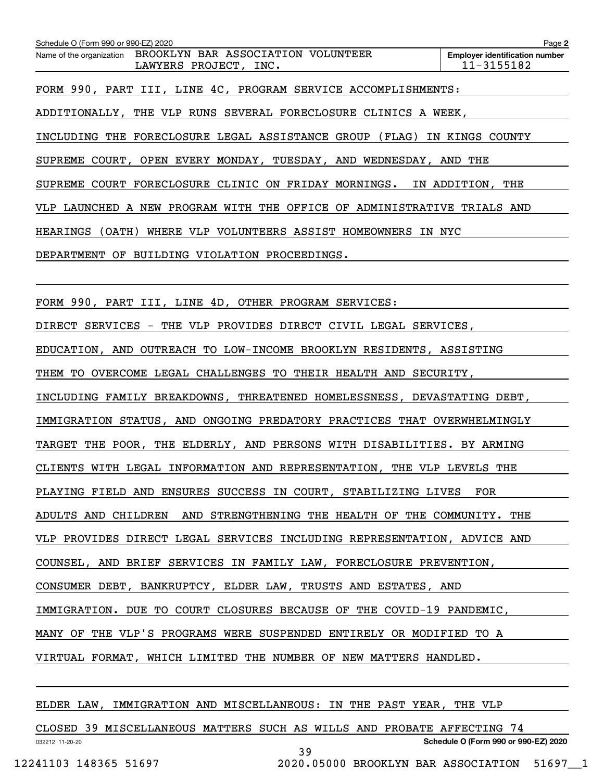**2Employer identification number** Schedule O (Form 990 or 990-EZ) 2020 Page Name of the organization BROOKLYN BAR ASSOCIATION VOLUNTEER FORM 990, PART III, LINE 4C, PROGRAM SERVICE ACCOMPLISHMENTS: ADDITIONALLY, THE VLP RUNS SEVERAL FORECLOSURE CLINICS A WEEK, INCLUDING THE FORECLOSURE LEGAL ASSISTANCE GROUP (FLAG) IN KINGS COUNTY SUPREME COURT, OPEN EVERY MONDAY, TUESDAY, AND WEDNESDAY, AND THE SUPREME COURT FORECLOSURE CLINIC ON FRIDAY MORNINGS. IN ADDITION, THE VLP LAUNCHED A NEW PROGRAM WITH THE OFFICE OF ADMINISTRATIVE TRIALS AND HEARINGS (OATH) WHERE VLP VOLUNTEERS ASSIST HOMEOWNERS IN NYC DEPARTMENT OF BUILDING VIOLATION PROCEEDINGS. FORM 990, PART III, LINE 4D, OTHER PROGRAM SERVICES: DIRECT SERVICES - THE VLP PROVIDES DIRECT CIVIL LEGAL SERVICES, EDUCATION, AND OUTREACH TO LOW-INCOME BROOKLYN RESIDENTS, ASSISTING THEM TO OVERCOME LEGAL CHALLENGES TO THEIR HEALTH AND SECURITY, INCLUDING FAMILY BREAKDOWNS, THREATENED HOMELESSNESS, DEVASTATING DEBT, IMMIGRATION STATUS, AND ONGOING PREDATORY PRACTICES THAT OVERWHELMINGLY TARGET THE POOR, THE ELDERLY, AND PERSONS WITH DISABILITIES. BY ARMING CLIENTS WITH LEGAL INFORMATION AND REPRESENTATION, THE VLP LEVELS THE PLAYING FIELD AND ENSURES SUCCESS IN COURT, STABILIZING LIVES FOR ADULTS AND CHILDREN AND STRENGTHENING THE HEALTH OF THE COMMUNITY. THE VLP PROVIDES DIRECT LEGAL SERVICES INCLUDING REPRESENTATION, ADVICE AND COUNSEL, AND BRIEF SERVICES IN FAMILY LAW, FORECLOSURE PREVENTION, CONSUMER DEBT, BANKRUPTCY, ELDER LAW, TRUSTS AND ESTATES, AND IMMIGRATION. DUE TO COURT CLOSURES BECAUSE OF THE COVID-19 PANDEMIC, MANY OF THE VLP'S PROGRAMS WERE SUSPENDED ENTIRELY OR MODIFIED TO A VIRTUAL FORMAT, WHICH LIMITED THE NUMBER OF NEW MATTERS HANDLED. LAWYERS PROJECT, INC. 11-3155182

ELDER LAW, IMMIGRATION AND MISCELLANEOUS: IN THE PAST YEAR, THE VLP

032212 11-20-20 **Schedule O (Form 990 or 990-EZ) 2020** CLOSED 39 MISCELLANEOUS MATTERS SUCH AS WILLS AND PROBATE AFFECTING 74 39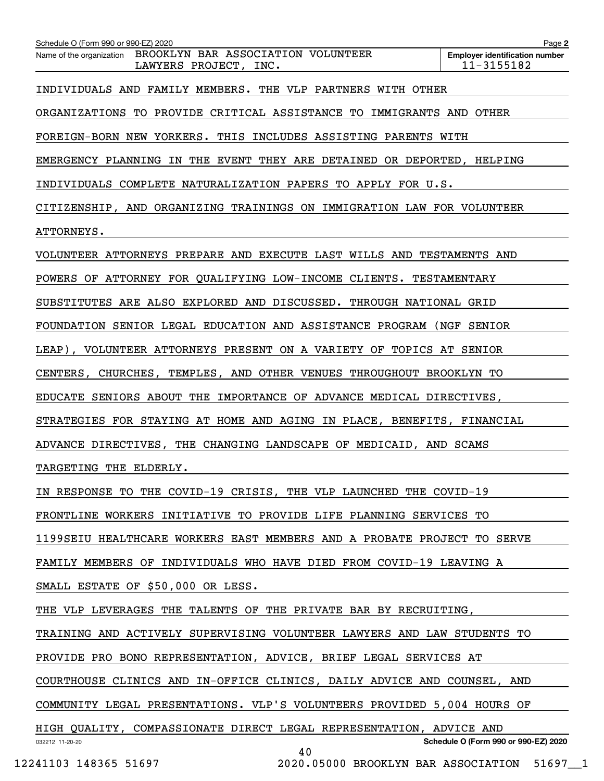| Schedule O (Form 990 or 990-EZ) 2020<br>Name of the organization BROOKLYN BAR ASSOCIATION VOLUNTEER<br>LAWYERS PROJECT, INC. | Page 2<br><b>Employer identification number</b><br>11-3155182 |
|------------------------------------------------------------------------------------------------------------------------------|---------------------------------------------------------------|
| INDIVIDUALS AND FAMILY MEMBERS. THE VLP PARTNERS WITH OTHER                                                                  |                                                               |
| ORGANIZATIONS TO PROVIDE CRITICAL ASSISTANCE TO IMMIGRANTS AND OTHER                                                         |                                                               |
| FOREIGN-BORN NEW YORKERS. THIS INCLUDES ASSISTING PARENTS WITH                                                               |                                                               |
| EMERGENCY PLANNING IN THE EVENT THEY ARE DETAINED OR DEPORTED, HELPING                                                       |                                                               |
| INDIVIDUALS COMPLETE NATURALIZATION PAPERS TO APPLY FOR U.S.                                                                 |                                                               |
| CITIZENSHIP, AND ORGANIZING TRAININGS ON IMMIGRATION LAW FOR VOLUNTEER                                                       |                                                               |
| ATTORNEYS.                                                                                                                   |                                                               |
| VOLUNTEER ATTORNEYS PREPARE AND EXECUTE LAST WILLS AND TESTAMENTS AND                                                        |                                                               |
| POWERS OF ATTORNEY FOR QUALIFYING LOW-INCOME CLIENTS. TESTAMENTARY                                                           |                                                               |
| SUBSTITUTES ARE ALSO EXPLORED AND DISCUSSED. THROUGH NATIONAL GRID                                                           |                                                               |
| FOUNDATION SENIOR LEGAL EDUCATION AND ASSISTANCE PROGRAM (NGF SENIOR                                                         |                                                               |
| LEAP), VOLUNTEER ATTORNEYS PRESENT ON A VARIETY OF TOPICS AT SENIOR                                                          |                                                               |
| CENTERS, CHURCHES, TEMPLES, AND OTHER VENUES THROUGHOUT BROOKLYN TO                                                          |                                                               |
| EDUCATE SENIORS ABOUT THE IMPORTANCE OF ADVANCE MEDICAL DIRECTIVES,                                                          |                                                               |
| STRATEGIES FOR STAYING AT HOME AND AGING IN PLACE, BENEFITS, FINANCIAL                                                       |                                                               |
| ADVANCE DIRECTIVES, THE CHANGING LANDSCAPE OF MEDICAID, AND SCAMS                                                            |                                                               |
| TARGETING THE ELDERLY.                                                                                                       |                                                               |
| IN RESPONSE TO THE COVID-19 CRISIS, THE VLP LAUNCHED THE COVID-19                                                            |                                                               |
| FRONTLINE WORKERS INITIATIVE TO PROVIDE LIFE PLANNING SERVICES TO                                                            |                                                               |
| 1199SEIU HEALTHCARE WORKERS EAST MEMBERS AND A PROBATE PROJECT TO SERVE                                                      |                                                               |
| FAMILY MEMBERS OF INDIVIDUALS WHO HAVE DIED FROM COVID-19 LEAVING A                                                          |                                                               |
| SMALL ESTATE OF \$50,000 OR LESS.                                                                                            |                                                               |
| THE VLP LEVERAGES THE TALENTS OF THE PRIVATE BAR BY RECRUITING,                                                              |                                                               |
| TRAINING AND ACTIVELY SUPERVISING VOLUNTEER LAWYERS AND LAW STUDENTS TO                                                      |                                                               |
| PROVIDE PRO BONO REPRESENTATION, ADVICE, BRIEF LEGAL SERVICES AT                                                             |                                                               |
| COURTHOUSE CLINICS AND IN-OFFICE CLINICS, DAILY ADVICE AND COUNSEL, AND                                                      |                                                               |
| COMMUNITY LEGAL PRESENTATIONS. VLP'S VOLUNTEERS PROVIDED 5,004 HOURS OF                                                      |                                                               |
| HIGH QUALITY, COMPASSIONATE DIRECT LEGAL REPRESENTATION, ADVICE AND<br>032212 11-20-20                                       | Schedule O (Form 990 or 990-EZ) 2020                          |
| 40                                                                                                                           |                                                               |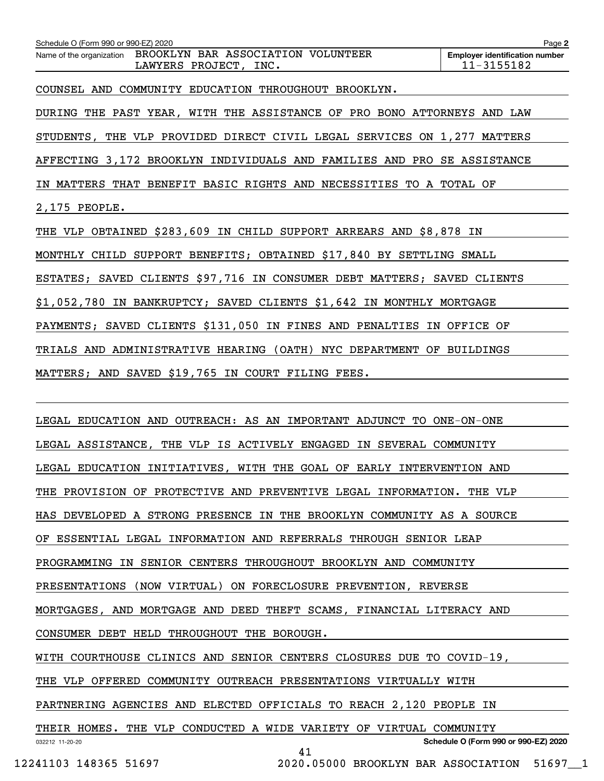| Schedule O (Form 990 or 990-EZ) 2020                                    | Page 2                                |
|-------------------------------------------------------------------------|---------------------------------------|
| Name of the organization BROOKLYN BAR ASSOCIATION VOLUNTEER             | <b>Employer identification number</b> |
| LAWYERS PROJECT, INC.                                                   | 11-3155182                            |
| COUNSEL AND COMMUNITY EDUCATION THROUGHOUT BROOKLYN.                    |                                       |
| DURING THE PAST YEAR, WITH THE ASSISTANCE OF PRO BONO ATTORNEYS AND LAW |                                       |
| STUDENTS, THE VLP PROVIDED DIRECT CIVIL LEGAL SERVICES ON 1,277 MATTERS |                                       |
| AFFECTING 3,172 BROOKLYN INDIVIDUALS AND FAMILIES AND PRO SE ASSISTANCE |                                       |
| IN MATTERS THAT BENEFIT BASIC RIGHTS AND NECESSITIES TO A TOTAL OF      |                                       |
| 2,175 PEOPLE.                                                           |                                       |
| THE VLP OBTAINED \$283,609 IN CHILD SUPPORT ARREARS AND \$8,878 IN      |                                       |
| MONTHLY CHILD SUPPORT BENEFITS; OBTAINED \$17,840 BY SETTLING SMALL     |                                       |
| ESTATES; SAVED CLIENTS \$97,716 IN CONSUMER DEBT MATTERS; SAVED CLIENTS |                                       |
| \$1,052,780 IN BANKRUPTCY; SAVED CLIENTS \$1,642 IN MONTHLY MORTGAGE    |                                       |
| PAYMENTS; SAVED CLIENTS \$131,050 IN FINES AND PENALTIES IN OFFICE OF   |                                       |
| TRIALS AND ADMINISTRATIVE HEARING (OATH) NYC DEPARTMENT OF BUILDINGS    |                                       |
| MATTERS; AND SAVED \$19,765 IN COURT FILING FEES.                       |                                       |
|                                                                         |                                       |
| $- - - - - - - - - -$<br>- ~ --- ----------- -------- -- ----- --       |                                       |

032212 11-20-20 **Schedule O (Form 990 or 990-EZ) 2020** LEGAL EDUCATION AND OUTREACH: AS AN IMPORTANT ADJUNCT TO ONE-ON-ONE LEGAL ASSISTANCE, THE VLP IS ACTIVELY ENGAGED IN SEVERAL COMMUNITY LEGAL EDUCATION INITIATIVES, WITH THE GOAL OF EARLY INTERVENTION AND THE PROVISION OF PROTECTIVE AND PREVENTIVE LEGAL INFORMATION. THE VLP HAS DEVELOPED A STRONG PRESENCE IN THE BROOKLYN COMMUNITY AS A SOURCE OF ESSENTIAL LEGAL INFORMATION AND REFERRALS THROUGH SENIOR LEAP PROGRAMMING IN SENIOR CENTERS THROUGHOUT BROOKLYN AND COMMUNITY PRESENTATIONS (NOW VIRTUAL) ON FORECLOSURE PREVENTION, REVERSE MORTGAGES, AND MORTGAGE AND DEED THEFT SCAMS, FINANCIAL LITERACY AND CONSUMER DEBT HELD THROUGHOUT THE BOROUGH. WITH COURTHOUSE CLINICS AND SENIOR CENTERS CLOSURES DUE TO COVID-19, THE VLP OFFERED COMMUNITY OUTREACH PRESENTATIONS VIRTUALLY WITH PARTNERING AGENCIES AND ELECTED OFFICIALS TO REACH 2,120 PEOPLE IN THEIR HOMES. THE VLP CONDUCTED A WIDE VARIETY OF VIRTUAL COMMUNITY 41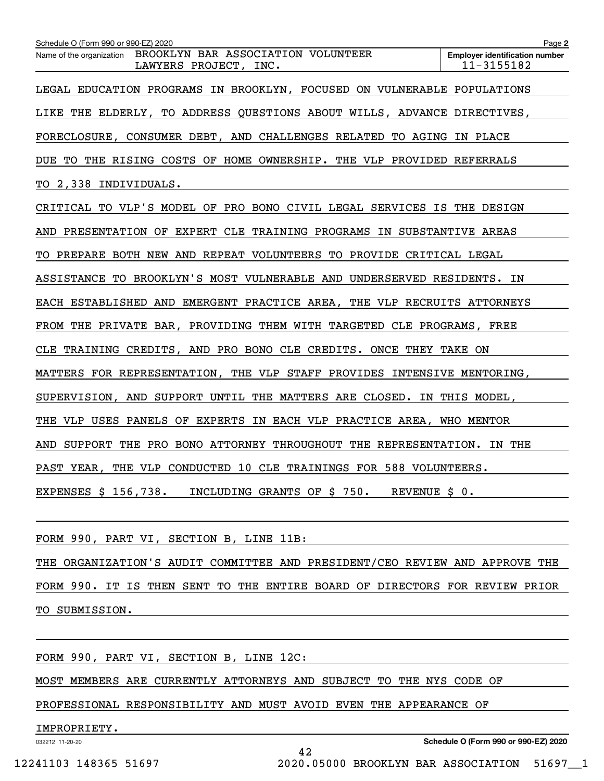| Schedule O (Form 990 or 990-EZ) 2020                                                    | Page 2                                              |
|-----------------------------------------------------------------------------------------|-----------------------------------------------------|
| BROOKLYN BAR ASSOCIATION VOLUNTEER<br>Name of the organization<br>LAWYERS PROJECT, INC. | <b>Employer identification number</b><br>11-3155182 |
| LEGAL EDUCATION PROGRAMS IN BROOKLYN, FOCUSED ON VULNERABLE POPULATIONS                 |                                                     |
| LIKE THE ELDERLY, TO ADDRESS QUESTIONS ABOUT WILLS, ADVANCE DIRECTIVES,                 |                                                     |
| FORECLOSURE, CONSUMER DEBT, AND CHALLENGES RELATED TO AGING IN PLACE                    |                                                     |
| DUE TO THE RISING COSTS OF HOME OWNERSHIP. THE VLP PROVIDED REFERRALS                   |                                                     |
| TO 2,338 INDIVIDUALS.                                                                   |                                                     |
| CRITICAL TO VLP'S MODEL OF PRO BONO CIVIL LEGAL SERVICES IS THE DESIGN                  |                                                     |
| AND PRESENTATION OF EXPERT CLE TRAINING PROGRAMS IN SUBSTANTIVE AREAS                   |                                                     |
| TO PREPARE BOTH NEW AND REPEAT VOLUNTEERS TO PROVIDE CRITICAL LEGAL                     |                                                     |
| ASSISTANCE TO BROOKLYN'S MOST VULNERABLE AND UNDERSERVED RESIDENTS. IN                  |                                                     |
| EACH ESTABLISHED AND EMERGENT PRACTICE AREA, THE VLP RECRUITS ATTORNEYS                 |                                                     |
| FROM THE PRIVATE BAR, PROVIDING THEM WITH TARGETED CLE PROGRAMS, FREE                   |                                                     |
| CLE TRAINING CREDITS, AND PRO BONO CLE CREDITS. ONCE THEY TAKE ON                       |                                                     |
| MATTERS FOR REPRESENTATION, THE VLP STAFF PROVIDES INTENSIVE MENTORING,                 |                                                     |
| SUPERVISION, AND SUPPORT UNTIL THE MATTERS ARE CLOSED. IN THIS MODEL,                   |                                                     |
| THE VLP USES PANELS OF EXPERTS IN EACH VLP PRACTICE AREA, WHO MENTOR                    |                                                     |
| AND SUPPORT THE PRO BONO ATTORNEY THROUGHOUT THE REPRESENTATION. IN THE                 |                                                     |
| PAST YEAR, THE VLP CONDUCTED 10 CLE TRAININGS FOR 588 VOLUNTEERS.                       |                                                     |
| EXPENSES \$ 156,738. INCLUDING GRANTS OF \$ 750. REVENUE \$ 0.                          |                                                     |
|                                                                                         |                                                     |

FORM 990, PART VI, SECTION B, LINE 11B:

THE ORGANIZATION'S AUDIT COMMITTEE AND PRESIDENT/CEO REVIEW AND APPROVE THE FORM 990. IT IS THEN SENT TO THE ENTIRE BOARD OF DIRECTORS FOR REVIEW PRIOR TO SUBMISSION.

42

FORM 990, PART VI, SECTION B, LINE 12C:

MOST MEMBERS ARE CURRENTLY ATTORNEYS AND SUBJECT TO THE NYS CODE OF

PROFESSIONAL RESPONSIBILITY AND MUST AVOID EVEN THE APPEARANCE OF

IMPROPRIETY.

032212 11-20-20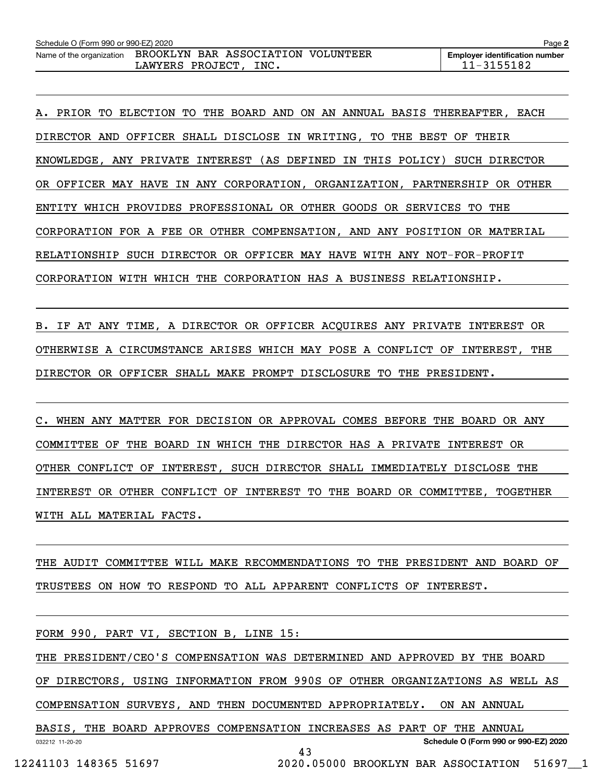| Schedule O (Form 990 or 990-EZ) 2020<br>Page 2 |  |  |                                    |  |  |                                       |  |  |
|------------------------------------------------|--|--|------------------------------------|--|--|---------------------------------------|--|--|
| Name of the organization                       |  |  | BROOKLYN BAR ASSOCIATION VOLUNTEER |  |  | <b>Employer identification number</b> |  |  |
| INC.<br>LAWYERS PROJECT.                       |  |  |                                    |  |  | 11-3155182                            |  |  |

A. PRIOR TO ELECTION TO THE BOARD AND ON AN ANNUAL BASIS THEREAFTER, EACH DIRECTOR AND OFFICER SHALL DISCLOSE IN WRITING, TO THE BEST OF THEIR KNOWLEDGE, ANY PRIVATE INTEREST (AS DEFINED IN THIS POLICY) SUCH DIRECTOR OR OFFICER MAY HAVE IN ANY CORPORATION, ORGANIZATION, PARTNERSHIP OR OTHER ENTITY WHICH PROVIDES PROFESSIONAL OR OTHER GOODS OR SERVICES TO THE CORPORATION FOR A FEE OR OTHER COMPENSATION, AND ANY POSITION OR MATERIAL RELATIONSHIP SUCH DIRECTOR OR OFFICER MAY HAVE WITH ANY NOT-FOR-PROFIT CORPORATION WITH WHICH THE CORPORATION HAS A BUSINESS RELATIONSHIP.

B. IF AT ANY TIME, A DIRECTOR OR OFFICER ACQUIRES ANY PRIVATE INTEREST OR OTHERWISE A CIRCUMSTANCE ARISES WHICH MAY POSE A CONFLICT OF INTEREST, THE DIRECTOR OR OFFICER SHALL MAKE PROMPT DISCLOSURE TO THE PRESIDENT.

C. WHEN ANY MATTER FOR DECISION OR APPROVAL COMES BEFORE THE BOARD OR ANY COMMITTEE OF THE BOARD IN WHICH THE DIRECTOR HAS A PRIVATE INTEREST OR OTHER CONFLICT OF INTEREST, SUCH DIRECTOR SHALL IMMEDIATELY DISCLOSE THE INTEREST OR OTHER CONFLICT OF INTEREST TO THE BOARD OR COMMITTEE, TOGETHER WITH ALL MATERIAL FACTS.

THE AUDIT COMMITTEE WILL MAKE RECOMMENDATIONS TO THE PRESIDENT AND BOARD OF TRUSTEES ON HOW TO RESPOND TO ALL APPARENT CONFLICTS OF INTEREST.

032212 11-20-20 **Schedule O (Form 990 or 990-EZ) 2020** FORM 990, PART VI, SECTION B, LINE 15: THE PRESIDENT/CEO'S COMPENSATION WAS DETERMINED AND APPROVED BY THE BOARD OF DIRECTORS, USING INFORMATION FROM 990S OF OTHER ORGANIZATIONS AS WELL AS COMPENSATION SURVEYS, AND THEN DOCUMENTED APPROPRIATELY. ON AN ANNUAL BASIS, THE BOARD APPROVES COMPENSATION INCREASES AS PART OF THE ANNUAL 43 12241103 148365 51697 2020.05000 BROOKLYN BAR ASSOCIATION 51697\_\_1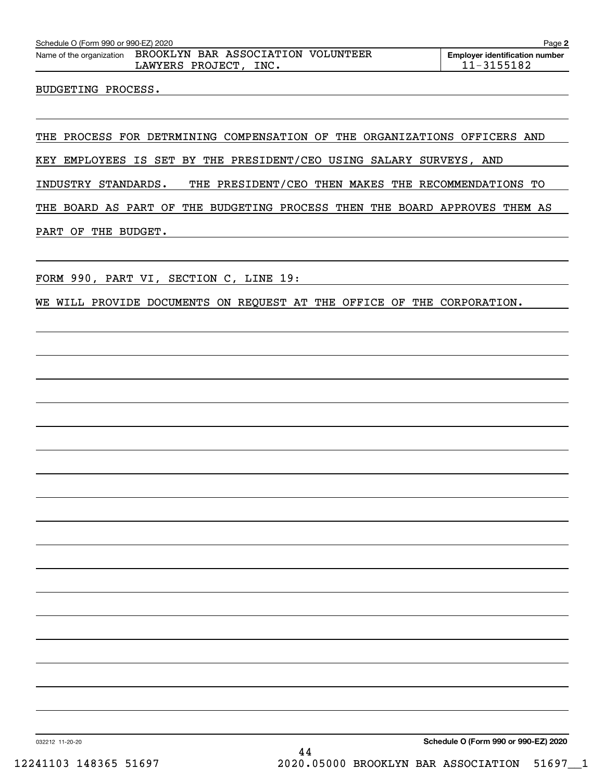| Schedule O (Form 990 or 990-EZ) 2020<br>Page 2 |                                                             |                                                     |  |  |  |  |  |
|------------------------------------------------|-------------------------------------------------------------|-----------------------------------------------------|--|--|--|--|--|
| Name of the organization                       | BROOKLYN BAR ASSOCIATION VOLUNTEER<br>LAWYERS PROJECT, INC. | <b>Employer identification number</b><br>11-3155182 |  |  |  |  |  |
|                                                |                                                             |                                                     |  |  |  |  |  |

BUDGETING PROCESS.

THE PROCESS FOR DETRMINING COMPENSATION OF THE ORGANIZATIONS OFFICERS AND

KEY EMPLOYEES IS SET BY THE PRESIDENT/CEO USING SALARY SURVEYS, AND

INDUSTRY STANDARDS. THE PRESIDENT/CEO THEN MAKES THE RECOMMENDATIONS TO

THE BOARD AS PART OF THE BUDGETING PROCESS THEN THE BOARD APPROVES THEM AS

PART OF THE BUDGET.

FORM 990, PART VI, SECTION C, LINE 19:

WE WILL PROVIDE DOCUMENTS ON REQUEST AT THE OFFICE OF THE CORPORATION.

032212 11-20-20